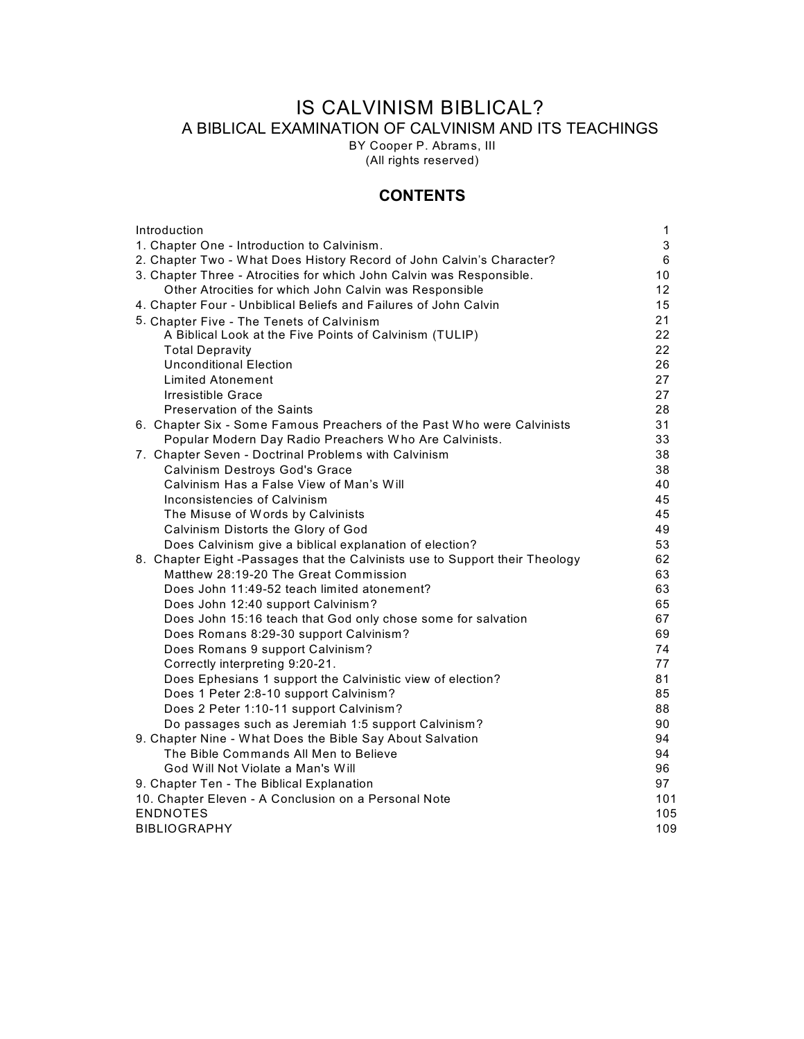# IS CALVINISM BIBLICAL? A BIBLICAL EXAMINATION OF CALVINISM AND ITS TEACHINGS

BY Cooper P. Abrams, III

(All rights reserved)

# **CONTENTS**

| Introduction                                                                                  | 1        |
|-----------------------------------------------------------------------------------------------|----------|
| 1. Chapter One - Introduction to Calvinism.                                                   | 3        |
| 2. Chapter Two - What Does History Record of John Calvin's Character?                         | 6        |
| 3. Chapter Three - Atrocities for which John Calvin was Responsible.                          | 10       |
| Other Atrocities for which John Calvin was Responsible                                        | 12       |
| 4. Chapter Four - Unbiblical Beliefs and Failures of John Calvin                              | 15       |
| 5. Chapter Five - The Tenets of Calvinism                                                     | 21       |
| A Biblical Look at the Five Points of Calvinism (TULIP)                                       | 22       |
| <b>Total Depravity</b>                                                                        | 22       |
| <b>Unconditional Election</b>                                                                 | 26       |
| Limited Atonement                                                                             | 27       |
| Irresistible Grace                                                                            | 27       |
| Preservation of the Saints                                                                    | 28       |
| 6. Chapter Six - Some Famous Preachers of the Past Who were Calvinists                        | 31       |
| Popular Modern Day Radio Preachers Who Are Calvinists.                                        | 33       |
| 7. Chapter Seven - Doctrinal Problems with Calvinism                                          | 38       |
| Calvinism Destroys God's Grace                                                                | 38       |
| Calvinism Has a False View of Man's Will                                                      | 40       |
| Inconsistencies of Calvinism                                                                  | 45       |
| The Misuse of Words by Calvinists                                                             | 45       |
| Calvinism Distorts the Glory of God                                                           | 49       |
| Does Calvinism give a biblical explanation of election?                                       | 53       |
| 8. Chapter Eight -Passages that the Calvinists use to Support their Theology                  | 62       |
| Matthew 28:19-20 The Great Commission                                                         | 63       |
| Does John 11:49-52 teach limited atonement?                                                   | 63       |
| Does John 12:40 support Calvinism?                                                            | 65       |
| Does John 15:16 teach that God only chose some for salvation                                  | 67       |
| Does Romans 8:29-30 support Calvinism?                                                        | 69<br>74 |
| Does Romans 9 support Calvinism?                                                              | 77       |
| Correctly interpreting 9:20-21.<br>Does Ephesians 1 support the Calvinistic view of election? | 81       |
| Does 1 Peter 2:8-10 support Calvinism?                                                        | 85       |
| Does 2 Peter 1:10-11 support Calvinism?                                                       | 88       |
| Do passages such as Jeremiah 1:5 support Calvinism?                                           | 90       |
| 9. Chapter Nine - What Does the Bible Say About Salvation                                     | 94       |
| The Bible Commands All Men to Believe                                                         | 94       |
| God Will Not Violate a Man's Will                                                             | 96       |
| 9. Chapter Ten - The Biblical Explanation                                                     | 97       |
| 10. Chapter Eleven - A Conclusion on a Personal Note                                          | 101      |
| <b>ENDNOTES</b>                                                                               | 105      |
| <b>BIBLIOGRAPHY</b>                                                                           | 109      |
|                                                                                               |          |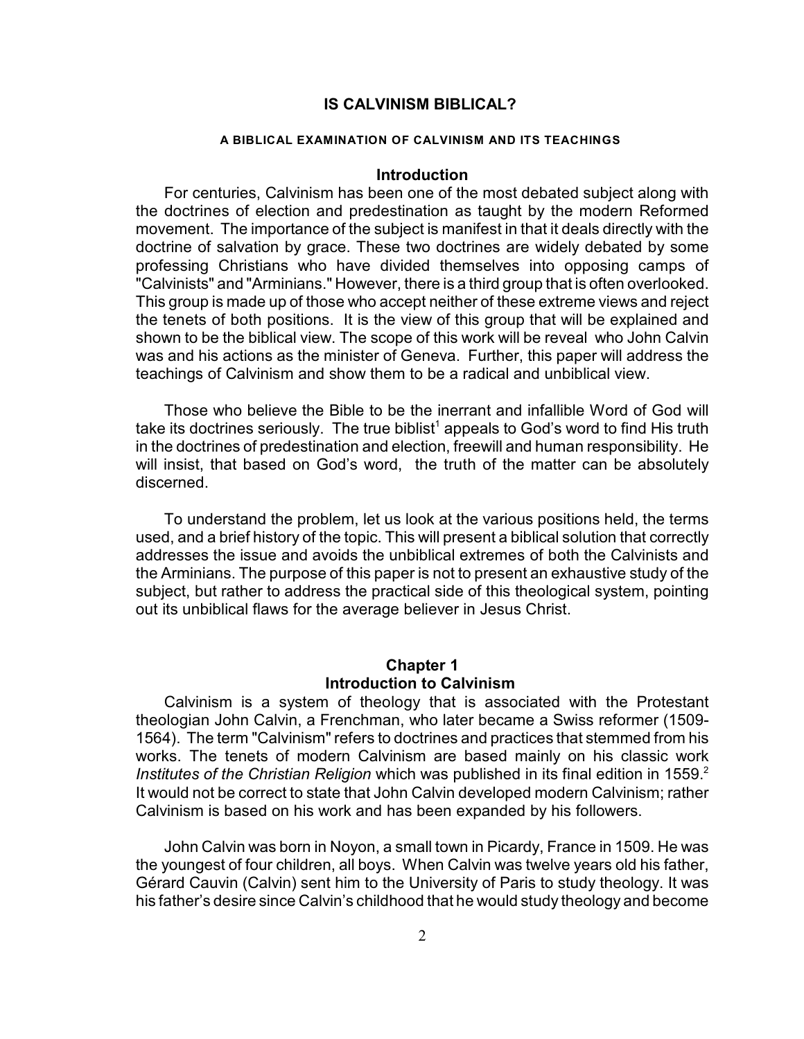# **IS CALVINISM BIBLICAL?**

#### **A BIBLICAL EXAMINATION OF CALVINISM AND ITS TEACHINGS**

### **Introduction**

For centuries, Calvinism has been one of the most debated subject along with the doctrines of election and predestination as taught by the modern Reformed movement. The importance of the subject is manifest in that it deals directly with the doctrine of salvation by grace. These two doctrines are widely debated by some professing Christians who have divided themselves into opposing camps of "Calvinists" and "Arminians." However, there is a third group that is often overlooked. This group is made up of those who accept neither of these extreme views and reject the tenets of both positions. It is the view of this group that will be explained and shown to be the biblical view. The scope of this work will be reveal who John Calvin was and his actions as the minister of Geneva. Further, this paper will address the teachings of Calvinism and show them to be a radical and unbiblical view.

Those who believe the Bible to be the inerrant and infallible Word of God will take its doctrines seriously. The true biblist<sup>1</sup> appeals to God's word to find His truth in the doctrines of predestination and election, freewill and human responsibility. He will insist, that based on God's word, the truth of the matter can be absolutely discerned.

To understand the problem, let us look at the various positions held, the terms used, and a brief history of the topic. This will present a biblical solution that correctly addresses the issue and avoids the unbiblical extremes of both the Calvinists and the Arminians. The purpose of this paper is not to present an exhaustive study of the subject, but rather to address the practical side of this theological system, pointing out its unbiblical flaws for the average believer in Jesus Christ.

# **Chapter 1 Introduction to Calvinism**

Calvinism is a system of theology that is associated with the Protestant theologian John Calvin, a Frenchman, who later became a Swiss reformer (1509- 1564). The term "Calvinism" refers to doctrines and practices that stemmed from his works. The tenets of modern Calvinism are based mainly on his classic work *Institutes of the Christian Religion* which was published in its final edition in 1559.<sup>2</sup> It would not be correct to state that John Calvin developed modern Calvinism; rather Calvinism is based on his work and has been expanded by his followers.

John Calvin was born in Noyon, a small town in Picardy, France in 1509. He was the youngest of four children, all boys. When Calvin was twelve years old his father, Gérard Cauvin (Calvin) sent him to the University of Paris to study theology. It was his father's desire since Calvin's childhood that he would study theology and become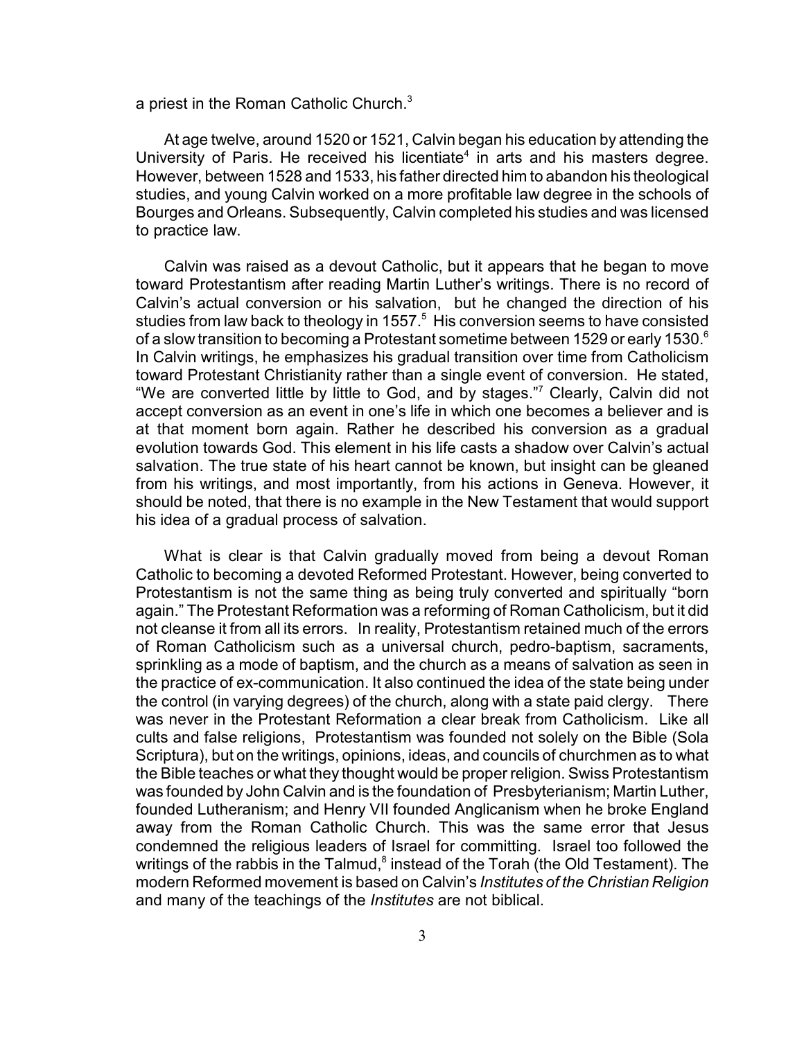a priest in the Roman Catholic Church. $3$ 

At age twelve, around 1520 or 1521, Calvin began his education by attending the University of Paris. He received his licentiate<sup>4</sup> in arts and his masters degree. However, between 1528 and 1533, his father directed him to abandon his theological studies, and young Calvin worked on a more profitable law degree in the schools of Bourges and Orleans. Subsequently, Calvin completed his studies and was licensed to practice law.

Calvin was raised as a devout Catholic, but it appears that he began to move toward Protestantism after reading Martin Luther's writings. There is no record of Calvin's actual conversion or his salvation, but he changed the direction of his studies from law back to theology in 1557.<sup>5</sup> His conversion seems to have consisted of a slow transition to becoming a Protestant sometime between 1529 or early 1530.<sup>6</sup> In Calvin writings, he emphasizes his gradual transition over time from Catholicism toward Protestant Christianity rather than a single event of conversion. He stated, "We are converted little by little to God, and by stages."<sup>7</sup> Clearly, Calvin did not accept conversion as an event in one's life in which one becomes a believer and is at that moment born again. Rather he described his conversion as a gradual evolution towards God. This element in his life casts a shadow over Calvin's actual salvation. The true state of his heart cannot be known, but insight can be gleaned from his writings, and most importantly, from his actions in Geneva. However, it should be noted, that there is no example in the New Testament that would support his idea of a gradual process of salvation.

What is clear is that Calvin gradually moved from being a devout Roman Catholic to becoming a devoted Reformed Protestant. However, being converted to Protestantism is not the same thing as being truly converted and spiritually "born again." The Protestant Reformation was a reforming of Roman Catholicism, but it did not cleanse it from all its errors. In reality, Protestantism retained much of the errors of Roman Catholicism such as a universal church, pedro-baptism, sacraments, sprinkling as a mode of baptism, and the church as a means of salvation as seen in the practice of ex-communication. It also continued the idea of the state being under the control (in varying degrees) of the church, along with a state paid clergy. There was never in the Protestant Reformation a clear break from Catholicism. Like all cults and false religions, Protestantism was founded not solely on the Bible (Sola Scriptura), but on the writings, opinions, ideas, and councils of churchmen as to what the Bible teaches or what they thought would be proper religion. Swiss Protestantism was founded by John Calvin and is the foundation of Presbyterianism; Martin Luther, founded Lutheranism; and Henry VII founded Anglicanism when he broke England away from the Roman Catholic Church. This was the same error that Jesus condemned the religious leaders of Israel for committing. Israel too followed the writings of the rabbis in the Talmud, $\delta$  instead of the Torah (the Old Testament). The modern Reformed movement is based on Calvin's *Institutes of the Christian Religion* and many of the teachings of the *Institutes* are not biblical.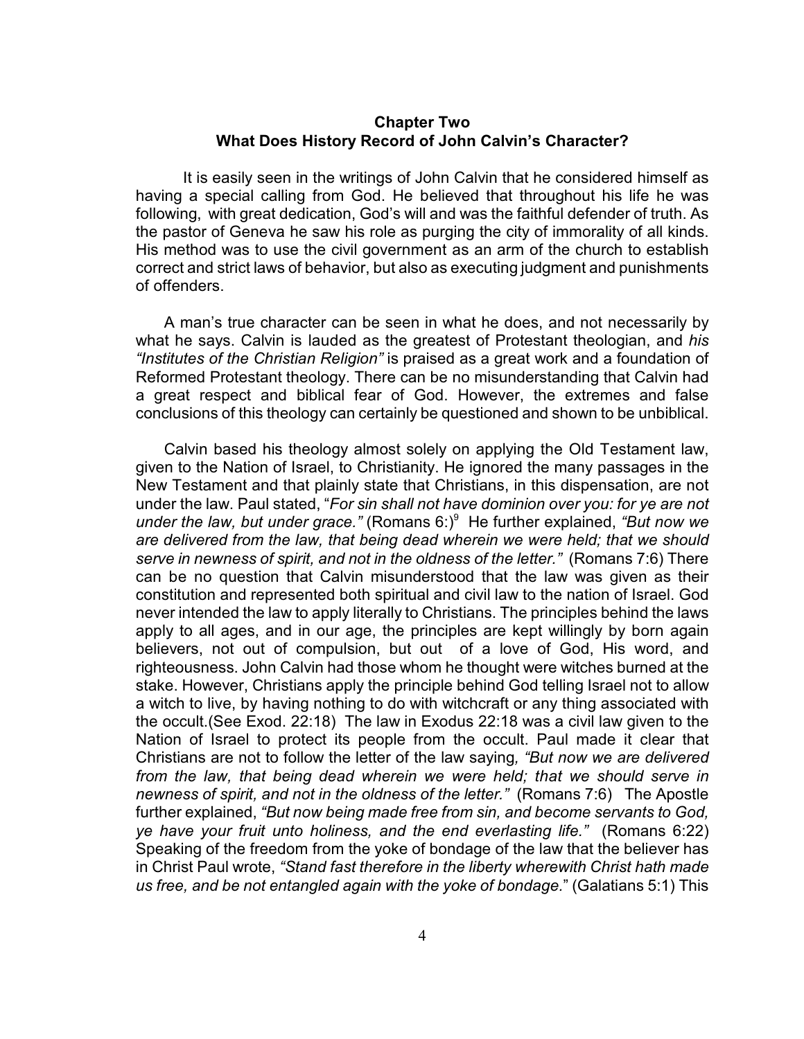## **Chapter Two What Does History Record of John Calvin's Character?**

It is easily seen in the writings of John Calvin that he considered himself as having a special calling from God. He believed that throughout his life he was following, with great dedication, God's will and was the faithful defender of truth. As the pastor of Geneva he saw his role as purging the city of immorality of all kinds. His method was to use the civil government as an arm of the church to establish correct and strict laws of behavior, but also as executing judgment and punishments of offenders.

A man's true character can be seen in what he does, and not necessarily by what he says. Calvin is lauded as the greatest of Protestant theologian, and *his "Institutes of the Christian Religion"* is praised as a great work and a foundation of Reformed Protestant theology. There can be no misunderstanding that Calvin had a great respect and biblical fear of God. However, the extremes and false conclusions of this theology can certainly be questioned and shown to be unbiblical.

Calvin based his theology almost solely on applying the Old Testament law, given to the Nation of Israel, to Christianity. He ignored the many passages in the New Testament and that plainly state that Christians, in this dispensation, are not under the law. Paul stated, "*For sin shall not have dominion over you: for ye are not under the law, but under grace.*" (Romans 6:)<sup>9</sup> He further explained, "But now we *are delivered from the law, that being dead wherein we were held; that we should serve in newness of spirit, and not in the oldness of the letter."* (Romans 7:6) There can be no question that Calvin misunderstood that the law was given as their constitution and represented both spiritual and civil law to the nation of Israel. God never intended the law to apply literally to Christians. The principles behind the laws apply to all ages, and in our age, the principles are kept willingly by born again believers, not out of compulsion, but out of a love of God, His word, and righteousness. John Calvin had those whom he thought were witches burned at the stake. However, Christians apply the principle behind God telling Israel not to allow a witch to live, by having nothing to do with witchcraft or any thing associated with the occult.(See Exod. 22:18) The law in Exodus 22:18 was a civil law given to the Nation of Israel to protect its people from the occult. Paul made it clear that Christians are not to follow the letter of the law saying*, "But now we are delivered from the law, that being dead wherein we were held; that we should serve in newness of spirit, and not in the oldness of the letter."* (Romans 7:6) The Apostle further explained, *"But now being made free from sin, and become servants to God, ye have your fruit unto holiness, and the end everlasting life."* (Romans 6:22) Speaking of the freedom from the yoke of bondage of the law that the believer has in Christ Paul wrote, *"Stand fast therefore in the liberty wherewith Christ hath made us free, and be not entangled again with the yoke of bondage.*" (Galatians 5:1) This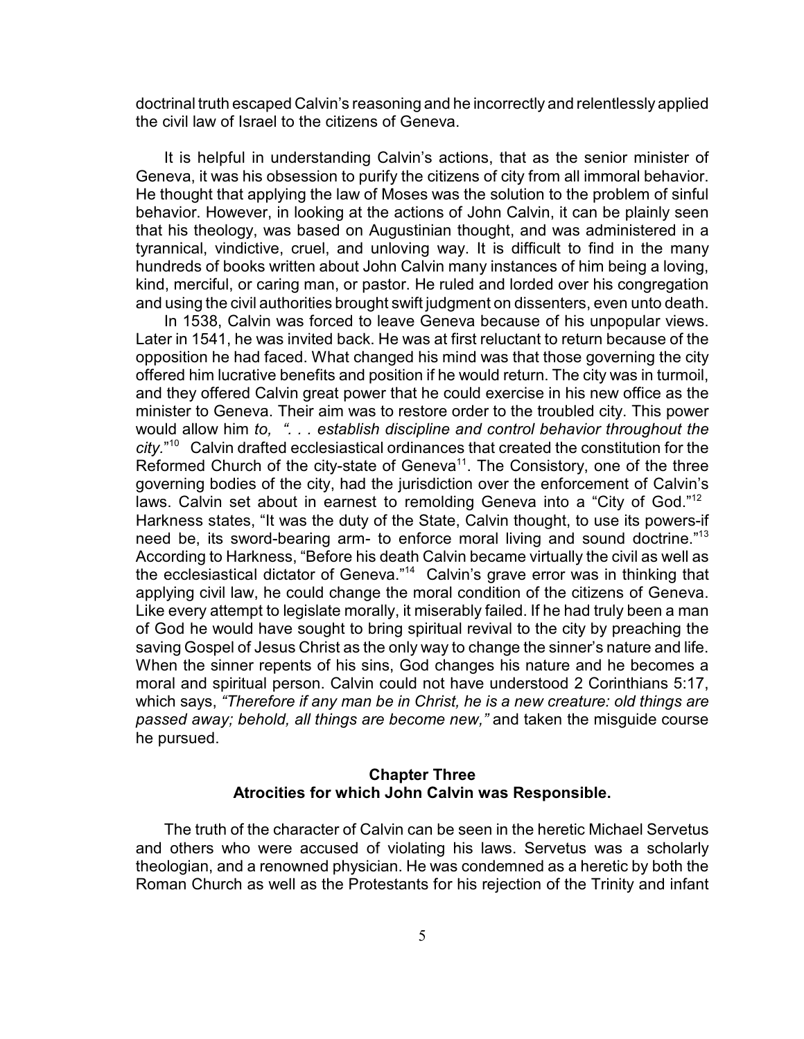doctrinal truth escaped Calvin's reasoning and he incorrectly and relentlessly applied the civil law of Israel to the citizens of Geneva.

It is helpful in understanding Calvin's actions, that as the senior minister of Geneva, it was his obsession to purify the citizens of city from all immoral behavior. He thought that applying the law of Moses was the solution to the problem of sinful behavior. However, in looking at the actions of John Calvin, it can be plainly seen that his theology, was based on Augustinian thought, and was administered in a tyrannical, vindictive, cruel, and unloving way. It is difficult to find in the many hundreds of books written about John Calvin many instances of him being a loving, kind, merciful, or caring man, or pastor. He ruled and lorded over his congregation and using the civil authorities brought swift judgment on dissenters, even unto death.

In 1538, Calvin was forced to leave Geneva because of his unpopular views. Later in 1541, he was invited back. He was at first reluctant to return because of the opposition he had faced. What changed his mind was that those governing the city offered him lucrative benefits and position if he would return. The city was in turmoil, and they offered Calvin great power that he could exercise in his new office as the minister to Geneva. Their aim was to restore order to the troubled city. This power would allow him *to, ". . . establish discipline and control behavior throughout the* city."<sup>10</sup> Calvin drafted ecclesiastical ordinances that created the constitution for the Reformed Church of the city-state of Geneva<sup>11</sup>. The Consistory, one of the three governing bodies of the city, had the jurisdiction over the enforcement of Calvin's laws. Calvin set about in earnest to remolding Geneva into a "City of God."<sup>12</sup> Harkness states, "It was the duty of the State, Calvin thought, to use its powers-if need be, its sword-bearing arm- to enforce moral living and sound doctrine.<sup>"13</sup> According to Harkness, "Before his death Calvin became virtually the civil as well as the ecclesiastical dictator of Geneva."<sup>14</sup> Calvin's grave error was in thinking that applying civil law, he could change the moral condition of the citizens of Geneva. Like every attempt to legislate morally, it miserably failed. If he had truly been a man of God he would have sought to bring spiritual revival to the city by preaching the saving Gospel of Jesus Christ as the only way to change the sinner's nature and life. When the sinner repents of his sins, God changes his nature and he becomes a moral and spiritual person. Calvin could not have understood 2 Corinthians 5:17, which says, *"Therefore if any man be in Christ, he is a new creature: old things are passed away; behold, all things are become new,"* and taken the misguide course he pursued.

# **Chapter Three Atrocities for which John Calvin was Responsible.**

The truth of the character of Calvin can be seen in the heretic Michael Servetus and others who were accused of violating his laws. Servetus was a scholarly theologian, and a renowned physician. He was condemned as a heretic by both the Roman Church as well as the Protestants for his rejection of the Trinity and infant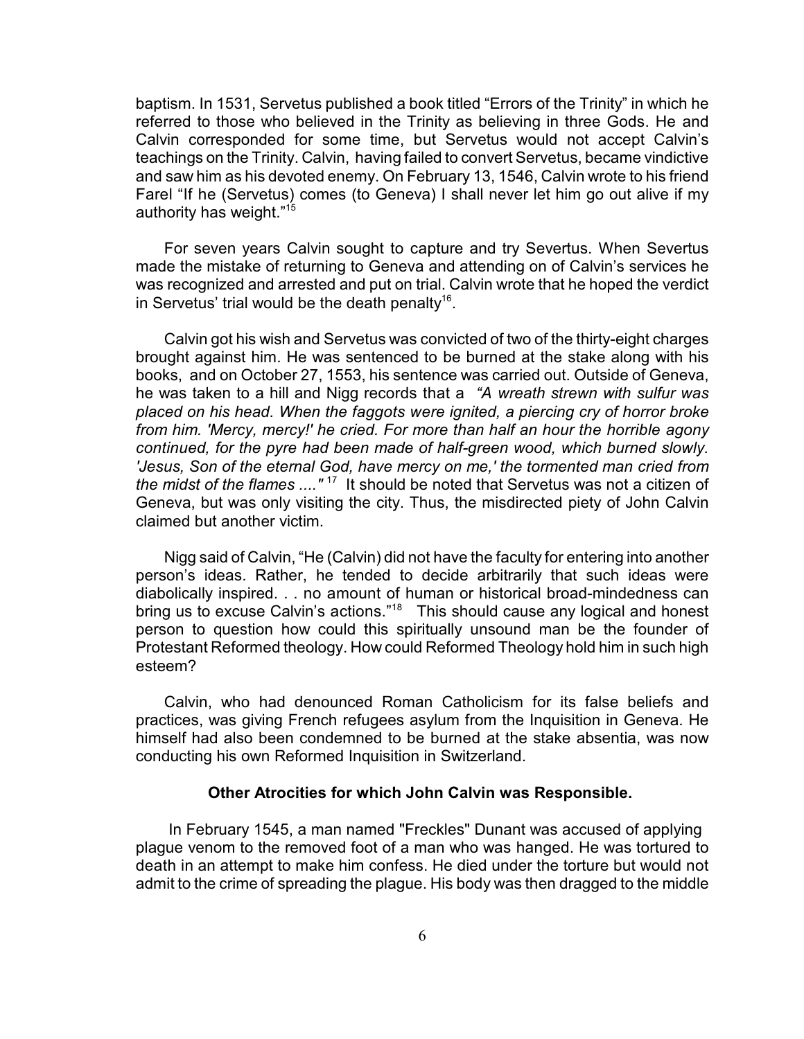baptism. In 1531, Servetus published a book titled "Errors of the Trinity" in which he referred to those who believed in the Trinity as believing in three Gods. He and Calvin corresponded for some time, but Servetus would not accept Calvin's teachings on the Trinity. Calvin, having failed to convert Servetus, became vindictive and saw him as his devoted enemy. On February 13, 1546, Calvin wrote to his friend Farel "If he (Servetus) comes (to Geneva) I shall never let him go out alive if my authority has weight."<sup>15</sup>

For seven years Calvin sought to capture and try Severtus. When Severtus made the mistake of returning to Geneva and attending on of Calvin's services he was recognized and arrested and put on trial. Calvin wrote that he hoped the verdict in Servetus' trial would be the death penalty<sup>16</sup>.

Calvin got his wish and Servetus was convicted of two of the thirty-eight charges brought against him. He was sentenced to be burned at the stake along with his books, and on October 27, 1553, his sentence was carried out. Outside of Geneva, he was taken to a hill and Nigg records that a *"A wreath strewn with sulfur was placed on his head. When the faggots were ignited, a piercing cry of horror broke from him. 'Mercy, mercy!' he cried. For more than half an hour the horrible agony continued, for the pyre had been made of half-green wood, which burned slowly. 'Jesus, Son of the eternal God, have mercy on me,' the tormented man cried from the midst of the flames ....*"<sup>17</sup> It should be noted that Servetus was not a citizen of Geneva, but was only visiting the city. Thus, the misdirected piety of John Calvin claimed but another victim.

Nigg said of Calvin, "He (Calvin) did not have the faculty for entering into another person's ideas. Rather, he tended to decide arbitrarily that such ideas were diabolically inspired. . . no amount of human or historical broad-mindedness can bring us to excuse Calvin's actions."<sup>18</sup> This should cause any logical and honest person to question how could this spiritually unsound man be the founder of Protestant Reformed theology. How could Reformed Theology hold him in such high esteem?

Calvin, who had denounced Roman Catholicism for its false beliefs and practices, was giving French refugees asylum from the Inquisition in Geneva. He himself had also been condemned to be burned at the stake absentia, was now conducting his own Reformed Inquisition in Switzerland.

#### **Other Atrocities for which John Calvin was Responsible.**

 In February 1545, a man named "Freckles" Dunant was accused of applying plague venom to the removed foot of a man who was hanged. He was tortured to death in an attempt to make him confess. He died under the torture but would not admit to the crime of spreading the plague. His body was then dragged to the middle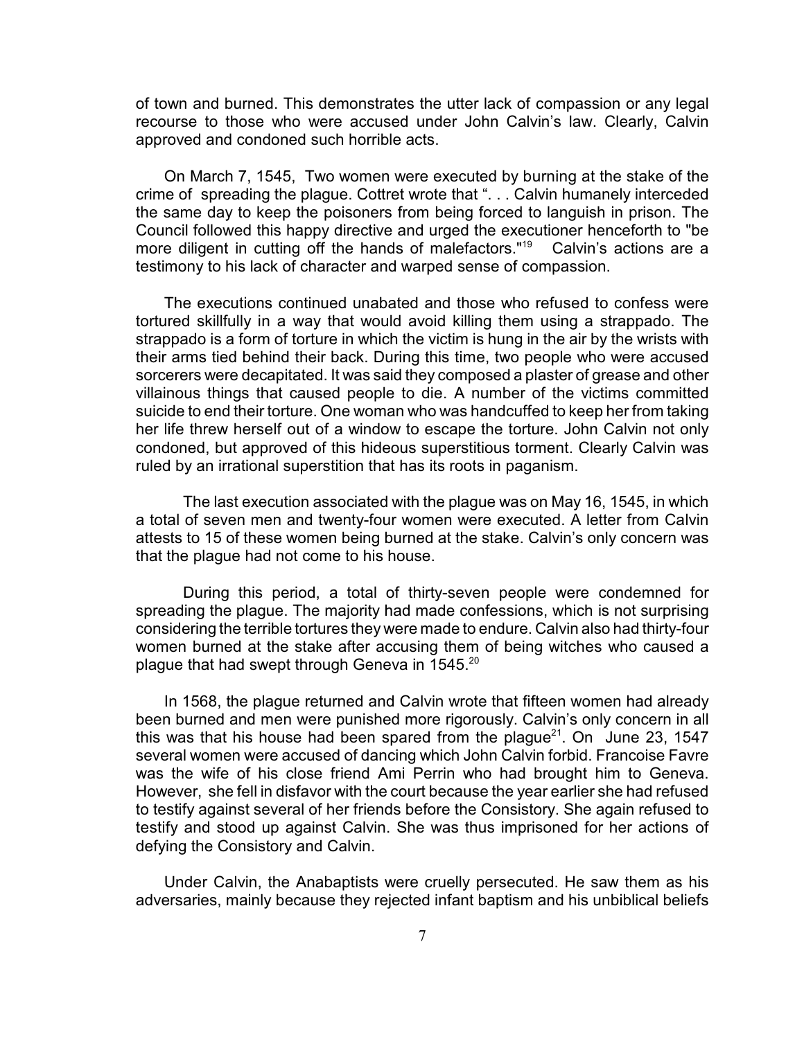of town and burned. This demonstrates the utter lack of compassion or any legal recourse to those who were accused under John Calvin's law. Clearly, Calvin approved and condoned such horrible acts.

On March 7, 1545, Two women were executed by burning at the stake of the crime of spreading the plague. Cottret wrote that ". . . Calvin humanely interceded the same day to keep the poisoners from being forced to languish in prison. The Council followed this happy directive and urged the executioner henceforth to "be more diligent in cutting off the hands of malefactors." $19$  Calvin's actions are a testimony to his lack of character and warped sense of compassion.

The executions continued unabated and those who refused to confess were tortured skillfully in a way that would avoid killing them using a strappado. The strappado is a form of torture in which the victim is hung in the air by the wrists with their arms tied behind their back. During this time, two people who were accused sorcerers were decapitated. It was said they composed a plaster of grease and other villainous things that caused people to die. A number of the victims committed suicide to end their torture. One woman who was handcuffed to keep her from taking her life threw herself out of a window to escape the torture. John Calvin not only condoned, but approved of this hideous superstitious torment. Clearly Calvin was ruled by an irrational superstition that has its roots in paganism.

The last execution associated with the plague was on May 16, 1545, in which a total of seven men and twenty-four women were executed. A letter from Calvin attests to 15 of these women being burned at the stake. Calvin's only concern was that the plague had not come to his house.

During this period, a total of thirty-seven people were condemned for spreading the plague. The majority had made confessions, which is not surprising considering the terrible tortures they were made to endure. Calvin also had thirty-four women burned at the stake after accusing them of being witches who caused a plague that had swept through Geneva in  $1545.^{20}$ 

In 1568, the plague returned and Calvin wrote that fifteen women had already been burned and men were punished more rigorously. Calvin's only concern in all this was that his house had been spared from the plague<sup>21</sup>. On June 23, 1547 several women were accused of dancing which John Calvin forbid. Francoise Favre was the wife of his close friend Ami Perrin who had brought him to Geneva. However, she fell in disfavor with the court because the year earlier she had refused to testify against several of her friends before the Consistory. She again refused to testify and stood up against Calvin. She was thus imprisoned for her actions of defying the Consistory and Calvin.

Under Calvin, the Anabaptists were cruelly persecuted. He saw them as his adversaries, mainly because they rejected infant baptism and his unbiblical beliefs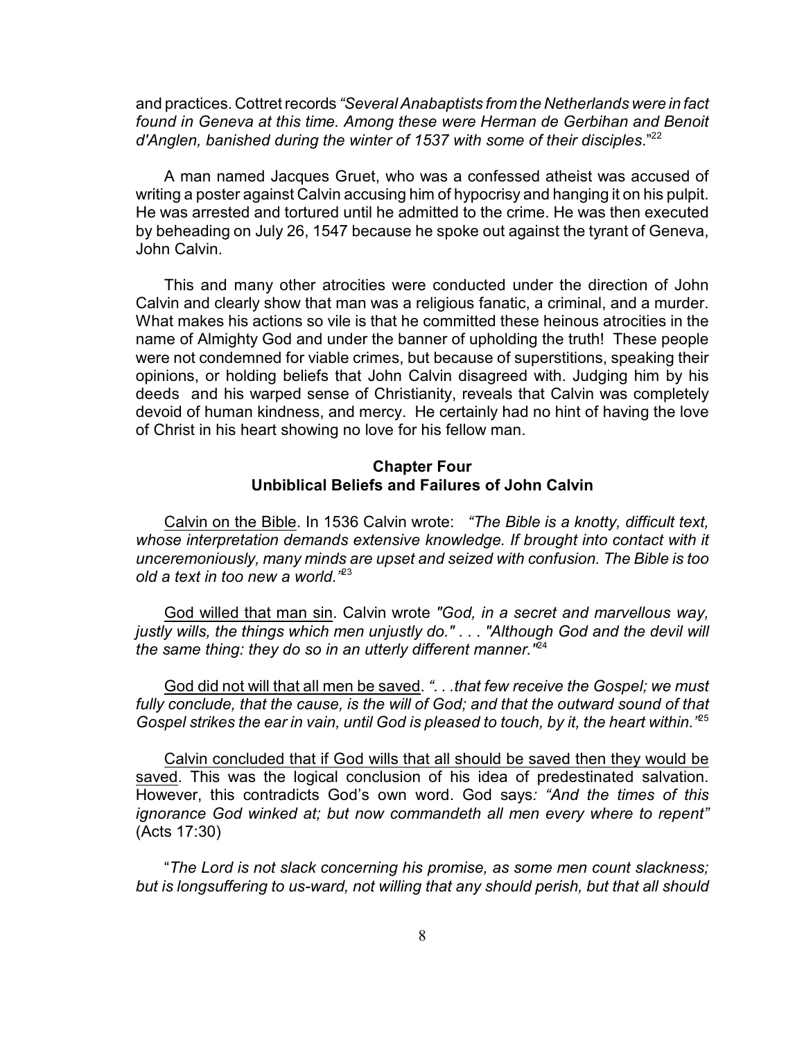and practices. Cottret records *"Several Anabaptists from the Netherlands were in fact found in Geneva at this time. Among these were Herman de Gerbihan and Benoit d'Anglen, banished during the winter of 1537 with some of their disciples.*"<sup>22</sup>

A man named Jacques Gruet, who was a confessed atheist was accused of writing a poster against Calvin accusing him of hypocrisy and hanging it on his pulpit. He was arrested and tortured until he admitted to the crime. He was then executed by beheading on July 26, 1547 because he spoke out against the tyrant of Geneva, John Calvin.

This and many other atrocities were conducted under the direction of John Calvin and clearly show that man was a religious fanatic, a criminal, and a murder. What makes his actions so vile is that he committed these heinous atrocities in the name of Almighty God and under the banner of upholding the truth! These people were not condemned for viable crimes, but because of superstitions, speaking their opinions, or holding beliefs that John Calvin disagreed with. Judging him by his deeds and his warped sense of Christianity, reveals that Calvin was completely devoid of human kindness, and mercy. He certainly had no hint of having the love of Christ in his heart showing no love for his fellow man.

## **Chapter Four Unbiblical Beliefs and Failures of John Calvin**

Calvin on the Bible. In 1536 Calvin wrote: *"The Bible is a knotty, difficult text, whose interpretation demands extensive knowledge. If brought into contact with it unceremoniously, many minds are upset and seized with confusion. The Bible is too old a text in too new a world."*<sup>23</sup>

God willed that man sin. Calvin wrote *"God, in a secret and marvellous way, justly wills, the things which men unjustly do."* . . . *"Although God and the devil will the same thing: they do so in an utterly different manner.*<sup> $n\bar{e}4$ </sup>

God did not will that all men be saved. *". . .that few receive the Gospel; we must fully conclude, that the cause, is the will of God; and that the outward sound of that Gospel strikes the ear in vain, until God is pleased to touch, by it, the heart within."*<sup>25</sup>

Calvin concluded that if God wills that all should be saved then they would be saved. This was the logical conclusion of his idea of predestinated salvation. However, this contradicts God's own word. God says*: "And the times of this ignorance God winked at; but now commandeth all men every where to repent"* (Acts 17:30)

"*The Lord is not slack concerning his promise, as some men count slackness; but is longsuffering to us-ward, not willing that any should perish, but that all should*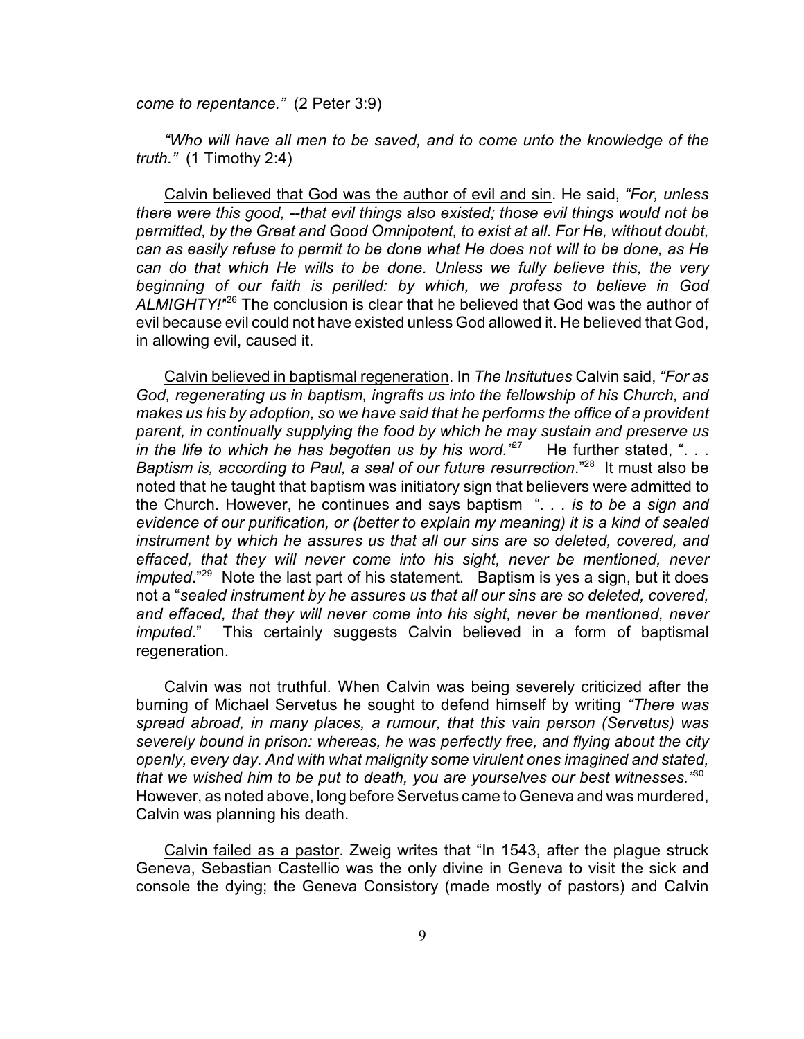*come to repentance."* (2 Peter 3:9)

*"Who will have all men to be saved, and to come unto the knowledge of the truth."* (1 Timothy 2:4)

Calvin believed that God was the author of evil and sin. He said, *"For, unless there were this good, --that evil things also existed; those evil things would not be permitted, by the Great and Good Omnipotent, to exist at all. For He, without doubt, can as easily refuse to permit to be done what He does not will to be done, as He can do that which He wills to be done. Unless we fully believe this, the very beginning of our faith is perilled: by which, we profess to believe in God* ALMIGHTY!<sup>"26</sup> The conclusion is clear that he believed that God was the author of evil because evil could not have existed unless God allowed it. He believed that God, in allowing evil, caused it.

Calvin believed in baptismal regeneration. In *The Insitutues* Calvin said, *"For as God, regenerating us in baptism, ingrafts us into the fellowship of his Church, and makes us his by adoption, so we have said that he performs the office of a provident parent, in continually supplying the food by which he may sustain and preserve us* in the life to which he has begotten us by his word.<sup>"27</sup> He further stated, ". . . *Baptism is, according to Paul, a seal of our future resurrection.*"<sup>28</sup> It must also be noted that he taught that baptism was initiatory sign that believers were admitted to the Church. However, he continues and says baptism "*. . . is to be a sign and evidence of our purification, or (better to explain my meaning) it is a kind of sealed instrument by which he assures us that all our sins are so deleted, covered, and effaced, that they will never come into his sight, never be mentioned, never imputed.*"<sup>29</sup> Note the last part of his statement. Baptism is yes a sign, but it does not a "*sealed instrument by he assures us that all our sins are so deleted, covered, and effaced, that they will never come into his sight, never be mentioned, never imputed*." This certainly suggests Calvin believed in a form of baptismal regeneration.

Calvin was not truthful. When Calvin was being severely criticized after the burning of Michael Servetus he sought to defend himself by writing *"There was spread abroad, in many places, a rumour, that this vain person (Servetus) was severely bound in prison: whereas, he was perfectly free, and flying about the city openly, every day. And with what malignity some virulent ones imagined and stated, that we wished him to be put to death, you are yourselves our best witnesses."*<sup>30</sup> However, as noted above, long before Servetus came to Geneva and was murdered, Calvin was planning his death.

Calvin failed as a pastor. Zweig writes that "In 1543, after the plague struck Geneva, Sebastian Castellio was the only divine in Geneva to visit the sick and console the dying; the Geneva Consistory (made mostly of pastors) and Calvin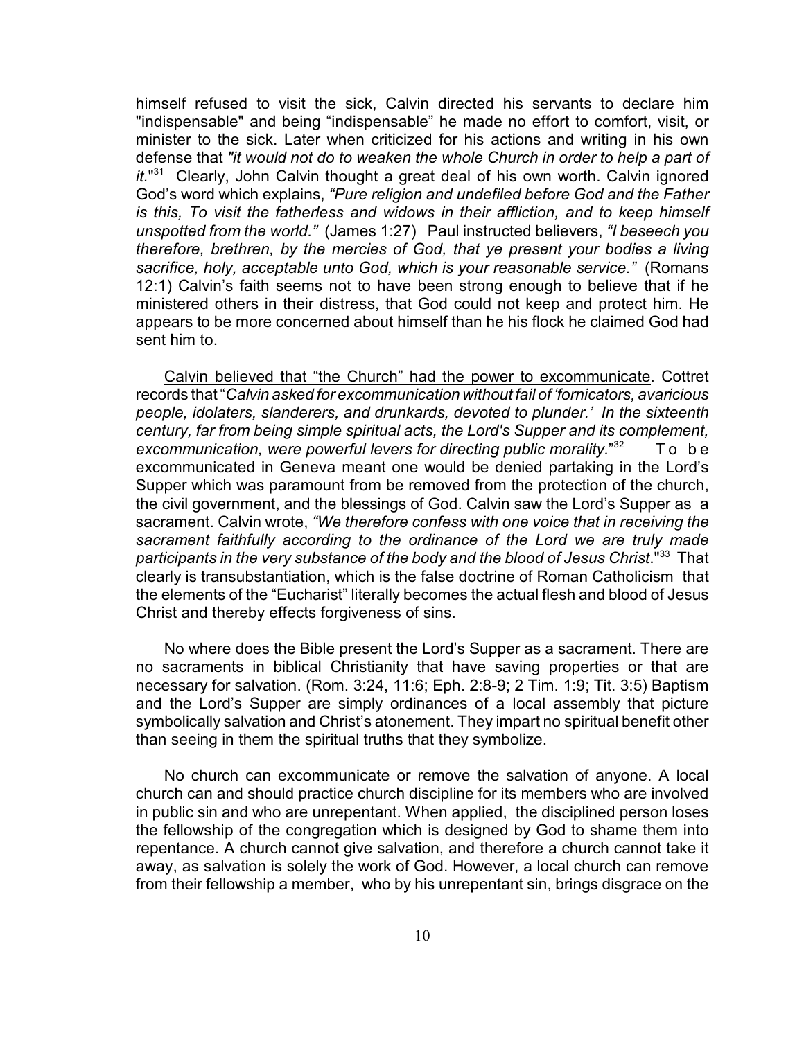himself refused to visit the sick, Calvin directed his servants to declare him "indispensable" and being "indispensable" he made no effort to comfort, visit, or minister to the sick. Later when criticized for his actions and writing in his own defense that *"it would not do to weaken the whole Church in order to help a part of*  $it.^{131}$  Clearly, John Calvin thought a great deal of his own worth. Calvin ignored God's word which explains, *"Pure religion and undefiled before God and the Father is this, To visit the fatherless and widows in their affliction, and to keep himself unspotted from the world."* (James 1:27) Paul instructed believers, *"I beseech you therefore, brethren, by the mercies of God, that ye present your bodies a living sacrifice, holy, acceptable unto God, which is your reasonable service."* (Romans 12:1) Calvin's faith seems not to have been strong enough to believe that if he ministered others in their distress, that God could not keep and protect him. He appears to be more concerned about himself than he his flock he claimed God had sent him to.

Calvin believed that "the Church" had the power to excommunicate. Cottret records that "*Calvin asked for excommunication without fail of 'fornicators, avaricious people, idolaters, slanderers, and drunkards, devoted to plunder.' In the sixteenth century, far from being simple spiritual acts, the Lord's Supper and its complement, excommunication, were powerful levers for directing public morality.*"<sup>32</sup> To be excommunicated in Geneva meant one would be denied partaking in the Lord's Supper which was paramount from be removed from the protection of the church, the civil government, and the blessings of God. Calvin saw the Lord's Supper as a sacrament. Calvin wrote, *"We therefore confess with one voice that in receiving the sacrament faithfully according to the ordinance of the Lord we are truly made participants in the very substance of the body and the blood of Jesus Christ*." That <sup>33</sup> clearly is transubstantiation, which is the false doctrine of Roman Catholicism that the elements of the "Eucharist" literally becomes the actual flesh and blood of Jesus Christ and thereby effects forgiveness of sins.

No where does the Bible present the Lord's Supper as a sacrament. There are no sacraments in biblical Christianity that have saving properties or that are necessary for salvation. (Rom. 3:24, 11:6; Eph. 2:8-9; 2 Tim. 1:9; Tit. 3:5) Baptism and the Lord's Supper are simply ordinances of a local assembly that picture symbolically salvation and Christ's atonement. They impart no spiritual benefit other than seeing in them the spiritual truths that they symbolize.

No church can excommunicate or remove the salvation of anyone. A local church can and should practice church discipline for its members who are involved in public sin and who are unrepentant. When applied, the disciplined person loses the fellowship of the congregation which is designed by God to shame them into repentance. A church cannot give salvation, and therefore a church cannot take it away, as salvation is solely the work of God. However, a local church can remove from their fellowship a member, who by his unrepentant sin, brings disgrace on the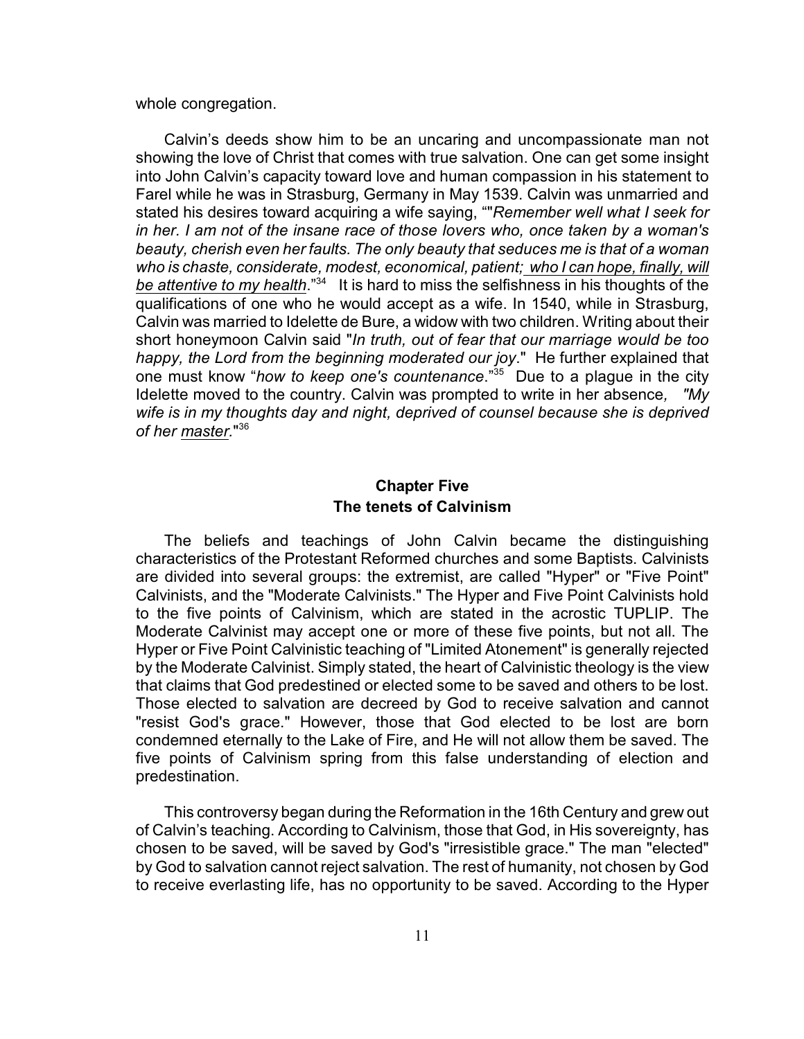whole congregation.

Calvin's deeds show him to be an uncaring and uncompassionate man not showing the love of Christ that comes with true salvation. One can get some insight into John Calvin's capacity toward love and human compassion in his statement to Farel while he was in Strasburg, Germany in May 1539. Calvin was unmarried and stated his desires toward acquiring a wife saying, ""*Remember well what I seek for in her. I am not of the insane race of those lovers who, once taken by a woman's beauty, cherish even her faults. The only beauty that seduces me is that of a woman who is chaste, considerate, modest, economical, patient; who I can hope, finally, will be attentive to my health.*"<sup>34</sup> It is hard to miss the selfishness in his thoughts of the qualifications of one who he would accept as a wife. In 1540, while in Strasburg, Calvin was married to Idelette de Bure, a widow with two children. Writing about their short honeymoon Calvin said "*In truth, out of fear that our marriage would be too happy, the Lord from the beginning moderated our joy*." He further explained that one must know "*how to keep one's countenance*."<sup>35</sup> Due to a plague in the city Idelette moved to the country. Calvin was prompted to write in her absence*, "My wife is in my thoughts day and night, deprived of counsel because she is deprived* of her master."<sup>36</sup>

# **Chapter Five The tenets of Calvinism**

The beliefs and teachings of John Calvin became the distinguishing characteristics of the Protestant Reformed churches and some Baptists. Calvinists are divided into several groups: the extremist, are called "Hyper" or "Five Point" Calvinists, and the "Moderate Calvinists." The Hyper and Five Point Calvinists hold to the five points of Calvinism, which are stated in the acrostic TUPLIP. The Moderate Calvinist may accept one or more of these five points, but not all. The Hyper or Five Point Calvinistic teaching of "Limited Atonement" is generally rejected by the Moderate Calvinist. Simply stated, the heart of Calvinistic theology is the view that claims that God predestined or elected some to be saved and others to be lost. Those elected to salvation are decreed by God to receive salvation and cannot "resist God's grace." However, those that God elected to be lost are born condemned eternally to the Lake of Fire, and He will not allow them be saved. The five points of Calvinism spring from this false understanding of election and predestination.

This controversy began during the Reformation in the 16th Century and grew out of Calvin's teaching. According to Calvinism, those that God, in His sovereignty, has chosen to be saved, will be saved by God's "irresistible grace." The man "elected" by God to salvation cannot reject salvation. The rest of humanity, not chosen by God to receive everlasting life, has no opportunity to be saved. According to the Hyper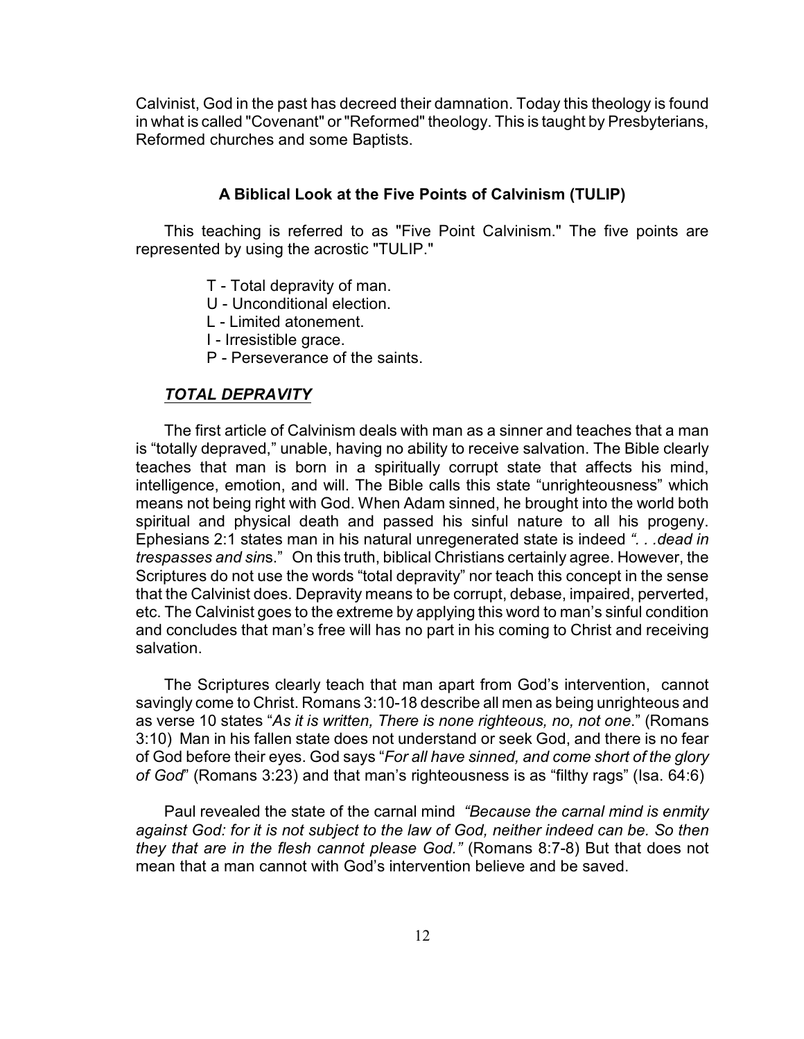Calvinist, God in the past has decreed their damnation. Today this theology is found in what is called "Covenant" or "Reformed" theology. This is taught by Presbyterians, Reformed churches and some Baptists.

# **A Biblical Look at the Five Points of Calvinism (TULIP)**

This teaching is referred to as "Five Point Calvinism." The five points are represented by using the acrostic "TULIP."

- T Total depravity of man.
- U Unconditional election.
- L Limited atonement.
- I Irresistible grace.
- P Perseverance of the saints.

#### *TOTAL DEPRAVITY*

The first article of Calvinism deals with man as a sinner and teaches that a man is "totally depraved," unable, having no ability to receive salvation. The Bible clearly teaches that man is born in a spiritually corrupt state that affects his mind, intelligence, emotion, and will. The Bible calls this state "unrighteousness" which means not being right with God. When Adam sinned, he brought into the world both spiritual and physical death and passed his sinful nature to all his progeny. Ephesians 2:1 states man in his natural unregenerated state is indeed *". . .dead in trespasses and sin*s." On this truth, biblical Christians certainly agree. However, the Scriptures do not use the words "total depravity" nor teach this concept in the sense that the Calvinist does. Depravity means to be corrupt, debase, impaired, perverted, etc. The Calvinist goes to the extreme by applying this word to man's sinful condition and concludes that man's free will has no part in his coming to Christ and receiving salvation.

The Scriptures clearly teach that man apart from God's intervention, cannot savingly come to Christ. Romans 3:10-18 describe all men as being unrighteous and as verse 10 states "*As it is written, There is none righteous, no, not one*." (Romans 3:10) Man in his fallen state does not understand or seek God, and there is no fear of God before their eyes. God says "*For all have sinned, and come short of the glory of God*" (Romans 3:23) and that man's righteousness is as "filthy rags" (Isa. 64:6)

Paul revealed the state of the carnal mind *"Because the carnal mind is enmity against God: for it is not subject to the law of God, neither indeed can be. So then they that are in the flesh cannot please God."* (Romans 8:7-8) But that does not mean that a man cannot with God's intervention believe and be saved.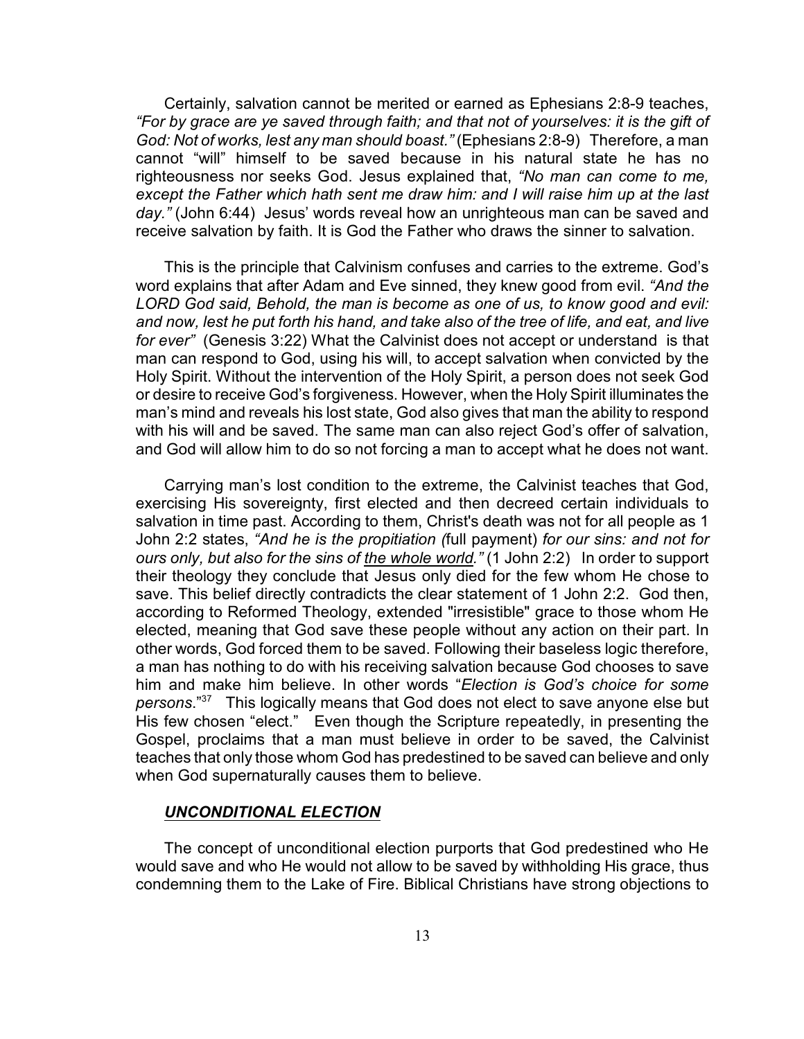Certainly, salvation cannot be merited or earned as Ephesians 2:8-9 teaches, *"For by grace are ye saved through faith; and that not of yourselves: it is the gift of God: Not of works, lest any man should boast."* (Ephesians 2:8-9) Therefore, a man cannot "will" himself to be saved because in his natural state he has no righteousness nor seeks God. Jesus explained that, *"No man can come to me, except the Father which hath sent me draw him: and I will raise him up at the last day."* (John 6:44) Jesus' words reveal how an unrighteous man can be saved and receive salvation by faith. It is God the Father who draws the sinner to salvation.

This is the principle that Calvinism confuses and carries to the extreme. God's word explains that after Adam and Eve sinned, they knew good from evil. *"And the LORD God said, Behold, the man is become as one of us, to know good and evil: and now, lest he put forth his hand, and take also of the tree of life, and eat, and live for ever"* (Genesis 3:22) What the Calvinist does not accept or understand is that man can respond to God, using his will, to accept salvation when convicted by the Holy Spirit. Without the intervention of the Holy Spirit, a person does not seek God or desire to receive God's forgiveness. However, when the Holy Spirit illuminates the man's mind and reveals his lost state, God also gives that man the ability to respond with his will and be saved. The same man can also reject God's offer of salvation, and God will allow him to do so not forcing a man to accept what he does not want.

Carrying man's lost condition to the extreme, the Calvinist teaches that God, exercising His sovereignty, first elected and then decreed certain individuals to salvation in time past. According to them, Christ's death was not for all people as 1 John 2:2 states, *"And he is the propitiation (*full payment) *for our sins: and not for ours only, but also for the sins of the whole world."* (1 John 2:2) In order to support their theology they conclude that Jesus only died for the few whom He chose to save. This belief directly contradicts the clear statement of 1 John 2:2. God then, according to Reformed Theology, extended "irresistible" grace to those whom He elected, meaning that God save these people without any action on their part. In other words, God forced them to be saved. Following their baseless logic therefore, a man has nothing to do with his receiving salvation because God chooses to save him and make him believe. In other words "*Election is God's choice for some persons*." This logically means that God does not elect to save anyone else but <sup>37</sup> His few chosen "elect." Even though the Scripture repeatedly, in presenting the Gospel, proclaims that a man must believe in order to be saved, the Calvinist teaches that only those whom God has predestined to be saved can believe and only when God supernaturally causes them to believe.

#### *UNCONDITIONAL ELECTION*

The concept of unconditional election purports that God predestined who He would save and who He would not allow to be saved by withholding His grace, thus condemning them to the Lake of Fire. Biblical Christians have strong objections to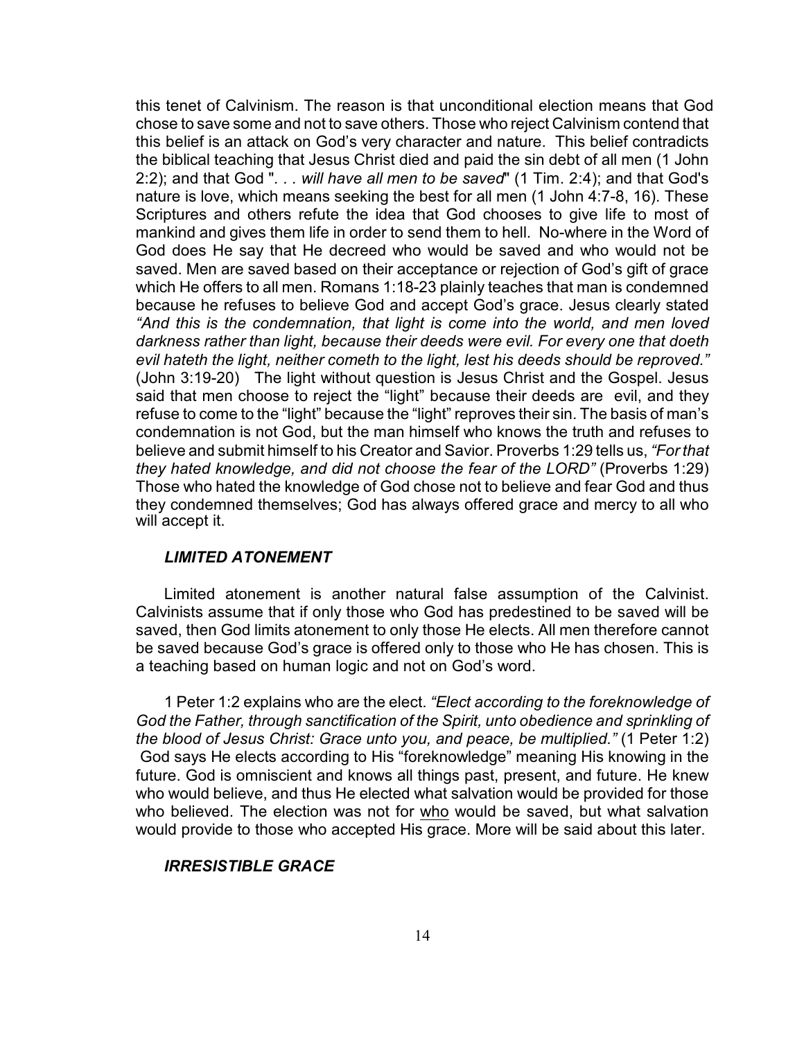this tenet of Calvinism. The reason is that unconditional election means that God chose to save some and not to save others. Those who reject Calvinism contend that this belief is an attack on God's very character and nature. This belief contradicts the biblical teaching that Jesus Christ died and paid the sin debt of all men (1 John 2:2); and that God "*. . . will have all men to be saved*" (1 Tim. 2:4); and that God's nature is love, which means seeking the best for all men (1 John 4:7-8, 16). These Scriptures and others refute the idea that God chooses to give life to most of mankind and gives them life in order to send them to hell. No-where in the Word of God does He say that He decreed who would be saved and who would not be saved. Men are saved based on their acceptance or rejection of God's gift of grace which He offers to all men. Romans 1:18-23 plainly teaches that man is condemned because he refuses to believe God and accept God's grace. Jesus clearly stated *"And this is the condemnation, that light is come into the world, and men loved darkness rather than light, because their deeds were evil. For every one that doeth evil hateth the light, neither cometh to the light, lest his deeds should be reproved."* (John 3:19-20) The light without question is Jesus Christ and the Gospel. Jesus said that men choose to reject the "light" because their deeds are evil, and they refuse to come to the "light" because the "light" reproves their sin. The basis of man's condemnation is not God, but the man himself who knows the truth and refuses to believe and submit himself to his Creator and Savior. Proverbs 1:29 tells us, *"For that they hated knowledge, and did not choose the fear of the LORD"* (Proverbs 1:29) Those who hated the knowledge of God chose not to believe and fear God and thus they condemned themselves; God has always offered grace and mercy to all who will accept it.

# *LIMITED ATONEMENT*

Limited atonement is another natural false assumption of the Calvinist. Calvinists assume that if only those who God has predestined to be saved will be saved, then God limits atonement to only those He elects. All men therefore cannot be saved because God's grace is offered only to those who He has chosen. This is a teaching based on human logic and not on God's word.

1 Peter 1:2 explains who are the elect. *"Elect according to the foreknowledge of God the Father, through sanctification of the Spirit, unto obedience and sprinkling of the blood of Jesus Christ: Grace unto you, and peace, be multiplied."* (1 Peter 1:2) God says He elects according to His "foreknowledge" meaning His knowing in the future. God is omniscient and knows all things past, present, and future. He knew who would believe, and thus He elected what salvation would be provided for those who believed. The election was not for who would be saved, but what salvation would provide to those who accepted His grace. More will be said about this later.

# *IRRESISTIBLE GRACE*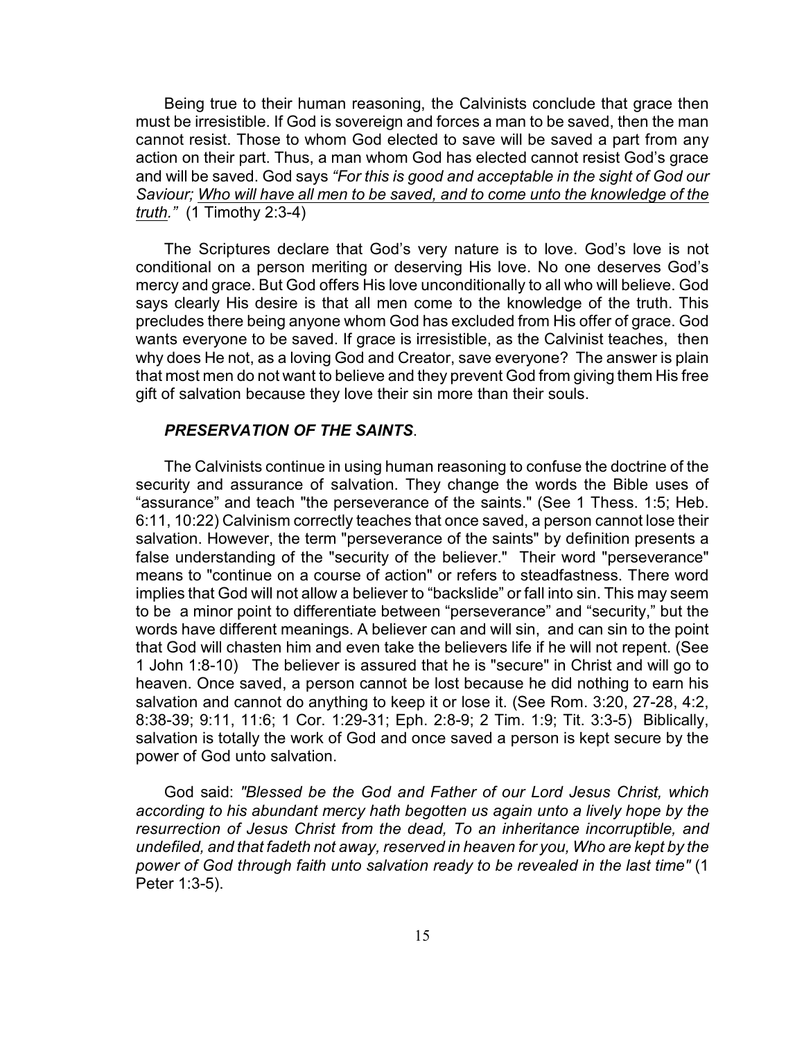Being true to their human reasoning, the Calvinists conclude that grace then must be irresistible. If God is sovereign and forces a man to be saved, then the man cannot resist. Those to whom God elected to save will be saved a part from any action on their part. Thus, a man whom God has elected cannot resist God's grace and will be saved. God says *"For this is good and acceptable in the sight of God our Saviour; Who will have all men to be saved, and to come unto the knowledge of the truth."* (1 Timothy 2:3-4)

The Scriptures declare that God's very nature is to love. God's love is not conditional on a person meriting or deserving His love. No one deserves God's mercy and grace. But God offers His love unconditionally to all who will believe. God says clearly His desire is that all men come to the knowledge of the truth. This precludes there being anyone whom God has excluded from His offer of grace. God wants everyone to be saved. If grace is irresistible, as the Calvinist teaches, then why does He not, as a loving God and Creator, save everyone? The answer is plain that most men do not want to believe and they prevent God from giving them His free gift of salvation because they love their sin more than their souls.

#### *PRESERVATION OF THE SAINTS*.

The Calvinists continue in using human reasoning to confuse the doctrine of the security and assurance of salvation. They change the words the Bible uses of "assurance" and teach "the perseverance of the saints." (See 1 Thess. 1:5; Heb. 6:11, 10:22) Calvinism correctly teaches that once saved, a person cannot lose their salvation. However, the term "perseverance of the saints" by definition presents a false understanding of the "security of the believer." Their word "perseverance" means to "continue on a course of action" or refers to steadfastness. There word implies that God will not allow a believer to "backslide" or fall into sin. This may seem to be a minor point to differentiate between "perseverance" and "security," but the words have different meanings. A believer can and will sin, and can sin to the point that God will chasten him and even take the believers life if he will not repent. (See 1 John 1:8-10) The believer is assured that he is "secure" in Christ and will go to heaven. Once saved, a person cannot be lost because he did nothing to earn his salvation and cannot do anything to keep it or lose it. (See Rom. 3:20, 27-28, 4:2, 8:38-39; 9:11, 11:6; 1 Cor. 1:29-31; Eph. 2:8-9; 2 Tim. 1:9; Tit. 3:3-5) Biblically, salvation is totally the work of God and once saved a person is kept secure by the power of God unto salvation.

God said: *"Blessed be the God and Father of our Lord Jesus Christ, which according to his abundant mercy hath begotten us again unto a lively hope by the resurrection of Jesus Christ from the dead, To an inheritance incorruptible, and undefiled, and that fadeth not away, reserved in heaven for you, Who are kept by the power of God through faith unto salvation ready to be revealed in the last time"* (1 Peter 1:3-5).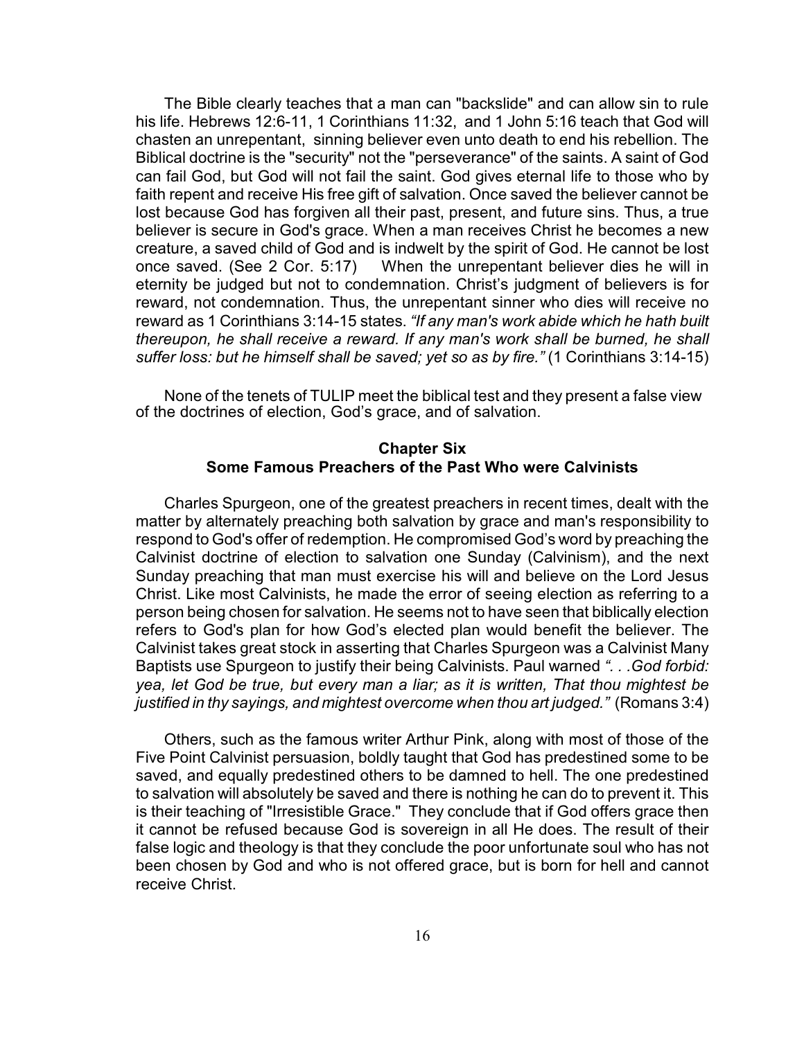The Bible clearly teaches that a man can "backslide" and can allow sin to rule his life. Hebrews 12:6-11, 1 Corinthians 11:32, and 1 John 5:16 teach that God will chasten an unrepentant, sinning believer even unto death to end his rebellion. The Biblical doctrine is the "security" not the "perseverance" of the saints. A saint of God can fail God, but God will not fail the saint. God gives eternal life to those who by faith repent and receive His free gift of salvation. Once saved the believer cannot be lost because God has forgiven all their past, present, and future sins. Thus, a true believer is secure in God's grace. When a man receives Christ he becomes a new creature, a saved child of God and is indwelt by the spirit of God. He cannot be lost once saved. (See 2 Cor. 5:17) When the unrepentant believer dies he will in eternity be judged but not to condemnation. Christ's judgment of believers is for reward, not condemnation. Thus, the unrepentant sinner who dies will receive no reward as 1 Corinthians 3:14-15 states. *"If any man's work abide which he hath built thereupon, he shall receive a reward. If any man's work shall be burned, he shall suffer loss: but he himself shall be saved; yet so as by fire."* (1 Corinthians 3:14-15)

None of the tenets of TULIP meet the biblical test and they present a false view of the doctrines of election, God's grace, and of salvation.

## **Chapter Six Some Famous Preachers of the Past Who were Calvinists**

Charles Spurgeon, one of the greatest preachers in recent times, dealt with the matter by alternately preaching both salvation by grace and man's responsibility to respond to God's offer of redemption. He compromised God's word by preaching the Calvinist doctrine of election to salvation one Sunday (Calvinism), and the next Sunday preaching that man must exercise his will and believe on the Lord Jesus Christ. Like most Calvinists, he made the error of seeing election as referring to a person being chosen for salvation. He seems not to have seen that biblically election refers to God's plan for how God's elected plan would benefit the believer. The Calvinist takes great stock in asserting that Charles Spurgeon was a Calvinist Many Baptists use Spurgeon to justify their being Calvinists. Paul warned *". . .God forbid: yea, let God be true, but every man a liar; as it is written, That thou mightest be justified in thy sayings, and mightest overcome when thou art judged."* (Romans 3:4)

Others, such as the famous writer Arthur Pink, along with most of those of the Five Point Calvinist persuasion, boldly taught that God has predestined some to be saved, and equally predestined others to be damned to hell. The one predestined to salvation will absolutely be saved and there is nothing he can do to prevent it. This is their teaching of "Irresistible Grace." They conclude that if God offers grace then it cannot be refused because God is sovereign in all He does. The result of their false logic and theology is that they conclude the poor unfortunate soul who has not been chosen by God and who is not offered grace, but is born for hell and cannot receive Christ.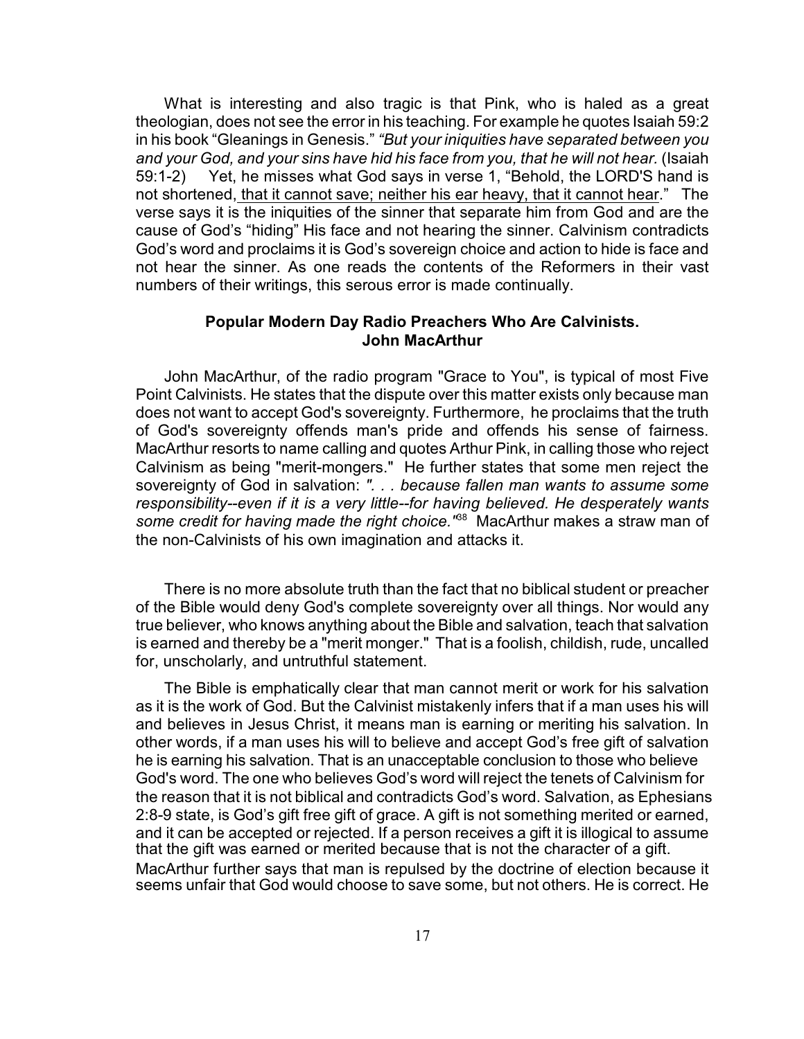What is interesting and also tragic is that Pink, who is haled as a great theologian, does not see the error in his teaching. For example he quotes Isaiah 59:2 in his book "Gleanings in Genesis." *"But your iniquities have separated between you* and your God, and your sins have hid his face from you, that he will not hear. (Isaiah 59:1-2) Yet, he misses what God says in verse 1, "Behold, the LORD'S hand is not shortened, that it cannot save; neither his ear heavy, that it cannot hear." The verse says it is the iniquities of the sinner that separate him from God and are the cause of God's "hiding" His face and not hearing the sinner. Calvinism contradicts God's word and proclaims it is God's sovereign choice and action to hide is face and not hear the sinner. As one reads the contents of the Reformers in their vast numbers of their writings, this serous error is made continually.

## **Popular Modern Day Radio Preachers Who Are Calvinists. John MacArthur**

John MacArthur, of the radio program "Grace to You", is typical of most Five Point Calvinists. He states that the dispute over this matter exists only because man does not want to accept God's sovereignty. Furthermore, he proclaims that the truth of God's sovereignty offends man's pride and offends his sense of fairness. MacArthur resorts to name calling and quotes Arthur Pink, in calling those who reject Calvinism as being "merit-mongers." He further states that some men reject the sovereignty of God in salvation: *". . . because fallen man wants to assume some responsibility--even if it is a very little--for having believed. He desperately wants* some credit for having made the right choice.<sup>"88</sup> MacArthur makes a straw man of the non-Calvinists of his own imagination and attacks it.

There is no more absolute truth than the fact that no biblical student or preacher of the Bible would deny God's complete sovereignty over all things. Nor would any true believer, who knows anything about the Bible and salvation, teach that salvation is earned and thereby be a "merit monger." That is a foolish, childish, rude, uncalled for, unscholarly, and untruthful statement.

The Bible is emphatically clear that man cannot merit or work for his salvation as it is the work of God. But the Calvinist mistakenly infers that if a man uses his will and believes in Jesus Christ, it means man is earning or meriting his salvation. In other words, if a man uses his will to believe and accept God's free gift of salvation he is earning his salvation. That is an unacceptable conclusion to those who believe God's word. The one who believes God's word will reject the tenets of Calvinism for the reason that it is not biblical and contradicts God's word. Salvation, as Ephesians 2:8-9 state, is God's gift free gift of grace. A gift is not something merited or earned, and it can be accepted or rejected. If a person receives a gift it is illogical to assume that the gift was earned or merited because that is not the character of a gift. MacArthur further says that man is repulsed by the doctrine of election because it seems unfair that God would choose to save some, but not others. He is correct. He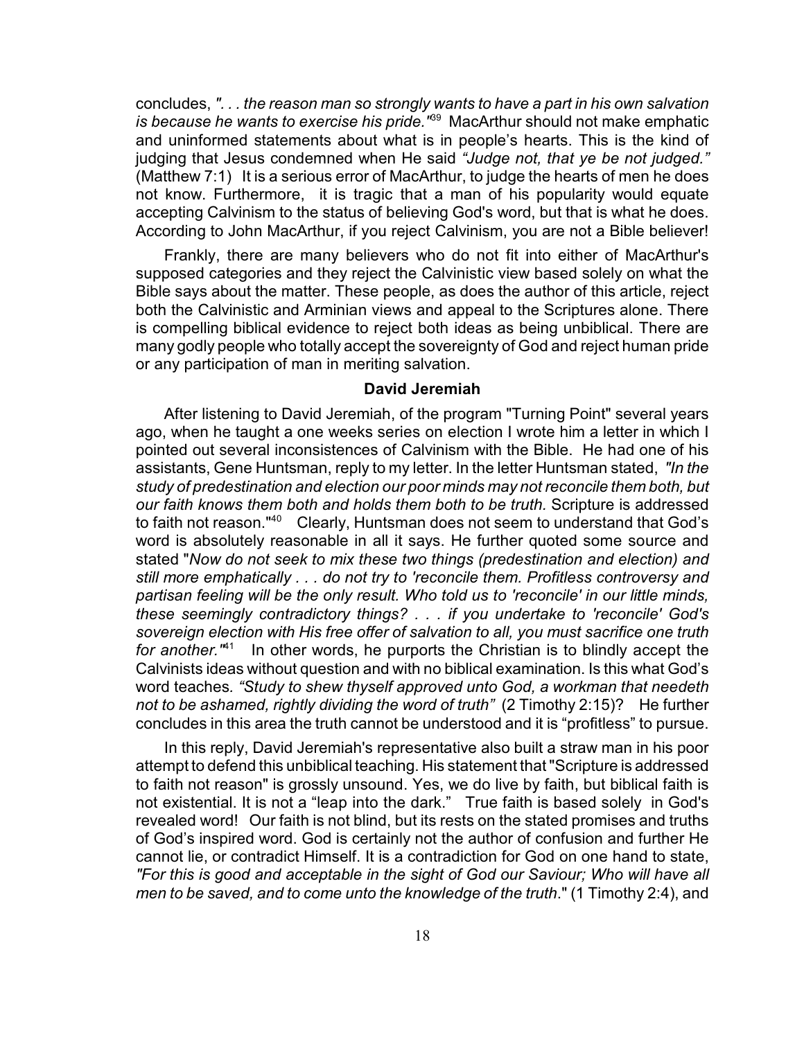concludes, *". . . the reason man so strongly wants to have a part in his own salvation is because he wants to exercise his pride.*<sup>189</sup> MacArthur should not make emphatic and uninformed statements about what is in people's hearts. This is the kind of judging that Jesus condemned when He said *"Judge not, that ye be not judged."* (Matthew 7:1) It is a serious error of MacArthur, to judge the hearts of men he does not know. Furthermore, it is tragic that a man of his popularity would equate accepting Calvinism to the status of believing God's word, but that is what he does. According to John MacArthur, if you reject Calvinism, you are not a Bible believer!

Frankly, there are many believers who do not fit into either of MacArthur's supposed categories and they reject the Calvinistic view based solely on what the Bible says about the matter. These people, as does the author of this article, reject both the Calvinistic and Arminian views and appeal to the Scriptures alone. There is compelling biblical evidence to reject both ideas as being unbiblical. There are many godly people who totally accept the sovereignty of God and reject human pride or any participation of man in meriting salvation.

## **David Jeremiah**

After listening to David Jeremiah, of the program "Turning Point" several years ago, when he taught a one weeks series on election I wrote him a letter in which I pointed out several inconsistences of Calvinism with the Bible. He had one of his assistants, Gene Huntsman, reply to my letter. In the letter Huntsman stated, *"In the study of predestination and election our poor minds may not reconcile them both, but our faith knows them both and holds them both to be truth.* Scripture is addressed to faith not reason."<sup>40</sup> Clearly, Huntsman does not seem to understand that God's word is absolutely reasonable in all it says. He further quoted some source and stated "*Now do not seek to mix these two things (predestination and election) and still more emphatically . . . do not try to 'reconcile them. Profitless controversy and partisan feeling will be the only result. Who told us to 'reconcile' in our little minds, these seemingly contradictory things? . . . if you undertake to 'reconcile' God's sovereign election with His free offer of salvation to all, you must sacrifice one truth for another.*"<sup>41</sup> In other words, he purports the Christian is to blindly accept the Calvinists ideas without question and with no biblical examination. Is this what God's word teaches*. "Study to shew thyself approved unto God, a workman that needeth not to be ashamed, rightly dividing the word of truth"* (2 Timothy 2:15)? He further concludes in this area the truth cannot be understood and it is "profitless" to pursue.

In this reply, David Jeremiah's representative also built a straw man in his poor attempt to defend this unbiblical teaching. His statement that "Scripture is addressed to faith not reason" is grossly unsound. Yes, we do live by faith, but biblical faith is not existential. It is not a "leap into the dark." True faith is based solely in God's revealed word! Our faith is not blind, but its rests on the stated promises and truths of God's inspired word. God is certainly not the author of confusion and further He cannot lie, or contradict Himself. It is a contradiction for God on one hand to state, *"For this is good and acceptable in the sight of God our Saviour; Who will have all men to be saved, and to come unto the knowledge of the truth*." (1 Timothy 2:4), and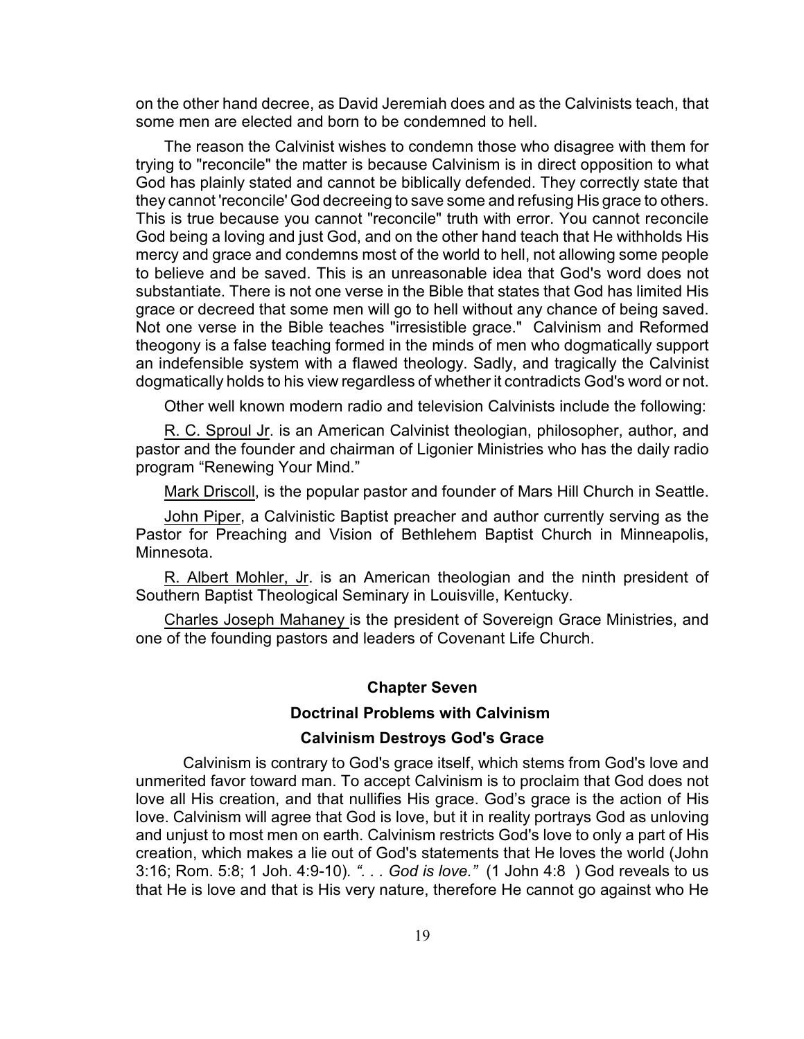on the other hand decree, as David Jeremiah does and as the Calvinists teach, that some men are elected and born to be condemned to hell.

The reason the Calvinist wishes to condemn those who disagree with them for trying to "reconcile" the matter is because Calvinism is in direct opposition to what God has plainly stated and cannot be biblically defended. They correctly state that they cannot 'reconcile' God decreeing to save some and refusing His grace to others. This is true because you cannot "reconcile" truth with error. You cannot reconcile God being a loving and just God, and on the other hand teach that He withholds His mercy and grace and condemns most of the world to hell, not allowing some people to believe and be saved. This is an unreasonable idea that God's word does not substantiate. There is not one verse in the Bible that states that God has limited His grace or decreed that some men will go to hell without any chance of being saved. Not one verse in the Bible teaches "irresistible grace." Calvinism and Reformed theogony is a false teaching formed in the minds of men who dogmatically support an indefensible system with a flawed theology. Sadly, and tragically the Calvinist dogmatically holds to his view regardless of whether it contradicts God's word or not.

Other well known modern radio and television Calvinists include the following:

R. C. Sproul Jr. is an American Calvinist theologian, philosopher, author, and pastor and the founder and chairman of Ligonier Ministries who has the daily radio program "Renewing Your Mind."

Mark Driscoll, is the popular pastor and founder of Mars Hill Church in Seattle.

John Piper, a Calvinistic Baptist preacher and author currently serving as the Pastor for Preaching and Vision of Bethlehem Baptist Church in Minneapolis, Minnesota.

R. Albert Mohler, Jr. is an American theologian and the ninth president of Southern Baptist Theological Seminary in Louisville, Kentucky.

Charles Joseph Mahaney is the president of Sovereign Grace Ministries, and one of the founding pastors and leaders of Covenant Life Church.

#### **Chapter Seven**

#### **Doctrinal Problems with Calvinism**

#### **Calvinism Destroys God's Grace**

Calvinism is contrary to God's grace itself, which stems from God's love and unmerited favor toward man. To accept Calvinism is to proclaim that God does not love all His creation, and that nullifies His grace. God's grace is the action of His love. Calvinism will agree that God is love, but it in reality portrays God as unloving and unjust to most men on earth. Calvinism restricts God's love to only a part of His creation, which makes a lie out of God's statements that He loves the world (John 3:16; Rom. 5:8; 1 Joh. 4:9-10)*. ". . . God is love."* (1 John 4:8 ) God reveals to us that He is love and that is His very nature, therefore He cannot go against who He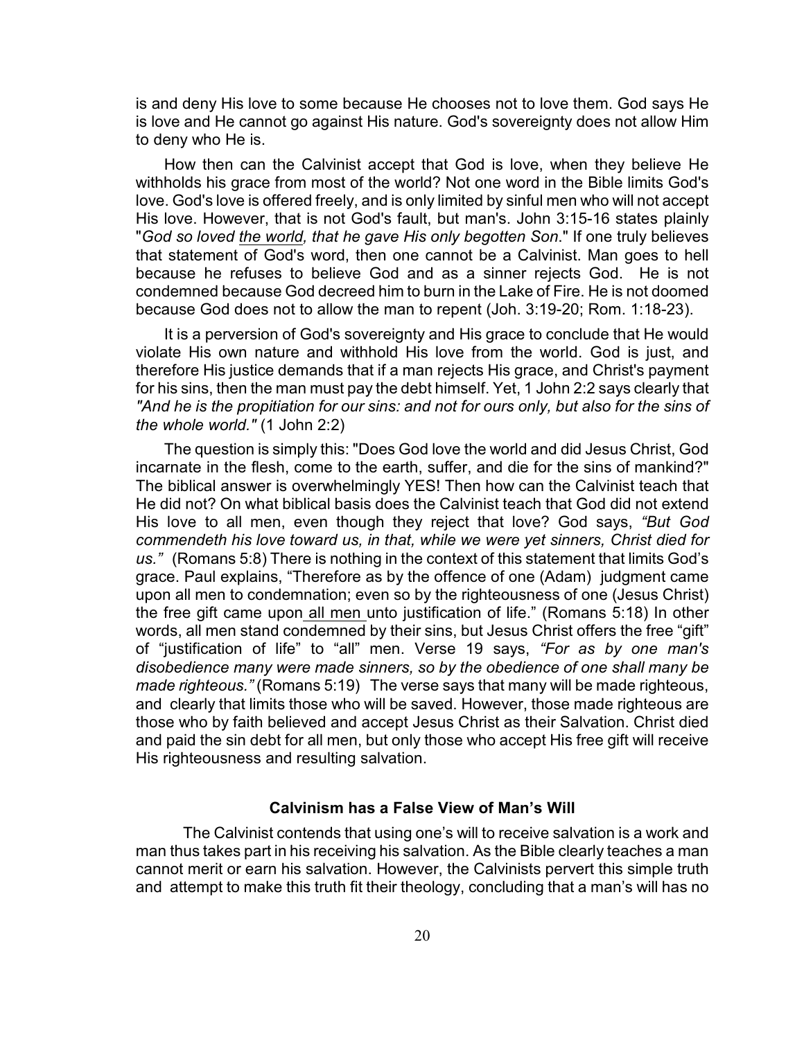is and deny His love to some because He chooses not to love them. God says He is love and He cannot go against His nature. God's sovereignty does not allow Him to deny who He is.

How then can the Calvinist accept that God is love, when they believe He withholds his grace from most of the world? Not one word in the Bible limits God's love. God's love is offered freely, and is only limited by sinful men who will not accept His love. However, that is not God's fault, but man's. John 3:15-16 states plainly "*God so loved the world, that he gave His only begotten Son*." If one truly believes that statement of God's word, then one cannot be a Calvinist. Man goes to hell because he refuses to believe God and as a sinner rejects God. He is not condemned because God decreed him to burn in the Lake of Fire. He is not doomed because God does not to allow the man to repent (Joh. 3:19-20; Rom. 1:18-23).

It is a perversion of God's sovereignty and His grace to conclude that He would violate His own nature and withhold His love from the world. God is just, and therefore His justice demands that if a man rejects His grace, and Christ's payment for his sins, then the man must pay the debt himself. Yet, 1 John 2:2 says clearly that *"And he is the propitiation for our sins: and not for ours only, but also for the sins of the whole world."* (1 John 2:2)

The question is simply this: "Does God love the world and did Jesus Christ, God incarnate in the flesh, come to the earth, suffer, and die for the sins of mankind?" The biblical answer is overwhelmingly YES! Then how can the Calvinist teach that He did not? On what biblical basis does the Calvinist teach that God did not extend His love to all men, even though they reject that love? God says, *"But God commendeth his love toward us, in that, while we were yet sinners, Christ died for us."* (Romans 5:8) There is nothing in the context of this statement that limits God's grace. Paul explains, "Therefore as by the offence of one (Adam) judgment came upon all men to condemnation; even so by the righteousness of one (Jesus Christ) the free gift came upon all men unto justification of life." (Romans 5:18) In other words, all men stand condemned by their sins, but Jesus Christ offers the free "gift" of "justification of life" to "all" men. Verse 19 says, *"For as by one man's disobedience many were made sinners, so by the obedience of one shall many be made righteous."* (Romans 5:19) The verse says that many will be made righteous, and clearly that limits those who will be saved. However, those made righteous are those who by faith believed and accept Jesus Christ as their Salvation. Christ died and paid the sin debt for all men, but only those who accept His free gift will receive His righteousness and resulting salvation.

## **Calvinism has a False View of Man's Will**

The Calvinist contends that using one's will to receive salvation is a work and man thus takes part in his receiving his salvation. As the Bible clearly teaches a man cannot merit or earn his salvation. However, the Calvinists pervert this simple truth and attempt to make this truth fit their theology, concluding that a man's will has no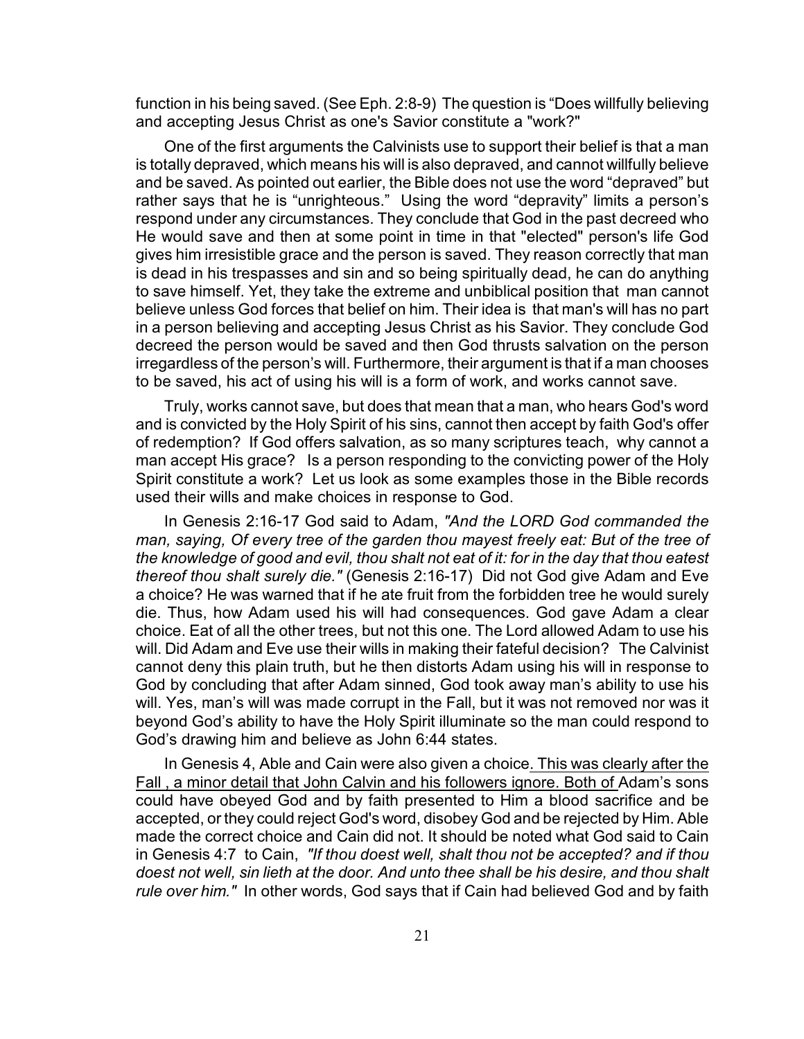function in his being saved. (See Eph. 2:8-9) The question is "Does willfully believing and accepting Jesus Christ as one's Savior constitute a "work?"

One of the first arguments the Calvinists use to support their belief is that a man is totally depraved, which means his will is also depraved, and cannot willfully believe and be saved. As pointed out earlier, the Bible does not use the word "depraved" but rather says that he is "unrighteous." Using the word "depravity" limits a person's respond under any circumstances. They conclude that God in the past decreed who He would save and then at some point in time in that "elected" person's life God gives him irresistible grace and the person is saved. They reason correctly that man is dead in his trespasses and sin and so being spiritually dead, he can do anything to save himself. Yet, they take the extreme and unbiblical position that man cannot believe unless God forces that belief on him. Their idea is that man's will has no part in a person believing and accepting Jesus Christ as his Savior. They conclude God decreed the person would be saved and then God thrusts salvation on the person irregardless of the person's will. Furthermore, their argument is that if a man chooses to be saved, his act of using his will is a form of work, and works cannot save.

Truly, works cannot save, but does that mean that a man, who hears God's word and is convicted by the Holy Spirit of his sins, cannot then accept by faith God's offer of redemption? If God offers salvation, as so many scriptures teach, why cannot a man accept His grace? Is a person responding to the convicting power of the Holy Spirit constitute a work? Let us look as some examples those in the Bible records used their wills and make choices in response to God.

In Genesis 2:16-17 God said to Adam, *"And the LORD God commanded the man, saying, Of every tree of the garden thou mayest freely eat: But of the tree of the knowledge of good and evil, thou shalt not eat of it: for in the day that thou eatest thereof thou shalt surely die."* (Genesis 2:16-17) Did not God give Adam and Eve a choice? He was warned that if he ate fruit from the forbidden tree he would surely die. Thus, how Adam used his will had consequences. God gave Adam a clear choice. Eat of all the other trees, but not this one. The Lord allowed Adam to use his will. Did Adam and Eve use their wills in making their fateful decision? The Calvinist cannot deny this plain truth, but he then distorts Adam using his will in response to God by concluding that after Adam sinned, God took away man's ability to use his will. Yes, man's will was made corrupt in the Fall, but it was not removed nor was it beyond God's ability to have the Holy Spirit illuminate so the man could respond to God's drawing him and believe as John 6:44 states.

In Genesis 4, Able and Cain were also given a choice. This was clearly after the Fall , a minor detail that John Calvin and his followers ignore. Both of Adam's sons could have obeyed God and by faith presented to Him a blood sacrifice and be accepted, or they could reject God's word, disobey God and be rejected by Him. Able made the correct choice and Cain did not. It should be noted what God said to Cain in Genesis 4:7 to Cain, *"If thou doest well, shalt thou not be accepted? and if thou doest not well, sin lieth at the door. And unto thee shall be his desire, and thou shalt rule over him."* In other words, God says that if Cain had believed God and by faith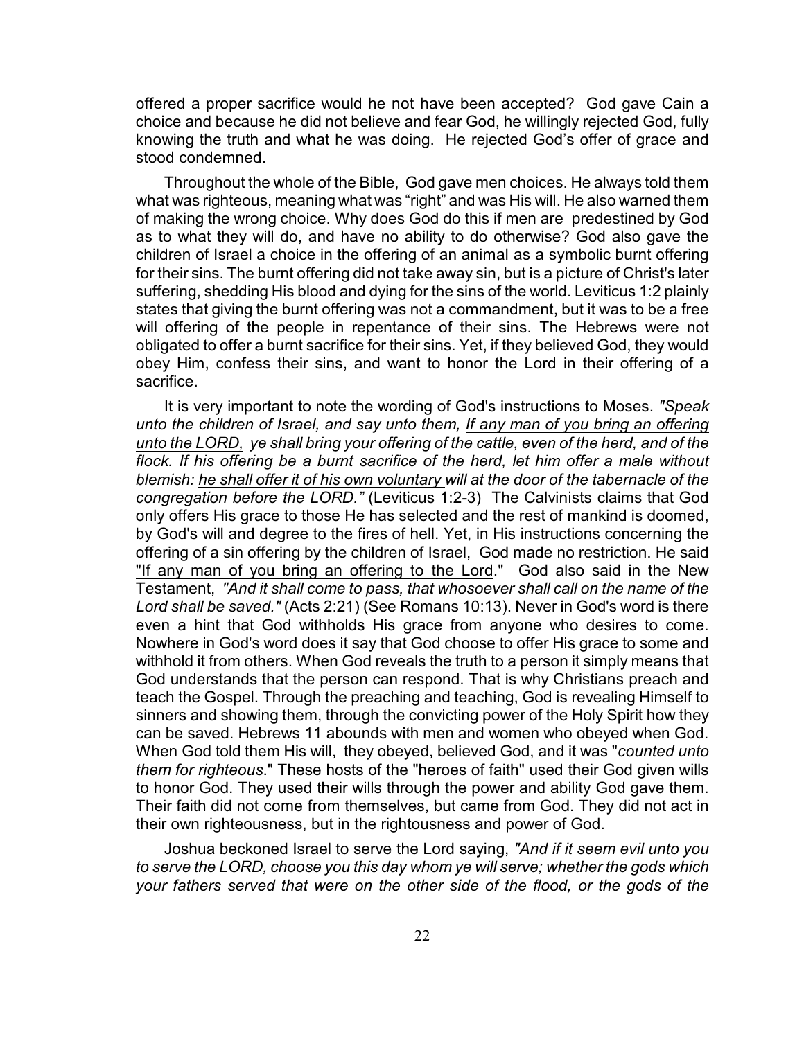offered a proper sacrifice would he not have been accepted? God gave Cain a choice and because he did not believe and fear God, he willingly rejected God, fully knowing the truth and what he was doing. He rejected God's offer of grace and stood condemned.

Throughout the whole of the Bible, God gave men choices. He always told them what was righteous, meaning what was "right" and was His will. He also warned them of making the wrong choice. Why does God do this if men are predestined by God as to what they will do, and have no ability to do otherwise? God also gave the children of Israel a choice in the offering of an animal as a symbolic burnt offering for their sins. The burnt offering did not take away sin, but is a picture of Christ's later suffering, shedding His blood and dying for the sins of the world. Leviticus 1:2 plainly states that giving the burnt offering was not a commandment, but it was to be a free will offering of the people in repentance of their sins. The Hebrews were not obligated to offer a burnt sacrifice for their sins. Yet, if they believed God, they would obey Him, confess their sins, and want to honor the Lord in their offering of a sacrifice.

It is very important to note the wording of God's instructions to Moses. *"Speak unto the children of Israel, and say unto them, If any man of you bring an offering unto the LORD, ye shall bring your offering of the cattle, even of the herd, and of the flock. If his offering be a burnt sacrifice of the herd, let him offer a male without blemish: he shall offer it of his own voluntary will at the door of the tabernacle of the congregation before the LORD."* (Leviticus 1:2-3) The Calvinists claims that God only offers His grace to those He has selected and the rest of mankind is doomed, by God's will and degree to the fires of hell. Yet, in His instructions concerning the offering of a sin offering by the children of Israel, God made no restriction. He said "If any man of you bring an offering to the Lord." God also said in the New Testament, *"And it shall come to pass, that whosoever shall call on the name of the Lord shall be saved."* (Acts 2:21) (See Romans 10:13). Never in God's word is there even a hint that God withholds His grace from anyone who desires to come. Nowhere in God's word does it say that God choose to offer His grace to some and withhold it from others. When God reveals the truth to a person it simply means that God understands that the person can respond. That is why Christians preach and teach the Gospel. Through the preaching and teaching, God is revealing Himself to sinners and showing them, through the convicting power of the Holy Spirit how they can be saved. Hebrews 11 abounds with men and women who obeyed when God. When God told them His will, they obeyed, believed God, and it was "*counted unto them for righteous*." These hosts of the "heroes of faith" used their God given wills to honor God. They used their wills through the power and ability God gave them. Their faith did not come from themselves, but came from God. They did not act in their own righteousness, but in the rightousness and power of God.

Joshua beckoned Israel to serve the Lord saying, *"And if it seem evil unto you to serve the LORD, choose you this day whom ye will serve; whether the gods which your fathers served that were on the other side of the flood, or the gods of the*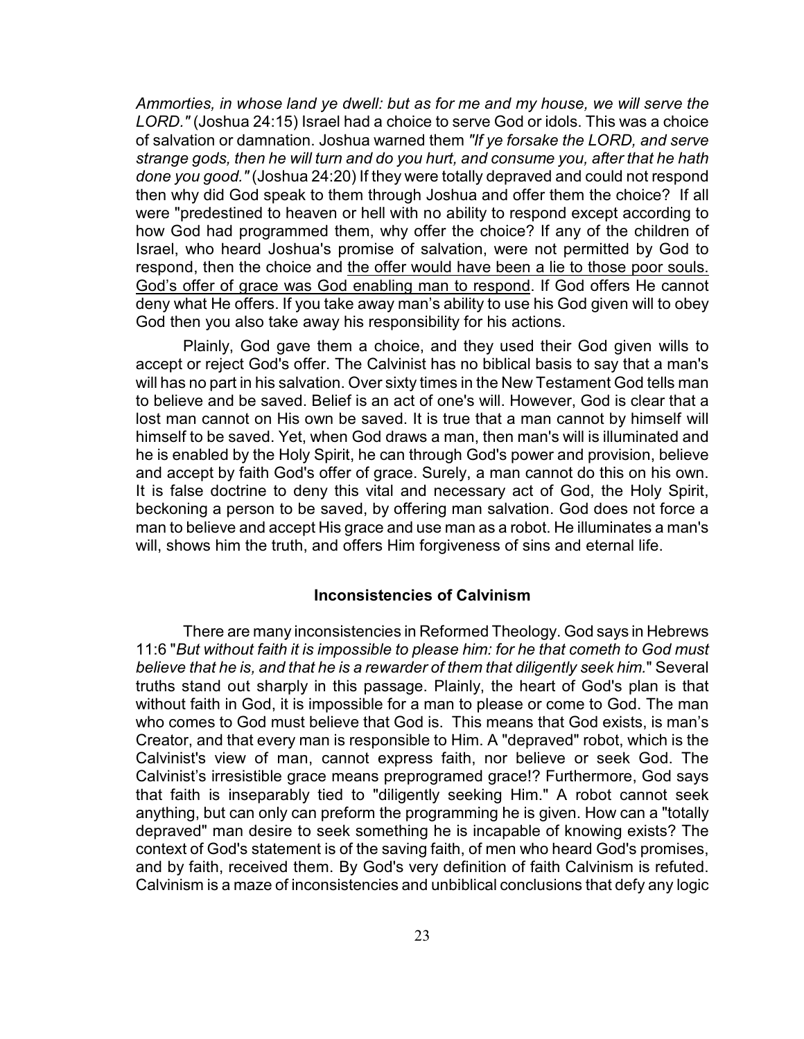*Ammorties, in whose land ye dwell: but as for me and my house, we will serve the LORD."* (Joshua 24:15) Israel had a choice to serve God or idols. This was a choice of salvation or damnation. Joshua warned them *"If ye forsake the LORD, and serve strange gods, then he will turn and do you hurt, and consume you, after that he hath done you good."* (Joshua 24:20) If they were totally depraved and could not respond then why did God speak to them through Joshua and offer them the choice? If all were "predestined to heaven or hell with no ability to respond except according to how God had programmed them, why offer the choice? If any of the children of Israel, who heard Joshua's promise of salvation, were not permitted by God to respond, then the choice and the offer would have been a lie to those poor souls. God's offer of grace was God enabling man to respond. If God offers He cannot deny what He offers. If you take away man's ability to use his God given will to obey God then you also take away his responsibility for his actions.

Plainly, God gave them a choice, and they used their God given wills to accept or reject God's offer. The Calvinist has no biblical basis to say that a man's will has no part in his salvation. Over sixty times in the New Testament God tells man to believe and be saved. Belief is an act of one's will. However, God is clear that a lost man cannot on His own be saved. It is true that a man cannot by himself will himself to be saved. Yet, when God draws a man, then man's will is illuminated and he is enabled by the Holy Spirit, he can through God's power and provision, believe and accept by faith God's offer of grace. Surely, a man cannot do this on his own. It is false doctrine to deny this vital and necessary act of God, the Holy Spirit, beckoning a person to be saved, by offering man salvation. God does not force a man to believe and accept His grace and use man as a robot. He illuminates a man's will, shows him the truth, and offers Him forgiveness of sins and eternal life.

#### **Inconsistencies of Calvinism**

There are many inconsistencies in Reformed Theology. God says in Hebrews 11:6 "*But without faith it is impossible to please him: for he that cometh to God must believe that he is, and that he is a rewarder of them that diligently seek him.*" Several truths stand out sharply in this passage. Plainly, the heart of God's plan is that without faith in God, it is impossible for a man to please or come to God. The man who comes to God must believe that God is. This means that God exists, is man's Creator, and that every man is responsible to Him. A "depraved" robot, which is the Calvinist's view of man, cannot express faith, nor believe or seek God. The Calvinist's irresistible grace means preprogramed grace!? Furthermore, God says that faith is inseparably tied to "diligently seeking Him." A robot cannot seek anything, but can only can preform the programming he is given. How can a "totally depraved" man desire to seek something he is incapable of knowing exists? The context of God's statement is of the saving faith, of men who heard God's promises, and by faith, received them. By God's very definition of faith Calvinism is refuted. Calvinism is a maze of inconsistencies and unbiblical conclusions that defy any logic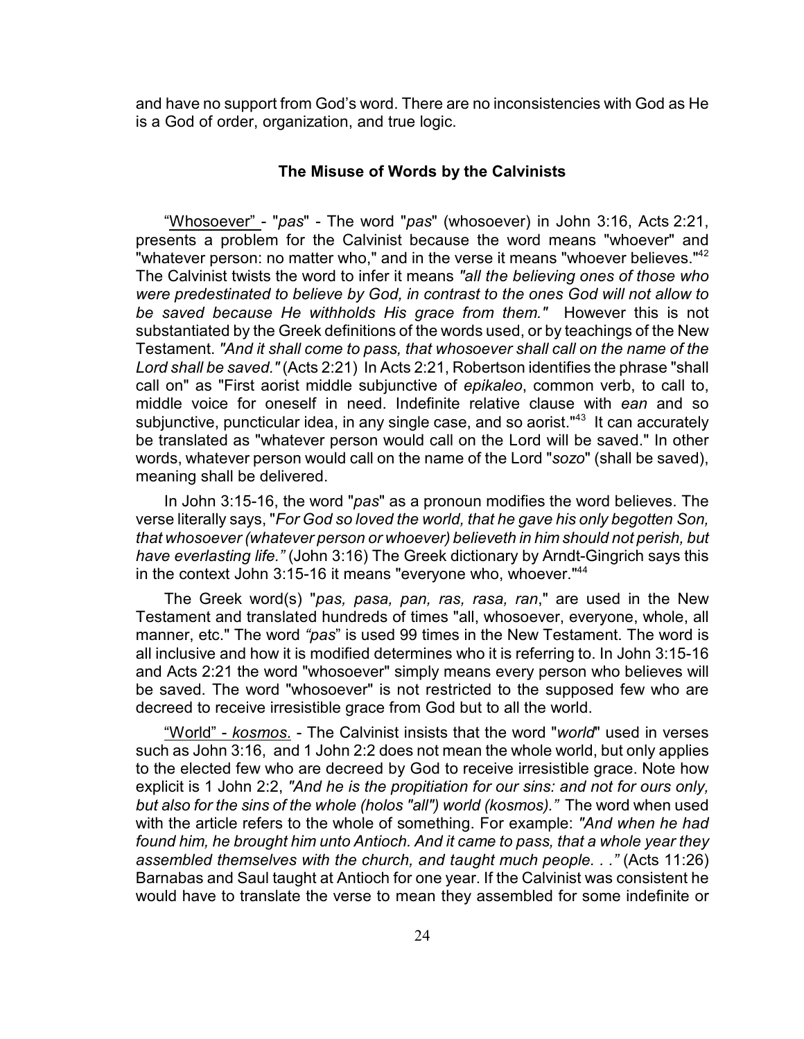and have no support from God's word. There are no inconsistencies with God as He is a God of order, organization, and true logic.

#### **The Misuse of Words by the Calvinists**

"Whosoever" - "*pas*" - The word "*pas*" (whosoever) in John 3:16, Acts 2:21, presents a problem for the Calvinist because the word means "whoever" and "whatever person: no matter who," and in the verse it means "whoever believes."<sup>42</sup> The Calvinist twists the word to infer it means *"all the believing ones of those who were predestinated to believe by God, in contrast to the ones God will not allow to be saved because He withholds His grace from them."* However this is not substantiated by the Greek definitions of the words used, or by teachings of the New Testament. *"And it shall come to pass, that whosoever shall call on the name of the Lord shall be saved."* (Acts 2:21) In Acts 2:21, Robertson identifies the phrase "shall call on" as "First aorist middle subjunctive of *epikaleo*, common verb, to call to, middle voice for oneself in need. Indefinite relative clause with *ean* and so subjunctive, puncticular idea, in any single case, and so aorist."<sup>43</sup> It can accurately be translated as "whatever person would call on the Lord will be saved." In other words, whatever person would call on the name of the Lord "*sozo*" (shall be saved), meaning shall be delivered.

In John 3:15-16, the word "*pas*" as a pronoun modifies the word believes. The verse literally says, "*For God so loved the world, that he gave his only begotten Son, that whosoever (whatever person or whoever) believeth in him should not perish, but have everlasting life."* (John 3:16) The Greek dictionary by Arndt-Gingrich says this in the context John 3:15-16 it means "everyone who, whoever."<sup>44</sup>

The Greek word(s) "*pas, pasa, pan, ras, rasa, ran*," are used in the New Testament and translated hundreds of times "all, whosoever, everyone, whole, all manner, etc." The word *"pas*" is used 99 times in the New Testament. The word is all inclusive and how it is modified determines who it is referring to. In John 3:15-16 and Acts 2:21 the word "whosoever" simply means every person who believes will be saved. The word "whosoever" is not restricted to the supposed few who are decreed to receive irresistible grace from God but to all the world.

"World" - *kosmos*. - The Calvinist insists that the word "*world*" used in verses such as John 3:16, and 1 John 2:2 does not mean the whole world, but only applies to the elected few who are decreed by God to receive irresistible grace. Note how explicit is 1 John 2:2, *"And he is the propitiation for our sins: and not for ours only, but also for the sins of the whole (holos "all") world (kosmos)."* The word when used with the article refers to the whole of something. For example: *"And when he had found him, he brought him unto Antioch. And it came to pass, that a whole year they assembled themselves with the church, and taught much people. . ."* (Acts 11:26) Barnabas and Saul taught at Antioch for one year. If the Calvinist was consistent he would have to translate the verse to mean they assembled for some indefinite or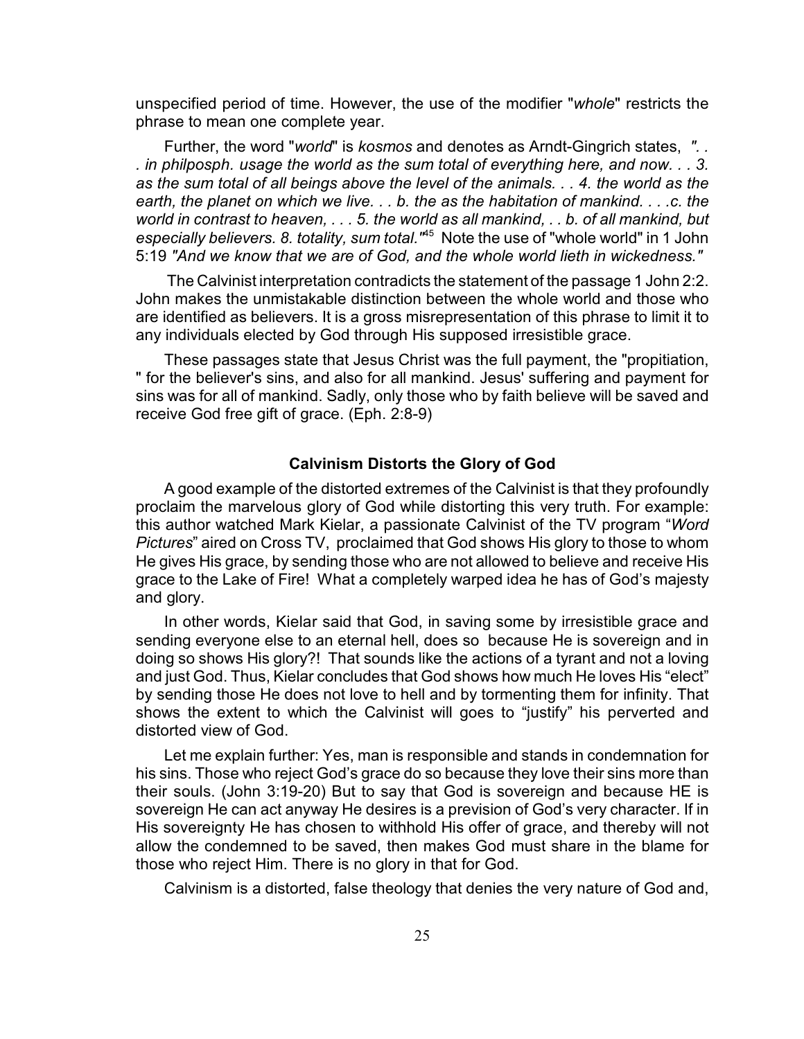unspecified period of time. However, the use of the modifier "*whole*" restricts the phrase to mean one complete year.

Further, the word "*world*" is *kosmos* and denotes as Arndt-Gingrich states, *". . . in philposph. usage the world as the sum total of everything here, and now. . . 3. as the sum total of all beings above the level of the animals. . . 4. the world as the earth, the planet on which we live. . . b. the as the habitation of mankind. . . .c. the world in contrast to heaven, . . . 5. the world as all mankind, . . b. of all mankind, but especially believers. 8. totality, sum total.* "<sup>45</sup> Note the use of "whole world" in 1 John 5:19 *"And we know that we are of God, and the whole world lieth in wickedness."*

 The Calvinist interpretation contradicts the statement of the passage 1 John 2:2. John makes the unmistakable distinction between the whole world and those who are identified as believers. It is a gross misrepresentation of this phrase to limit it to any individuals elected by God through His supposed irresistible grace.

These passages state that Jesus Christ was the full payment, the "propitiation, " for the believer's sins, and also for all mankind. Jesus' suffering and payment for sins was for all of mankind. Sadly, only those who by faith believe will be saved and receive God free gift of grace. (Eph. 2:8-9)

#### **Calvinism Distorts the Glory of God**

A good example of the distorted extremes of the Calvinist is that they profoundly proclaim the marvelous glory of God while distorting this very truth. For example: this author watched Mark Kielar, a passionate Calvinist of the TV program "*Word Pictures*" aired on Cross TV, proclaimed that God shows His glory to those to whom He gives His grace, by sending those who are not allowed to believe and receive His grace to the Lake of Fire! What a completely warped idea he has of God's majesty and glory.

In other words, Kielar said that God, in saving some by irresistible grace and sending everyone else to an eternal hell, does so because He is sovereign and in doing so shows His glory?! That sounds like the actions of a tyrant and not a loving and just God. Thus, Kielar concludes that God shows how much He loves His "elect" by sending those He does not love to hell and by tormenting them for infinity. That shows the extent to which the Calvinist will goes to "justify" his perverted and distorted view of God.

Let me explain further: Yes, man is responsible and stands in condemnation for his sins. Those who reject God's grace do so because they love their sins more than their souls. (John 3:19-20) But to say that God is sovereign and because HE is sovereign He can act anyway He desires is a prevision of God's very character. If in His sovereignty He has chosen to withhold His offer of grace, and thereby will not allow the condemned to be saved, then makes God must share in the blame for those who reject Him. There is no glory in that for God.

Calvinism is a distorted, false theology that denies the very nature of God and,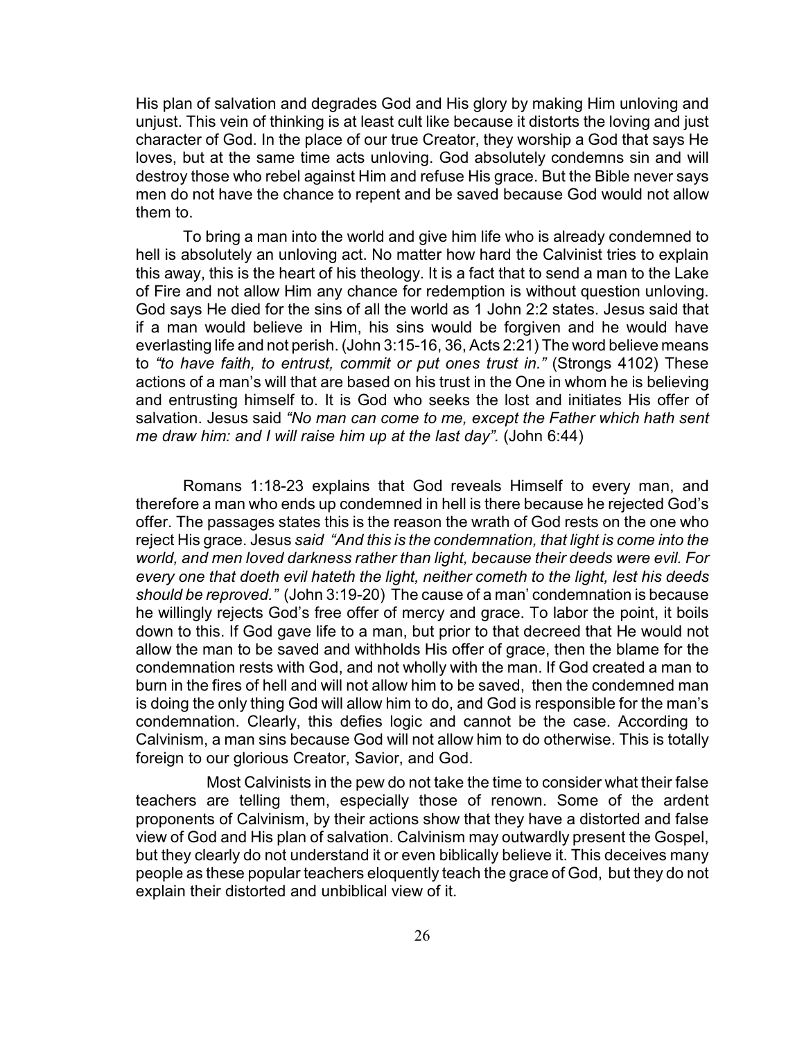His plan of salvation and degrades God and His glory by making Him unloving and unjust. This vein of thinking is at least cult like because it distorts the loving and just character of God. In the place of our true Creator, they worship a God that says He loves, but at the same time acts unloving. God absolutely condemns sin and will destroy those who rebel against Him and refuse His grace. But the Bible never says men do not have the chance to repent and be saved because God would not allow them to.

To bring a man into the world and give him life who is already condemned to hell is absolutely an unloving act. No matter how hard the Calvinist tries to explain this away, this is the heart of his theology. It is a fact that to send a man to the Lake of Fire and not allow Him any chance for redemption is without question unloving. God says He died for the sins of all the world as 1 John 2:2 states. Jesus said that if a man would believe in Him, his sins would be forgiven and he would have everlasting life and not perish. (John 3:15-16, 36, Acts 2:21) The word believe means to *"to have faith, to entrust, commit or put ones trust in."* (Strongs 4102) These actions of a man's will that are based on his trust in the One in whom he is believing and entrusting himself to. It is God who seeks the lost and initiates His offer of salvation. Jesus said *"No man can come to me, except the Father which hath sent me draw him: and I will raise him up at the last day".* (John 6:44)

Romans 1:18-23 explains that God reveals Himself to every man, and therefore a man who ends up condemned in hell is there because he rejected God's offer. The passages states this is the reason the wrath of God rests on the one who reject His grace. Jesus *said "And this is the condemnation, that light is come into the world, and men loved darkness rather than light, because their deeds were evil. For every one that doeth evil hateth the light, neither cometh to the light, lest his deeds should be reproved."* (John 3:19-20) The cause of a man' condemnation is because he willingly rejects God's free offer of mercy and grace. To labor the point, it boils down to this. If God gave life to a man, but prior to that decreed that He would not allow the man to be saved and withholds His offer of grace, then the blame for the condemnation rests with God, and not wholly with the man. If God created a man to burn in the fires of hell and will not allow him to be saved, then the condemned man is doing the only thing God will allow him to do, and God is responsible for the man's condemnation. Clearly, this defies logic and cannot be the case. According to Calvinism, a man sins because God will not allow him to do otherwise. This is totally foreign to our glorious Creator, Savior, and God.

Most Calvinists in the pew do not take the time to consider what their false teachers are telling them, especially those of renown. Some of the ardent proponents of Calvinism, by their actions show that they have a distorted and false view of God and His plan of salvation. Calvinism may outwardly present the Gospel, but they clearly do not understand it or even biblically believe it. This deceives many people as these popular teachers eloquently teach the grace of God, but they do not explain their distorted and unbiblical view of it.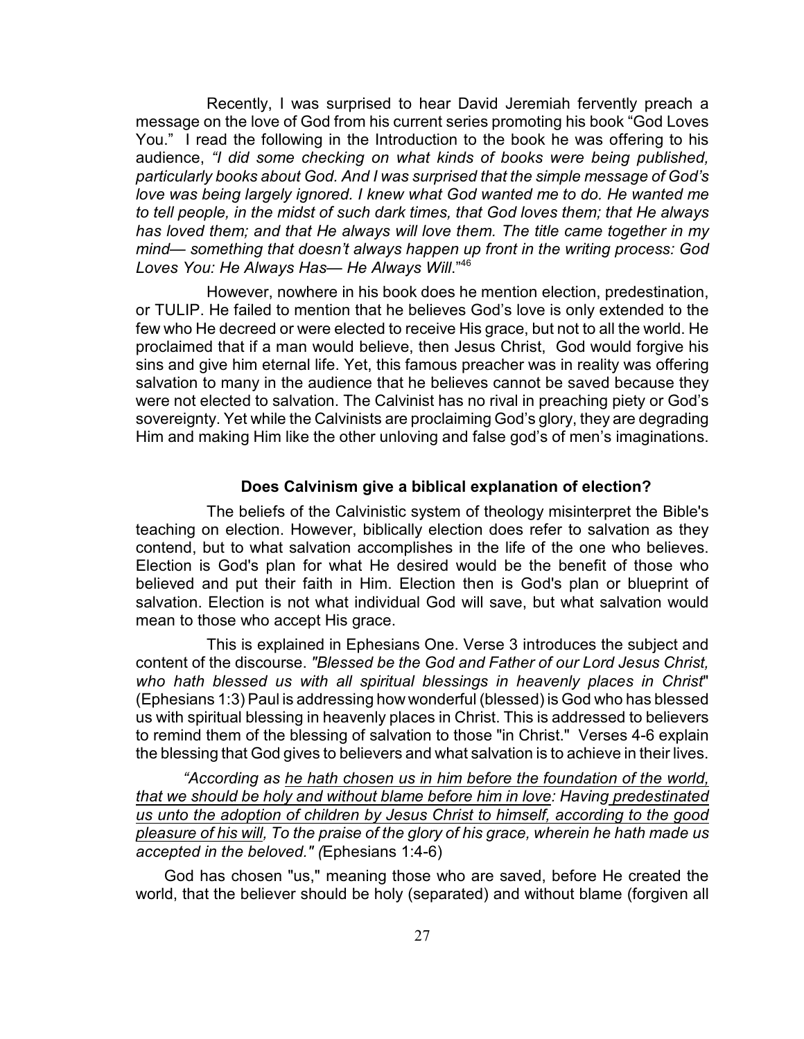Recently, I was surprised to hear David Jeremiah fervently preach a message on the love of God from his current series promoting his book "God Loves You." I read the following in the Introduction to the book he was offering to his audience, *"I did some checking on what kinds of books were being published, particularly books about God. And I was surprised that the simple message of God's love was being largely ignored. I knew what God wanted me to do. He wanted me to tell people, in the midst of such dark times, that God loves them; that He always has loved them; and that He always will love them. The title came together in my mind— something that doesn't always happen up front in the writing process: God Loves You: He Always Has— He Always Will*."<sup>46</sup>

However, nowhere in his book does he mention election, predestination, or TULIP. He failed to mention that he believes God's love is only extended to the few who He decreed or were elected to receive His grace, but not to all the world. He proclaimed that if a man would believe, then Jesus Christ, God would forgive his sins and give him eternal life. Yet, this famous preacher was in reality was offering salvation to many in the audience that he believes cannot be saved because they were not elected to salvation. The Calvinist has no rival in preaching piety or God's sovereignty. Yet while the Calvinists are proclaiming God's glory, they are degrading Him and making Him like the other unloving and false god's of men's imaginations.

## **Does Calvinism give a biblical explanation of election?**

The beliefs of the Calvinistic system of theology misinterpret the Bible's teaching on election. However, biblically election does refer to salvation as they contend, but to what salvation accomplishes in the life of the one who believes. Election is God's plan for what He desired would be the benefit of those who believed and put their faith in Him. Election then is God's plan or blueprint of salvation. Election is not what individual God will save, but what salvation would mean to those who accept His grace.

This is explained in Ephesians One. Verse 3 introduces the subject and content of the discourse. *"Blessed be the God and Father of our Lord Jesus Christ, who hath blessed us with all spiritual blessings in heavenly places in Christ*" (Ephesians 1:3) Paul is addressing how wonderful (blessed) is God who has blessed us with spiritual blessing in heavenly places in Christ. This is addressed to believers to remind them of the blessing of salvation to those "in Christ." Verses 4-6 explain the blessing that God gives to believers and what salvation is to achieve in their lives.

*"According as he hath chosen us in him before the foundation of the world, that we should be holy and without blame before him in love: Having predestinated us unto the adoption of children by Jesus Christ to himself, according to the good pleasure of his will, To the praise of the glory of his grace, wherein he hath made us accepted in the beloved." (*Ephesians 1:4-6)

God has chosen "us," meaning those who are saved, before He created the world, that the believer should be holy (separated) and without blame (forgiven all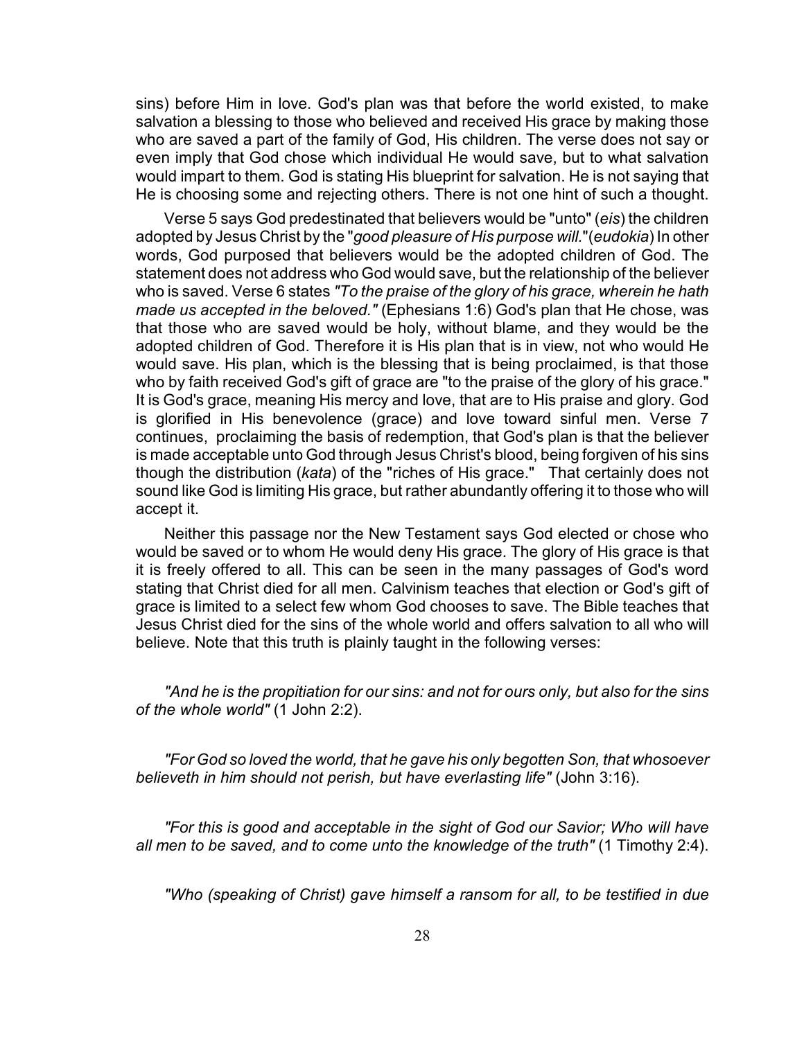sins) before Him in love. God's plan was that before the world existed, to make salvation a blessing to those who believed and received His grace by making those who are saved a part of the family of God, His children. The verse does not say or even imply that God chose which individual He would save, but to what salvation would impart to them. God is stating His blueprint for salvation. He is not saying that He is choosing some and rejecting others. There is not one hint of such a thought.

Verse 5 says God predestinated that believers would be "unto" (*eis*) the children adopted by Jesus Christ by the "*good pleasure of His purpose will.*"(*eudokia*) In other words, God purposed that believers would be the adopted children of God. The statement does not address who God would save, but the relationship of the believer who is saved. Verse 6 states *"To the praise of the glory of his grace, wherein he hath made us accepted in the beloved."* (Ephesians 1:6) God's plan that He chose, was that those who are saved would be holy, without blame, and they would be the adopted children of God. Therefore it is His plan that is in view, not who would He would save. His plan, which is the blessing that is being proclaimed, is that those who by faith received God's gift of grace are "to the praise of the glory of his grace." It is God's grace, meaning His mercy and love, that are to His praise and glory. God is glorified in His benevolence (grace) and love toward sinful men. Verse 7 continues, proclaiming the basis of redemption, that God's plan is that the believer is made acceptable unto God through Jesus Christ's blood, being forgiven of his sins though the distribution (*kata*) of the "riches of His grace." That certainly does not sound like God is limiting His grace, but rather abundantly offering it to those who will accept it.

Neither this passage nor the New Testament says God elected or chose who would be saved or to whom He would deny His grace. The glory of His grace is that it is freely offered to all. This can be seen in the many passages of God's word stating that Christ died for all men. Calvinism teaches that election or God's gift of grace is limited to a select few whom God chooses to save. The Bible teaches that Jesus Christ died for the sins of the whole world and offers salvation to all who will believe. Note that this truth is plainly taught in the following verses:

*"And he is the propitiation for our sins: and not for ours only, but also for the sins of the whole world"* (1 John 2:2).

*"For God so loved the world, that he gave his only begotten Son, that whosoever believeth in him should not perish, but have everlasting life"* (John 3:16).

*"For this is good and acceptable in the sight of God our Savior; Who will have all men to be saved, and to come unto the knowledge of the truth"* (1 Timothy 2:4).

*"Who (speaking of Christ) gave himself a ransom for all, to be testified in due*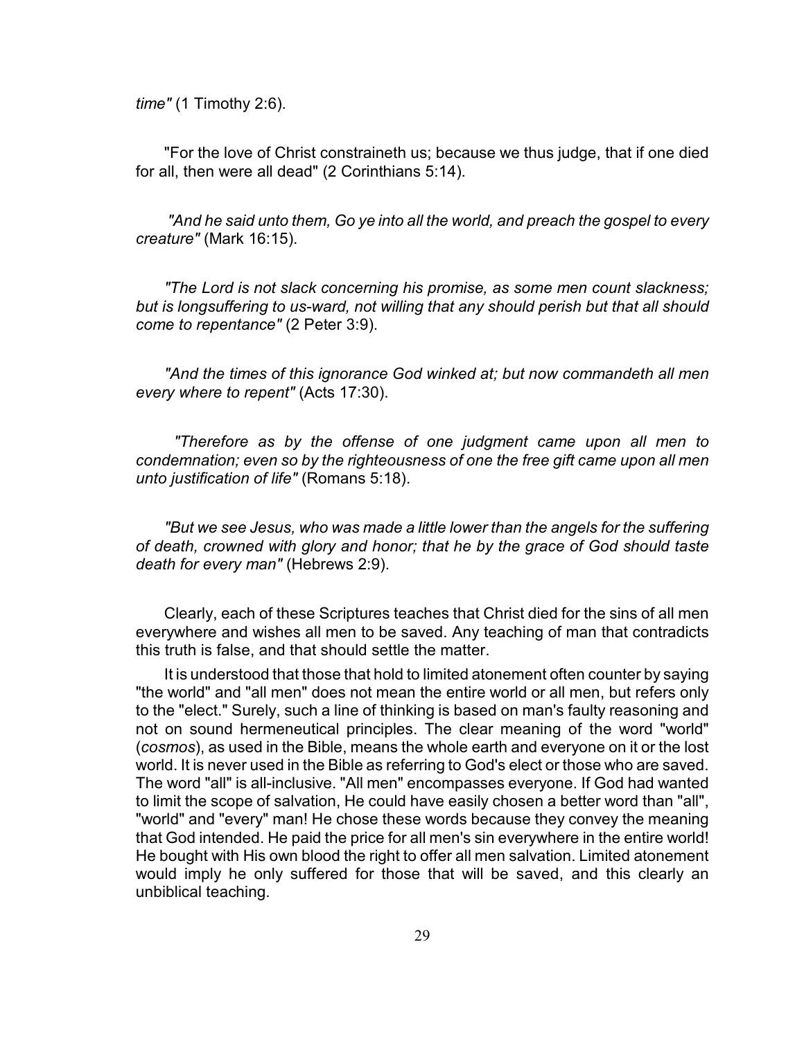*time"* (1 Timothy 2:6).

"For the love of Christ constraineth us; because we thus judge, that if one died for all, then were all dead" (2 Corinthians 5:14).

 *"And he said unto them, Go ye into all the world, and preach the gospel to every creature"* (Mark 16:15).

*"The Lord is not slack concerning his promise, as some men count slackness; but is longsuffering to us-ward, not willing that any should perish but that all should come to repentance"* (2 Peter 3:9).

*"And the times of this ignorance God winked at; but now commandeth all men every where to repent"* (Acts 17:30).

 *"Therefore as by the offense of one judgment came upon all men to condemnation; even so by the righteousness of one the free gift came upon all men unto justification of life"* (Romans 5:18).

*"But we see Jesus, who was made a little lower than the angels for the suffering of death, crowned with glory and honor; that he by the grace of God should taste death for every man"* (Hebrews 2:9).

Clearly, each of these Scriptures teaches that Christ died for the sins of all men everywhere and wishes all men to be saved. Any teaching of man that contradicts this truth is false, and that should settle the matter.

It is understood that those that hold to limited atonement often counter by saying "the world" and "all men" does not mean the entire world or all men, but refers only to the "elect." Surely, such a line of thinking is based on man's faulty reasoning and not on sound hermeneutical principles. The clear meaning of the word "world" (*cosmos*), as used in the Bible, means the whole earth and everyone on it or the lost world. It is never used in the Bible as referring to God's elect or those who are saved. The word "all" is all-inclusive. "All men" encompasses everyone. If God had wanted to limit the scope of salvation, He could have easily chosen a better word than "all", "world" and "every" man! He chose these words because they convey the meaning that God intended. He paid the price for all men's sin everywhere in the entire world! He bought with His own blood the right to offer all men salvation. Limited atonement would imply he only suffered for those that will be saved, and this clearly an unbiblical teaching.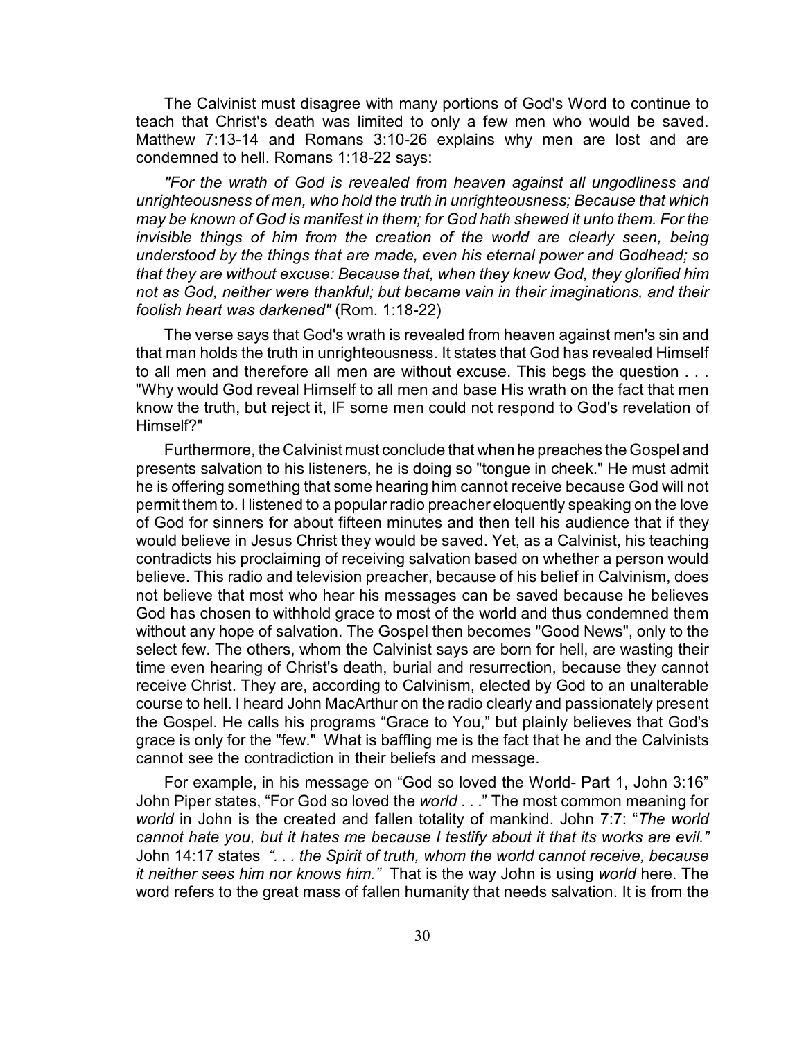The Calvinist must disagree with many portions of God's Word to continue to teach that Christ's death was limited to only a few men who would be saved. Matthew 7:13-14 and Romans 3:10-26 explains why men are lost and are condemned to hell. Romans 1:18-22 says:

*"For the wrath of God is revealed from heaven against all ungodliness and unrighteousness of men, who hold the truth in unrighteousness; Because that which may be known of God is manifest in them; for God hath shewed it unto them. For the invisible things of him from the creation of the world are clearly seen, being understood by the things that are made, even his eternal power and Godhead; so that they are without excuse: Because that, when they knew God, they glorified him not as God, neither were thankful; but became vain in their imaginations, and their foolish heart was darkened"* (Rom. 1:18-22)

The verse says that God's wrath is revealed from heaven against men's sin and that man holds the truth in unrighteousness. It states that God has revealed Himself to all men and therefore all men are without excuse. This begs the question . . . "Why would God reveal Himself to all men and base His wrath on the fact that men know the truth, but reject it, IF some men could not respond to God's revelation of Himself?"

Furthermore, the Calvinist must conclude that when he preaches the Gospel and presents salvation to his listeners, he is doing so "tongue in cheek." He must admit he is offering something that some hearing him cannot receive because God will not permit them to. I listened to a popular radio preacher eloquently speaking on the love of God for sinners for about fifteen minutes and then tell his audience that if they would believe in Jesus Christ they would be saved. Yet, as a Calvinist, his teaching contradicts his proclaiming of receiving salvation based on whether a person would believe. This radio and television preacher, because of his belief in Calvinism, does not believe that most who hear his messages can be saved because he believes God has chosen to withhold grace to most of the world and thus condemned them without any hope of salvation. The Gospel then becomes "Good News", only to the select few. The others, whom the Calvinist says are born for hell, are wasting their time even hearing of Christ's death, burial and resurrection, because they cannot receive Christ. They are, according to Calvinism, elected by God to an unalterable course to hell. I heard John MacArthur on the radio clearly and passionately present the Gospel. He calls his programs "Grace to You," but plainly believes that God's grace is only for the "few." What is baffling me is the fact that he and the Calvinists cannot see the contradiction in their beliefs and message.

For example, in his message on "God so loved the World- Part 1, John 3:16" John Piper states, "For God so loved the *world* . . ." The most common meaning for *world* in John is the created and fallen totality of mankind. John 7:7: "*The world cannot hate you, but it hates me because I testify about it that its works are evil."* John 14:17 states *". . . the Spirit of truth, whom the world cannot receive, because it neither sees him nor knows him."* That is the way John is using *world* here. The word refers to the great mass of fallen humanity that needs salvation. It is from the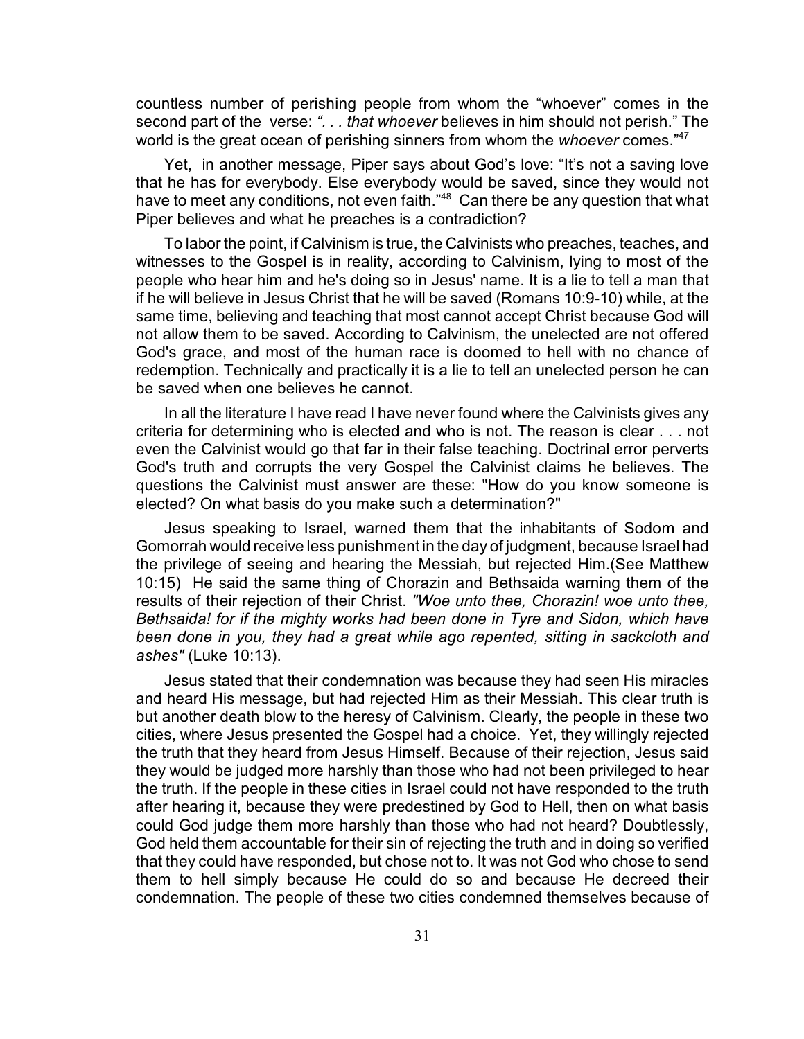countless number of perishing people from whom the "whoever" comes in the second part of the verse: *". . . that whoever* believes in him should not perish." The world is the great ocean of perishing sinners from whom the *whoever* comes.<sup>"47</sup>

Yet, in another message, Piper says about God's love: "It's not a saving love that he has for everybody. Else everybody would be saved, since they would not have to meet any conditions, not even faith.<sup>"48</sup> Can there be any question that what Piper believes and what he preaches is a contradiction?

To labor the point, if Calvinism is true, the Calvinists who preaches, teaches, and witnesses to the Gospel is in reality, according to Calvinism, lying to most of the people who hear him and he's doing so in Jesus' name. It is a lie to tell a man that if he will believe in Jesus Christ that he will be saved (Romans 10:9-10) while, at the same time, believing and teaching that most cannot accept Christ because God will not allow them to be saved. According to Calvinism, the unelected are not offered God's grace, and most of the human race is doomed to hell with no chance of redemption. Technically and practically it is a lie to tell an unelected person he can be saved when one believes he cannot.

In all the literature I have read I have never found where the Calvinists gives any criteria for determining who is elected and who is not. The reason is clear . . . not even the Calvinist would go that far in their false teaching. Doctrinal error perverts God's truth and corrupts the very Gospel the Calvinist claims he believes. The questions the Calvinist must answer are these: "How do you know someone is elected? On what basis do you make such a determination?"

Jesus speaking to Israel, warned them that the inhabitants of Sodom and Gomorrah would receive less punishment in the day of judgment, because Israel had the privilege of seeing and hearing the Messiah, but rejected Him.(See Matthew 10:15) He said the same thing of Chorazin and Bethsaida warning them of the results of their rejection of their Christ. *"Woe unto thee, Chorazin! woe unto thee, Bethsaida! for if the mighty works had been done in Tyre and Sidon, which have been done in you, they had a great while ago repented, sitting in sackcloth and ashes"* (Luke 10:13).

Jesus stated that their condemnation was because they had seen His miracles and heard His message, but had rejected Him as their Messiah. This clear truth is but another death blow to the heresy of Calvinism. Clearly, the people in these two cities, where Jesus presented the Gospel had a choice. Yet, they willingly rejected the truth that they heard from Jesus Himself. Because of their rejection, Jesus said they would be judged more harshly than those who had not been privileged to hear the truth. If the people in these cities in Israel could not have responded to the truth after hearing it, because they were predestined by God to Hell, then on what basis could God judge them more harshly than those who had not heard? Doubtlessly, God held them accountable for their sin of rejecting the truth and in doing so verified that they could have responded, but chose not to. It was not God who chose to send them to hell simply because He could do so and because He decreed their condemnation. The people of these two cities condemned themselves because of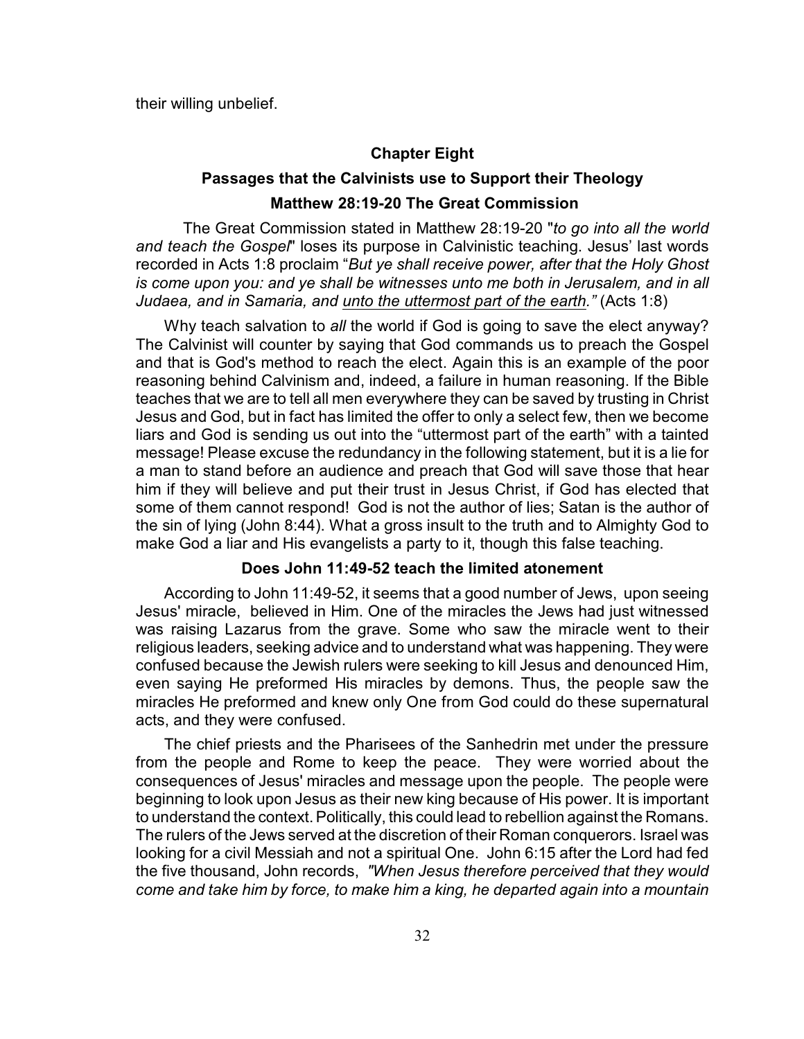their willing unbelief.

#### **Chapter Eight**

# **Passages that the Calvinists use to Support their Theology Matthew 28:19-20 The Great Commission**

The Great Commission stated in Matthew 28:19-20 "*to go into all the world and teach the Gospel*" loses its purpose in Calvinistic teaching. Jesus' last words recorded in Acts 1:8 proclaim "*But ye shall receive power, after that the Holy Ghost is come upon you: and ye shall be witnesses unto me both in Jerusalem, and in all Judaea, and in Samaria, and unto the uttermost part of the earth."* (Acts 1:8)

Why teach salvation to *all* the world if God is going to save the elect anyway? The Calvinist will counter by saying that God commands us to preach the Gospel and that is God's method to reach the elect. Again this is an example of the poor reasoning behind Calvinism and, indeed, a failure in human reasoning. If the Bible teaches that we are to tell all men everywhere they can be saved by trusting in Christ Jesus and God, but in fact has limited the offer to only a select few, then we become liars and God is sending us out into the "uttermost part of the earth" with a tainted message! Please excuse the redundancy in the following statement, but it is a lie for a man to stand before an audience and preach that God will save those that hear him if they will believe and put their trust in Jesus Christ, if God has elected that some of them cannot respond! God is not the author of lies; Satan is the author of the sin of lying (John 8:44). What a gross insult to the truth and to Almighty God to make God a liar and His evangelists a party to it, though this false teaching.

#### **Does John 11:49-52 teach the limited atonement**

According to John 11:49-52, it seems that a good number of Jews, upon seeing Jesus' miracle, believed in Him. One of the miracles the Jews had just witnessed was raising Lazarus from the grave. Some who saw the miracle went to their religious leaders, seeking advice and to understand what was happening. They were confused because the Jewish rulers were seeking to kill Jesus and denounced Him, even saying He preformed His miracles by demons. Thus, the people saw the miracles He preformed and knew only One from God could do these supernatural acts, and they were confused.

The chief priests and the Pharisees of the Sanhedrin met under the pressure from the people and Rome to keep the peace. They were worried about the consequences of Jesus' miracles and message upon the people. The people were beginning to look upon Jesus as their new king because of His power. It is important to understand the context. Politically, this could lead to rebellion against the Romans. The rulers of the Jews served at the discretion of their Roman conquerors. Israel was looking for a civil Messiah and not a spiritual One. John 6:15 after the Lord had fed the five thousand, John records, *"When Jesus therefore perceived that they would come and take him by force, to make him a king, he departed again into a mountain*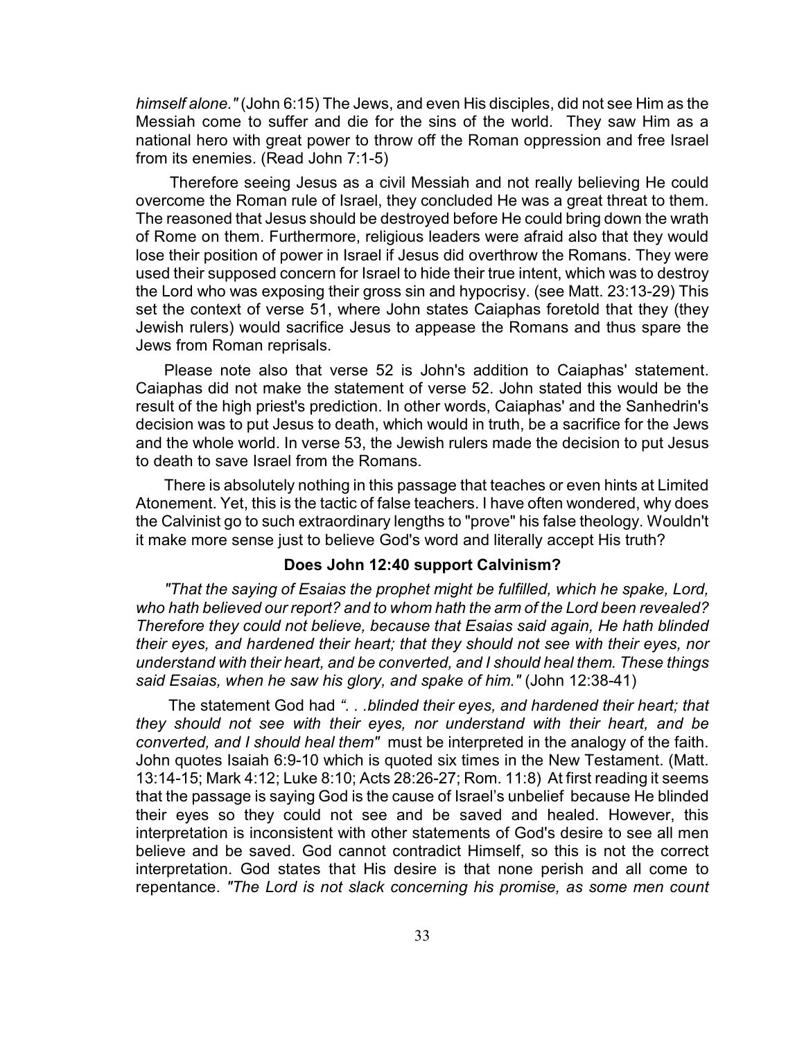*himself alone."* (John 6:15) The Jews, and even His disciples, did not see Him as the Messiah come to suffer and die for the sins of the world. They saw Him as a national hero with great power to throw off the Roman oppression and free Israel from its enemies. (Read John 7:1-5)

 Therefore seeing Jesus as a civil Messiah and not really believing He could overcome the Roman rule of Israel, they concluded He was a great threat to them. The reasoned that Jesus should be destroyed before He could bring down the wrath of Rome on them. Furthermore, religious leaders were afraid also that they would lose their position of power in Israel if Jesus did overthrow the Romans. They were used their supposed concern for Israel to hide their true intent, which was to destroy the Lord who was exposing their gross sin and hypocrisy. (see Matt. 23:13-29) This set the context of verse 51, where John states Caiaphas foretold that they (they Jewish rulers) would sacrifice Jesus to appease the Romans and thus spare the Jews from Roman reprisals.

Please note also that verse 52 is John's addition to Caiaphas' statement. Caiaphas did not make the statement of verse 52. John stated this would be the result of the high priest's prediction. In other words, Caiaphas' and the Sanhedrin's decision was to put Jesus to death, which would in truth, be a sacrifice for the Jews and the whole world. In verse 53, the Jewish rulers made the decision to put Jesus to death to save Israel from the Romans.

There is absolutely nothing in this passage that teaches or even hints at Limited Atonement. Yet, this is the tactic of false teachers. I have often wondered, why does the Calvinist go to such extraordinary lengths to "prove" his false theology. Wouldn't it make more sense just to believe God's word and literally accept His truth?

#### **Does John 12:40 support Calvinism?**

*"That the saying of Esaias the prophet might be fulfilled, which he spake, Lord, who hath believed our report? and to whom hath the arm of the Lord been revealed? Therefore they could not believe, because that Esaias said again, He hath blinded their eyes, and hardened their heart; that they should not see with their eyes, nor understand with their heart, and be converted, and I should heal them. These things said Esaias, when he saw his glory, and spake of him."* (John 12:38-41)

The statement God had *". . .blinded their eyes, and hardened their heart; that they should not see with their eyes, nor understand with their heart, and be converted, and I should heal them"* must be interpreted in the analogy of the faith. John quotes Isaiah 6:9-10 which is quoted six times in the New Testament. (Matt. 13:14-15; Mark 4:12; Luke 8:10; Acts 28:26-27; Rom. 11:8) At first reading it seems that the passage is saying God is the cause of Israel's unbelief because He blinded their eyes so they could not see and be saved and healed. However, this interpretation is inconsistent with other statements of God's desire to see all men believe and be saved. God cannot contradict Himself, so this is not the correct interpretation. God states that His desire is that none perish and all come to repentance. *"The Lord is not slack concerning his promise, as some men count*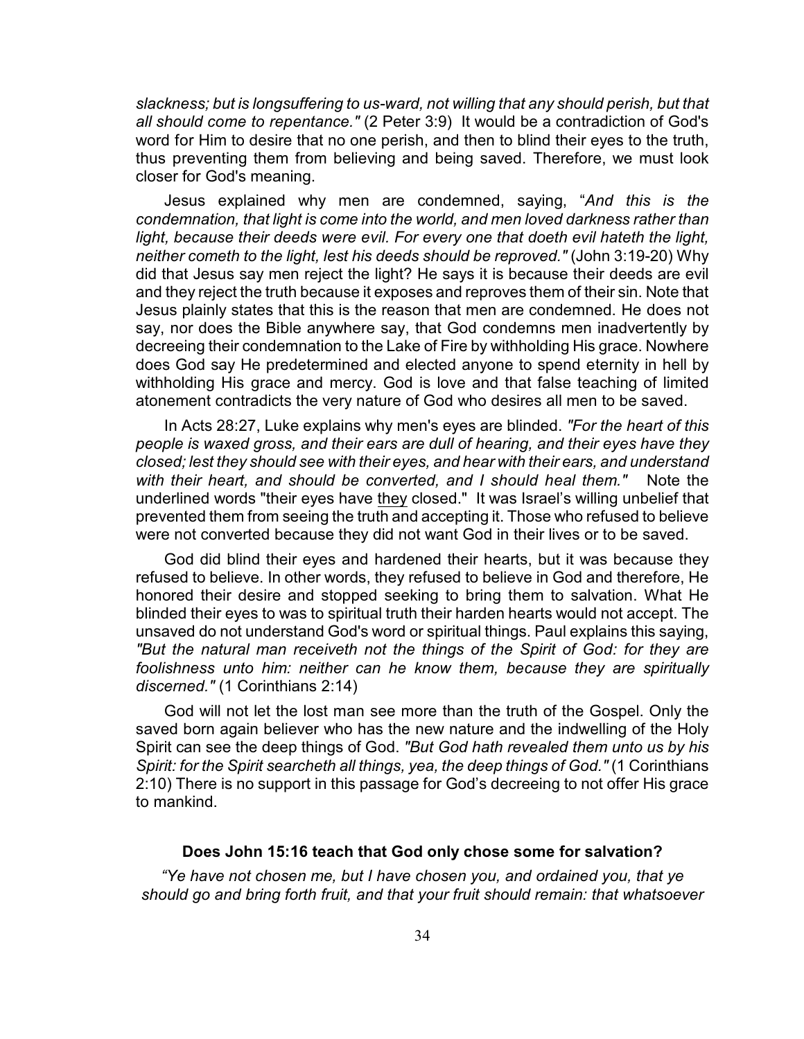*slackness; but is longsuffering to us-ward, not willing that any should perish, but that all should come to repentance."* (2 Peter 3:9) It would be a contradiction of God's word for Him to desire that no one perish, and then to blind their eyes to the truth, thus preventing them from believing and being saved. Therefore, we must look closer for God's meaning.

Jesus explained why men are condemned, saying, "*And this is the condemnation, that light is come into the world, and men loved darkness rather than light, because their deeds were evil. For every one that doeth evil hateth the light, neither cometh to the light, lest his deeds should be reproved."* (John 3:19-20) Why did that Jesus say men reject the light? He says it is because their deeds are evil and they reject the truth because it exposes and reproves them of their sin. Note that Jesus plainly states that this is the reason that men are condemned. He does not say, nor does the Bible anywhere say, that God condemns men inadvertently by decreeing their condemnation to the Lake of Fire by withholding His grace. Nowhere does God say He predetermined and elected anyone to spend eternity in hell by withholding His grace and mercy. God is love and that false teaching of limited atonement contradicts the very nature of God who desires all men to be saved.

In Acts 28:27, Luke explains why men's eyes are blinded. *"For the heart of this people is waxed gross, and their ears are dull of hearing, and their eyes have they closed; lest they should see with their eyes, and hear with their ears, and understand with their heart, and should be converted, and I should heal them."* Note the underlined words "their eyes have they closed." It was Israel's willing unbelief that prevented them from seeing the truth and accepting it. Those who refused to believe were not converted because they did not want God in their lives or to be saved.

God did blind their eyes and hardened their hearts, but it was because they refused to believe. In other words, they refused to believe in God and therefore, He honored their desire and stopped seeking to bring them to salvation. What He blinded their eyes to was to spiritual truth their harden hearts would not accept. The unsaved do not understand God's word or spiritual things. Paul explains this saying, *"But the natural man receiveth not the things of the Spirit of God: for they are foolishness unto him: neither can he know them, because they are spiritually discerned."* (1 Corinthians 2:14)

God will not let the lost man see more than the truth of the Gospel. Only the saved born again believer who has the new nature and the indwelling of the Holy Spirit can see the deep things of God. *"But God hath revealed them unto us by his Spirit: for the Spirit searcheth all things, yea, the deep things of God."* (1 Corinthians 2:10) There is no support in this passage for God's decreeing to not offer His grace to mankind.

#### **Does John 15:16 teach that God only chose some for salvation?**

*"Ye have not chosen me, but I have chosen you, and ordained you, that ye should go and bring forth fruit, and that your fruit should remain: that whatsoever*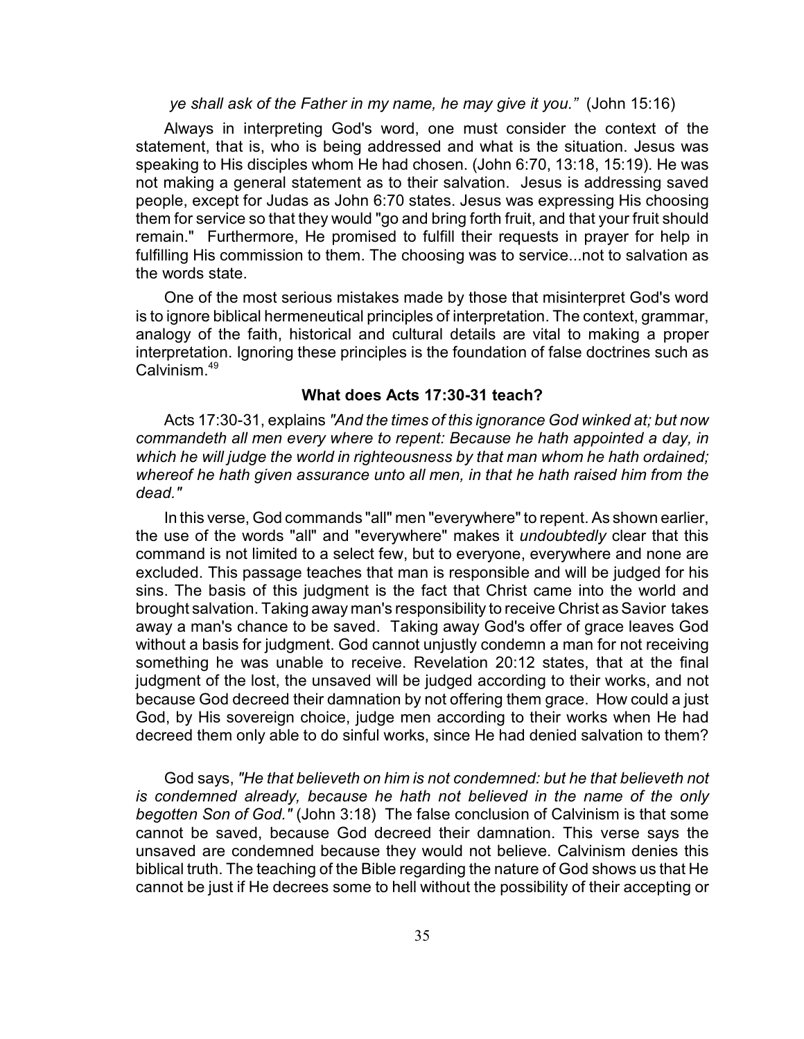*ye shall ask of the Father in my name, he may give it you."* (John 15:16)

Always in interpreting God's word, one must consider the context of the statement, that is, who is being addressed and what is the situation. Jesus was speaking to His disciples whom He had chosen. (John 6:70, 13:18, 15:19). He was not making a general statement as to their salvation. Jesus is addressing saved people, except for Judas as John 6:70 states. Jesus was expressing His choosing them for service so that they would "go and bring forth fruit, and that your fruit should remain." Furthermore, He promised to fulfill their requests in prayer for help in fulfilling His commission to them. The choosing was to service...not to salvation as the words state.

One of the most serious mistakes made by those that misinterpret God's word is to ignore biblical hermeneutical principles of interpretation. The context, grammar, analogy of the faith, historical and cultural details are vital to making a proper interpretation. Ignoring these principles is the foundation of false doctrines such as Calvinism.<sup>49</sup>

#### **What does Acts 17:30-31 teach?**

Acts 17:30-31, explains *"And the times of this ignorance God winked at; but now commandeth all men every where to repent: Because he hath appointed a day, in which he will judge the world in righteousness by that man whom he hath ordained; whereof he hath given assurance unto all men, in that he hath raised him from the dead."*

In this verse, God commands "all" men "everywhere" to repent. As shown earlier, the use of the words "all" and "everywhere" makes it *undoubtedly* clear that this command is not limited to a select few, but to everyone, everywhere and none are excluded. This passage teaches that man is responsible and will be judged for his sins. The basis of this judgment is the fact that Christ came into the world and brought salvation. Taking away man's responsibility to receive Christ as Savior takes away a man's chance to be saved. Taking away God's offer of grace leaves God without a basis for judgment. God cannot unjustly condemn a man for not receiving something he was unable to receive. Revelation 20:12 states, that at the final judgment of the lost, the unsaved will be judged according to their works, and not because God decreed their damnation by not offering them grace. How could a just God, by His sovereign choice, judge men according to their works when He had decreed them only able to do sinful works, since He had denied salvation to them?

God says, *"He that believeth on him is not condemned: but he that believeth not is condemned already, because he hath not believed in the name of the only begotten Son of God."* (John 3:18) The false conclusion of Calvinism is that some cannot be saved, because God decreed their damnation. This verse says the unsaved are condemned because they would not believe. Calvinism denies this biblical truth. The teaching of the Bible regarding the nature of God shows us that He cannot be just if He decrees some to hell without the possibility of their accepting or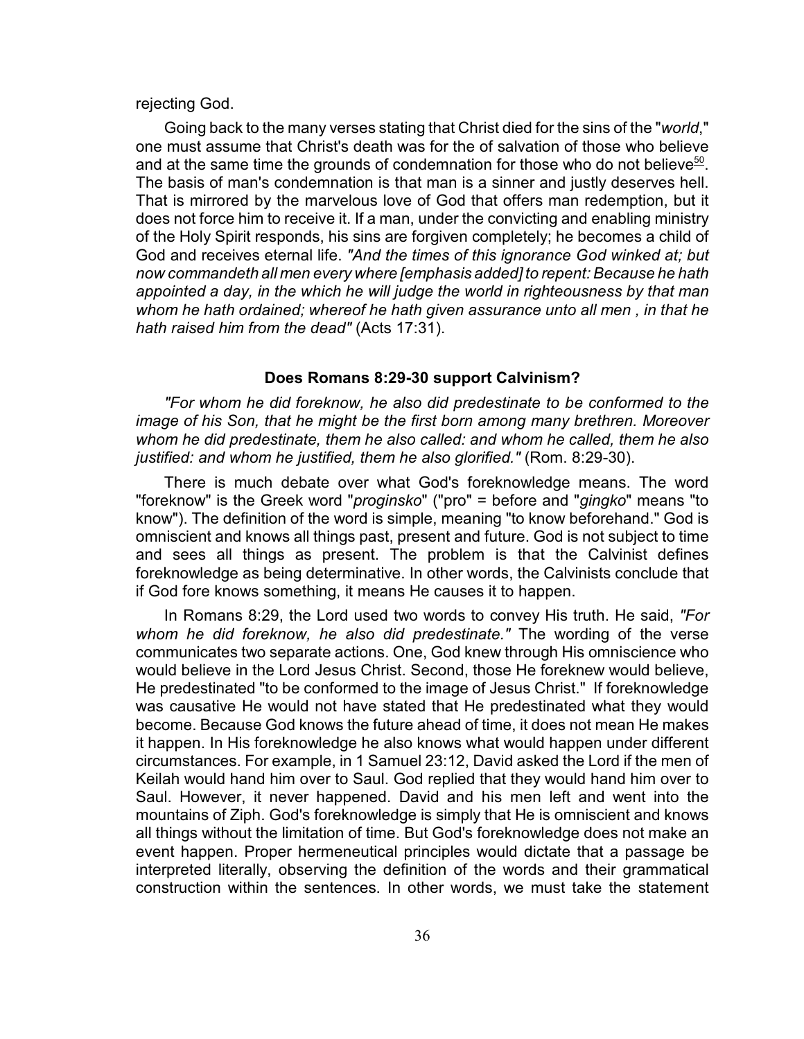## rejecting God.

Going back to the many verses stating that Christ died for the sins of the "*world*," one must assume that Christ's death was for the of salvation of those who believe and at the same time the grounds of condemnation for those who do not believe $50$ . The basis of man's condemnation is that man is a sinner and justly deserves hell. That is mirrored by the marvelous love of God that offers man redemption, but it does not force him to receive it. If a man, under the convicting and enabling ministry of the Holy Spirit responds, his sins are forgiven completely; he becomes a child of God and receives eternal life. *"And the times of this ignorance God winked at; but now commandeth all men every where [emphasis added] to repent: Because he hath appointed a day, in the which he will judge the world in righteousness by that man whom he hath ordained; whereof he hath given assurance unto all men , in that he hath raised him from the dead"* (Acts 17:31).

#### **Does Romans 8:29-30 support Calvinism?**

*"For whom he did foreknow, he also did predestinate to be conformed to the image of his Son, that he might be the first born among many brethren. Moreover whom he did predestinate, them he also called: and whom he called, them he also justified: and whom he justified, them he also glorified."* (Rom. 8:29-30).

There is much debate over what God's foreknowledge means. The word "foreknow" is the Greek word "*proginsko*" ("pro" = before and "*gingko*" means "to know"). The definition of the word is simple, meaning "to know beforehand." God is omniscient and knows all things past, present and future. God is not subject to time and sees all things as present. The problem is that the Calvinist defines foreknowledge as being determinative. In other words, the Calvinists conclude that if God fore knows something, it means He causes it to happen.

In Romans 8:29, the Lord used two words to convey His truth. He said, *"For whom he did foreknow, he also did predestinate."* The wording of the verse communicates two separate actions. One, God knew through His omniscience who would believe in the Lord Jesus Christ. Second, those He foreknew would believe, He predestinated "to be conformed to the image of Jesus Christ." If foreknowledge was causative He would not have stated that He predestinated what they would become. Because God knows the future ahead of time, it does not mean He makes it happen. In His foreknowledge he also knows what would happen under different circumstances. For example, in 1 Samuel 23:12, David asked the Lord if the men of Keilah would hand him over to Saul. God replied that they would hand him over to Saul. However, it never happened. David and his men left and went into the mountains of Ziph. God's foreknowledge is simply that He is omniscient and knows all things without the limitation of time. But God's foreknowledge does not make an event happen. Proper hermeneutical principles would dictate that a passage be interpreted literally, observing the definition of the words and their grammatical construction within the sentences. In other words, we must take the statement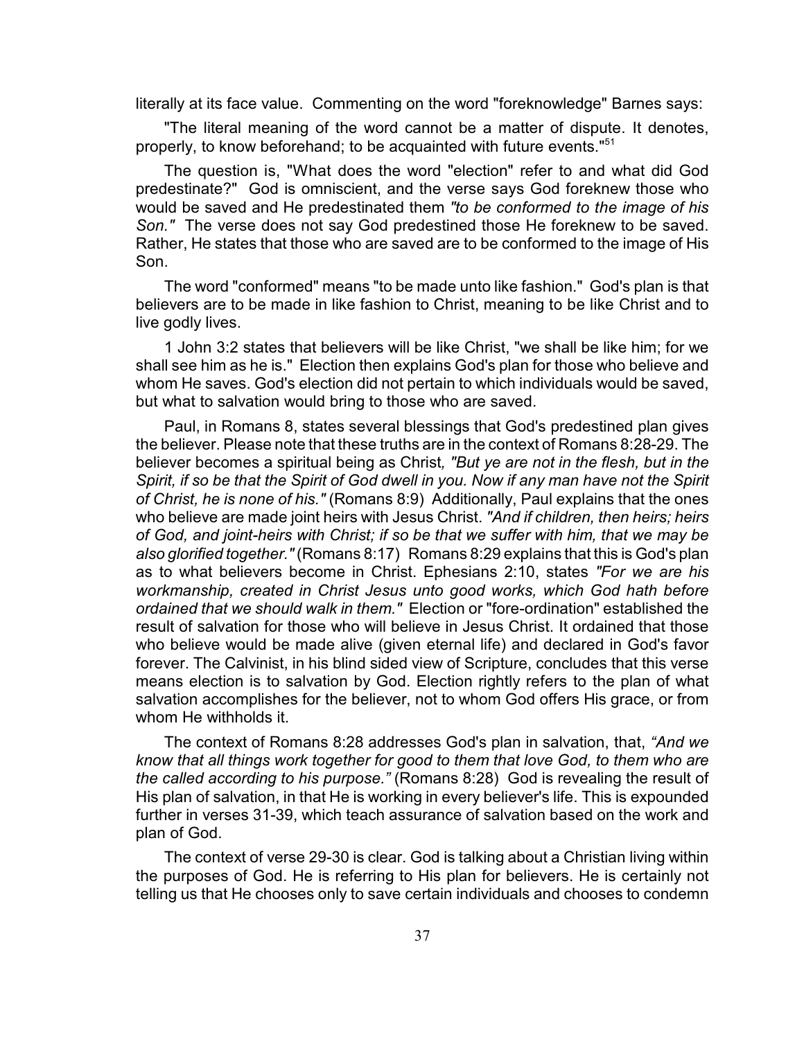literally at its face value. Commenting on the word "foreknowledge" Barnes says:

"The literal meaning of the word cannot be a matter of dispute. It denotes, properly, to know beforehand; to be acquainted with future events."<sup>51</sup>

The question is, "What does the word "election" refer to and what did God predestinate?" God is omniscient, and the verse says God foreknew those who would be saved and He predestinated them *"to be conformed to the image of his Son."* The verse does not say God predestined those He foreknew to be saved. Rather, He states that those who are saved are to be conformed to the image of His Son.

The word "conformed" means "to be made unto like fashion." God's plan is that believers are to be made in like fashion to Christ, meaning to be like Christ and to live godly lives.

1 John 3:2 states that believers will be like Christ, "we shall be like him; for we shall see him as he is." Election then explains God's plan for those who believe and whom He saves. God's election did not pertain to which individuals would be saved, but what to salvation would bring to those who are saved.

Paul, in Romans 8, states several blessings that God's predestined plan gives the believer. Please note that these truths are in the context of Romans 8:28-29. The believer becomes a spiritual being as Christ*, "But ye are not in the flesh, but in the Spirit, if so be that the Spirit of God dwell in you. Now if any man have not the Spirit of Christ, he is none of his."* (Romans 8:9) Additionally, Paul explains that the ones who believe are made joint heirs with Jesus Christ. *"And if children, then heirs; heirs of God, and joint-heirs with Christ; if so be that we suffer with him, that we may be also glorified together."* (Romans 8:17) Romans 8:29 explains that this is God's plan as to what believers become in Christ. Ephesians 2:10, states *"For we are his workmanship, created in Christ Jesus unto good works, which God hath before ordained that we should walk in them."* Election or "fore-ordination" established the result of salvation for those who will believe in Jesus Christ. It ordained that those who believe would be made alive (given eternal life) and declared in God's favor forever. The Calvinist, in his blind sided view of Scripture, concludes that this verse means election is to salvation by God. Election rightly refers to the plan of what salvation accomplishes for the believer, not to whom God offers His grace, or from whom He withholds it.

The context of Romans 8:28 addresses God's plan in salvation, that, *"And we know that all things work together for good to them that love God, to them who are the called according to his purpose."* (Romans 8:28) God is revealing the result of His plan of salvation, in that He is working in every believer's life. This is expounded further in verses 31-39, which teach assurance of salvation based on the work and plan of God.

The context of verse 29-30 is clear. God is talking about a Christian living within the purposes of God. He is referring to His plan for believers. He is certainly not telling us that He chooses only to save certain individuals and chooses to condemn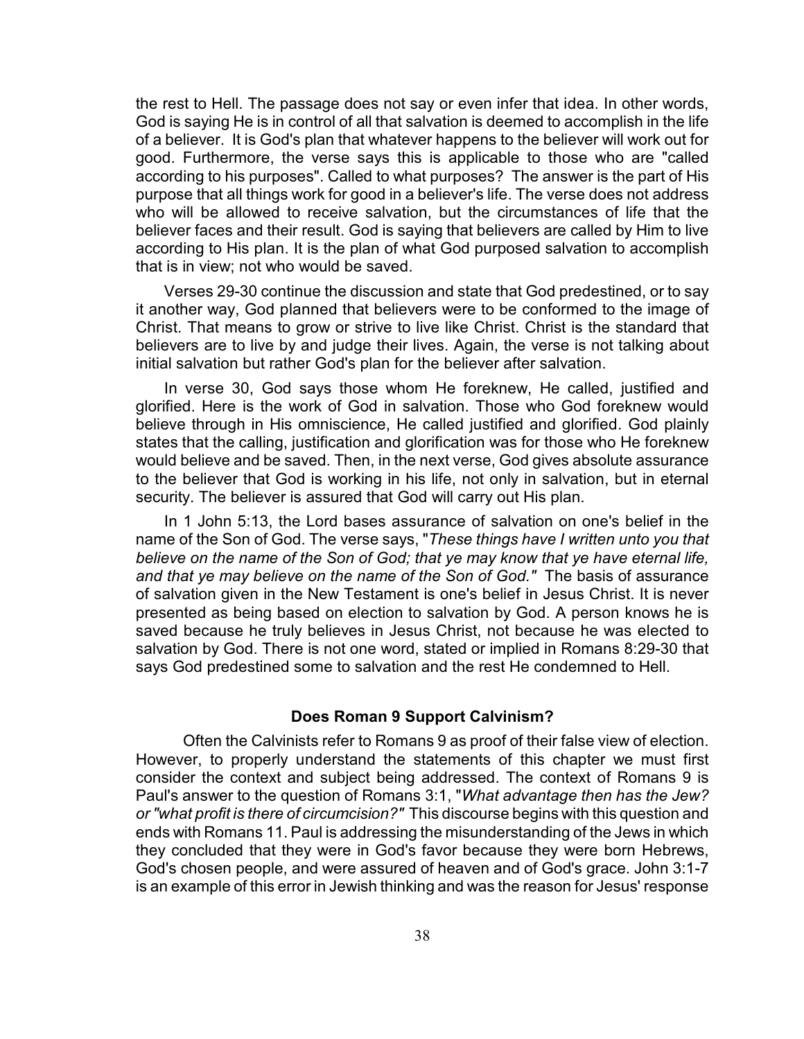the rest to Hell. The passage does not say or even infer that idea. In other words, God is saying He is in control of all that salvation is deemed to accomplish in the life of a believer. It is God's plan that whatever happens to the believer will work out for good. Furthermore, the verse says this is applicable to those who are "called according to his purposes". Called to what purposes? The answer is the part of His purpose that all things work for good in a believer's life. The verse does not address who will be allowed to receive salvation, but the circumstances of life that the believer faces and their result. God is saying that believers are called by Him to live according to His plan. It is the plan of what God purposed salvation to accomplish that is in view; not who would be saved.

Verses 29-30 continue the discussion and state that God predestined, or to say it another way, God planned that believers were to be conformed to the image of Christ. That means to grow or strive to live like Christ. Christ is the standard that believers are to live by and judge their lives. Again, the verse is not talking about initial salvation but rather God's plan for the believer after salvation.

In verse 30, God says those whom He foreknew, He called, justified and glorified. Here is the work of God in salvation. Those who God foreknew would believe through in His omniscience, He called justified and glorified. God plainly states that the calling, justification and glorification was for those who He foreknew would believe and be saved. Then, in the next verse, God gives absolute assurance to the believer that God is working in his life, not only in salvation, but in eternal security. The believer is assured that God will carry out His plan.

In 1 John 5:13, the Lord bases assurance of salvation on one's belief in the name of the Son of God. The verse says, "*These things have I written unto you that believe on the name of the Son of God; that ye may know that ye have eternal life, and that ye may believe on the name of the Son of God."* The basis of assurance of salvation given in the New Testament is one's belief in Jesus Christ. It is never presented as being based on election to salvation by God. A person knows he is saved because he truly believes in Jesus Christ, not because he was elected to salvation by God. There is not one word, stated or implied in Romans 8:29-30 that says God predestined some to salvation and the rest He condemned to Hell.

#### **Does Roman 9 Support Calvinism?**

Often the Calvinists refer to Romans 9 as proof of their false view of election. However, to properly understand the statements of this chapter we must first consider the context and subject being addressed. The context of Romans 9 is Paul's answer to the question of Romans 3:1, "*What advantage then has the Jew? or "what profit is there of circumcision?"* This discourse begins with this question and ends with Romans 11. Paul is addressing the misunderstanding of the Jews in which they concluded that they were in God's favor because they were born Hebrews, God's chosen people, and were assured of heaven and of God's grace. John 3:1-7 is an example of this error in Jewish thinking and was the reason for Jesus' response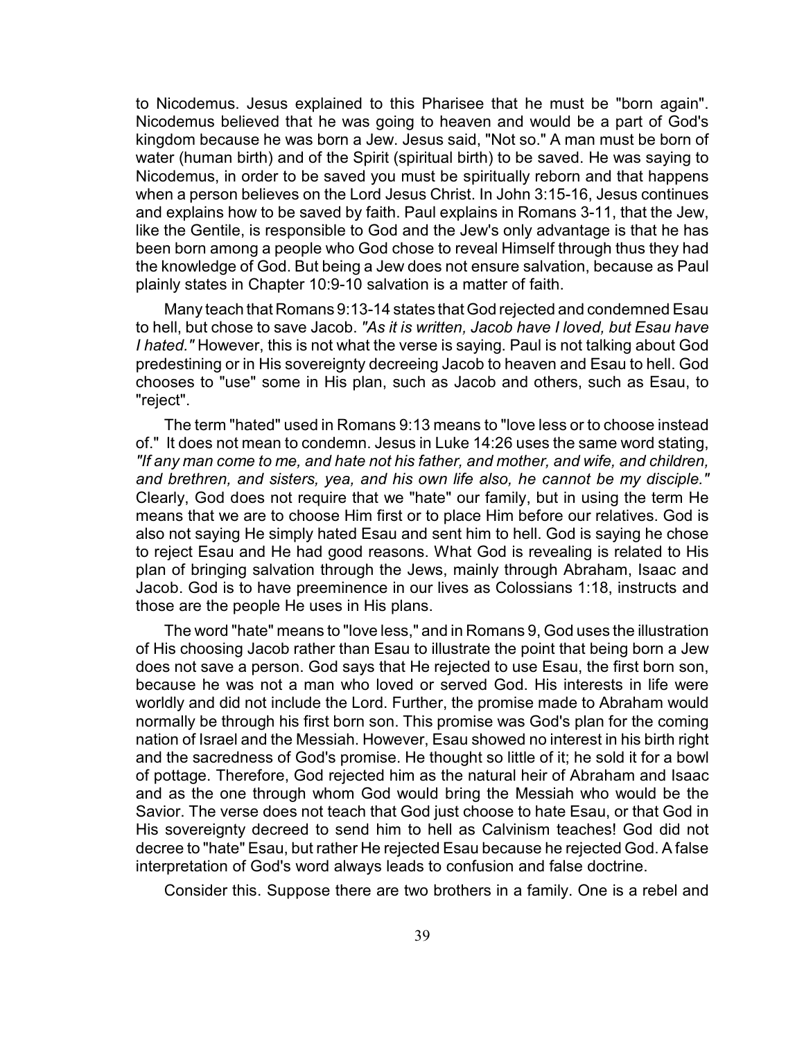to Nicodemus. Jesus explained to this Pharisee that he must be "born again". Nicodemus believed that he was going to heaven and would be a part of God's kingdom because he was born a Jew. Jesus said, "Not so." A man must be born of water (human birth) and of the Spirit (spiritual birth) to be saved. He was saying to Nicodemus, in order to be saved you must be spiritually reborn and that happens when a person believes on the Lord Jesus Christ. In John 3:15-16, Jesus continues and explains how to be saved by faith. Paul explains in Romans 3-11, that the Jew, like the Gentile, is responsible to God and the Jew's only advantage is that he has been born among a people who God chose to reveal Himself through thus they had the knowledge of God. But being a Jew does not ensure salvation, because as Paul plainly states in Chapter 10:9-10 salvation is a matter of faith.

Many teach that Romans 9:13-14 states that God rejected and condemned Esau to hell, but chose to save Jacob. *"As it is written, Jacob have I loved, but Esau have I hated."* However, this is not what the verse is saying. Paul is not talking about God predestining or in His sovereignty decreeing Jacob to heaven and Esau to hell. God chooses to "use" some in His plan, such as Jacob and others, such as Esau, to "reject".

The term "hated" used in Romans 9:13 means to "love less or to choose instead of." It does not mean to condemn. Jesus in Luke 14:26 uses the same word stating, *"If any man come to me, and hate not his father, and mother, and wife, and children, and brethren, and sisters, yea, and his own life also, he cannot be my disciple."* Clearly, God does not require that we "hate" our family, but in using the term He means that we are to choose Him first or to place Him before our relatives. God is also not saying He simply hated Esau and sent him to hell. God is saying he chose to reject Esau and He had good reasons. What God is revealing is related to His plan of bringing salvation through the Jews, mainly through Abraham, Isaac and Jacob. God is to have preeminence in our lives as Colossians 1:18, instructs and those are the people He uses in His plans.

The word "hate" means to "love less," and in Romans 9, God uses the illustration of His choosing Jacob rather than Esau to illustrate the point that being born a Jew does not save a person. God says that He rejected to use Esau, the first born son, because he was not a man who loved or served God. His interests in life were worldly and did not include the Lord. Further, the promise made to Abraham would normally be through his first born son. This promise was God's plan for the coming nation of Israel and the Messiah. However, Esau showed no interest in his birth right and the sacredness of God's promise. He thought so little of it; he sold it for a bowl of pottage. Therefore, God rejected him as the natural heir of Abraham and Isaac and as the one through whom God would bring the Messiah who would be the Savior. The verse does not teach that God just choose to hate Esau, or that God in His sovereignty decreed to send him to hell as Calvinism teaches! God did not decree to "hate" Esau, but rather He rejected Esau because he rejected God. A false interpretation of God's word always leads to confusion and false doctrine.

Consider this. Suppose there are two brothers in a family. One is a rebel and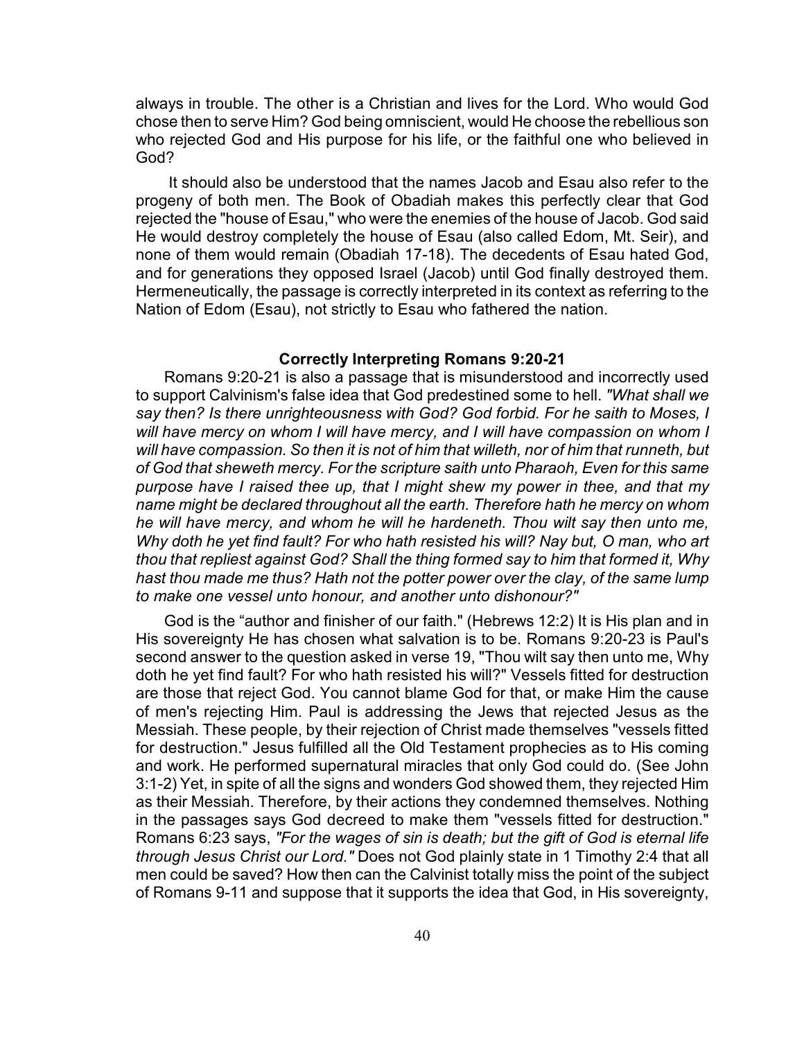always in trouble. The other is a Christian and lives for the Lord. Who would God chose then to serve Him? God being omniscient, would He choose the rebellious son who rejected God and His purpose for his life, or the faithful one who believed in God?

 It should also be understood that the names Jacob and Esau also refer to the progeny of both men. The Book of Obadiah makes this perfectly clear that God rejected the "house of Esau," who were the enemies of the house of Jacob. God said He would destroy completely the house of Esau (also called Edom, Mt. Seir), and none of them would remain (Obadiah 17-18). The decedents of Esau hated God, and for generations they opposed Israel (Jacob) until God finally destroyed them. Hermeneutically, the passage is correctly interpreted in its context as referring to the Nation of Edom (Esau), not strictly to Esau who fathered the nation.

#### **Correctly Interpreting Romans 9:20-21**

Romans 9:20-21 is also a passage that is misunderstood and incorrectly used to support Calvinism's false idea that God predestined some to hell. *"What shall we say then? Is there unrighteousness with God? God forbid. For he saith to Moses, I will have mercy on whom I will have mercy, and I will have compassion on whom I will have compassion. So then it is not of him that willeth, nor of him that runneth, but of God that sheweth mercy. For the scripture saith unto Pharaoh, Even for this same purpose have I raised thee up, that I might shew my power in thee, and that my name might be declared throughout all the earth. Therefore hath he mercy on whom he will have mercy, and whom he will he hardeneth. Thou wilt say then unto me, Why doth he yet find fault? For who hath resisted his will? Nay but, O man, who art thou that repliest against God? Shall the thing formed say to him that formed it, Why hast thou made me thus? Hath not the potter power over the clay, of the same lump to make one vessel unto honour, and another unto dishonour?"*

God is the "author and finisher of our faith." (Hebrews 12:2) It is His plan and in His sovereignty He has chosen what salvation is to be. Romans 9:20-23 is Paul's second answer to the question asked in verse 19, "Thou wilt say then unto me, Why doth he yet find fault? For who hath resisted his will?" Vessels fitted for destruction are those that reject God. You cannot blame God for that, or make Him the cause of men's rejecting Him. Paul is addressing the Jews that rejected Jesus as the Messiah. These people, by their rejection of Christ made themselves "vessels fitted for destruction." Jesus fulfilled all the Old Testament prophecies as to His coming and work. He performed supernatural miracles that only God could do. (See John 3:1-2) Yet, in spite of all the signs and wonders God showed them, they rejected Him as their Messiah. Therefore, by their actions they condemned themselves. Nothing in the passages says God decreed to make them "vessels fitted for destruction." Romans 6:23 says, *"For the wages of sin is death; but the gift of God is eternal life through Jesus Christ our Lord."* Does not God plainly state in 1 Timothy 2:4 that all men could be saved? How then can the Calvinist totally miss the point of the subject of Romans 9-11 and suppose that it supports the idea that God, in His sovereignty,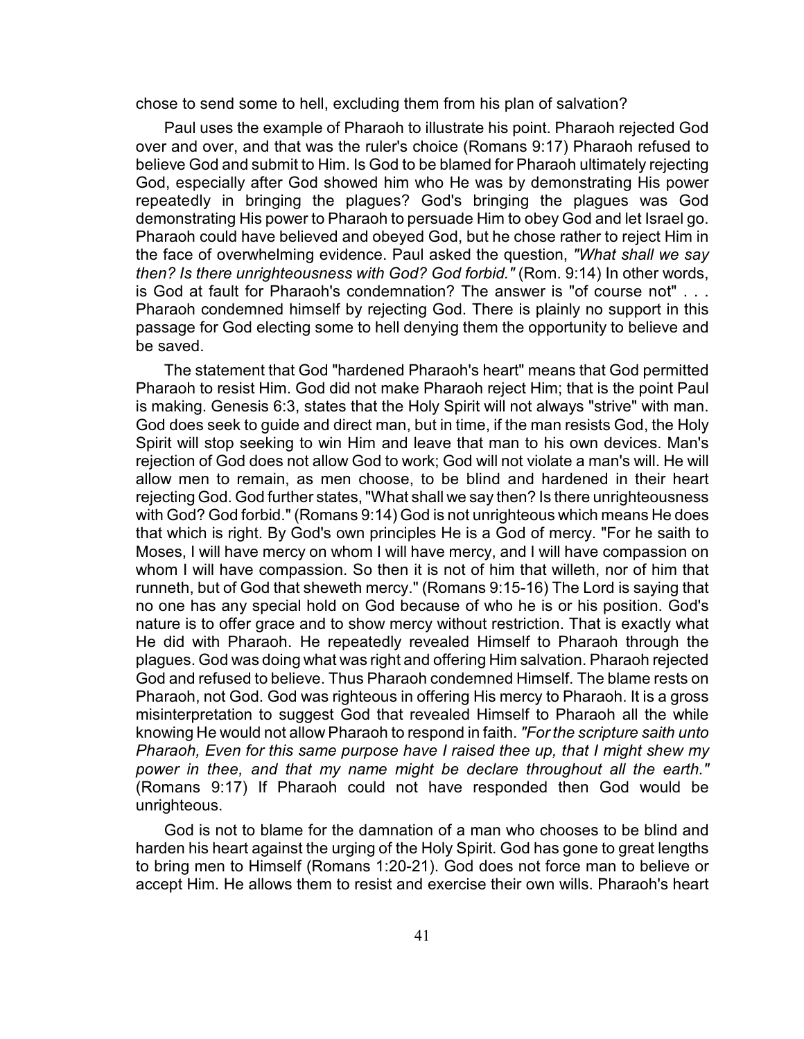chose to send some to hell, excluding them from his plan of salvation?

Paul uses the example of Pharaoh to illustrate his point. Pharaoh rejected God over and over, and that was the ruler's choice (Romans 9:17) Pharaoh refused to believe God and submit to Him. Is God to be blamed for Pharaoh ultimately rejecting God, especially after God showed him who He was by demonstrating His power repeatedly in bringing the plagues? God's bringing the plagues was God demonstrating His power to Pharaoh to persuade Him to obey God and let Israel go. Pharaoh could have believed and obeyed God, but he chose rather to reject Him in the face of overwhelming evidence. Paul asked the question, *"What shall we say then? Is there unrighteousness with God? God forbid."* (Rom. 9:14) In other words, is God at fault for Pharaoh's condemnation? The answer is "of course not" . . . Pharaoh condemned himself by rejecting God. There is plainly no support in this passage for God electing some to hell denying them the opportunity to believe and be saved.

The statement that God "hardened Pharaoh's heart" means that God permitted Pharaoh to resist Him. God did not make Pharaoh reject Him; that is the point Paul is making. Genesis 6:3, states that the Holy Spirit will not always "strive" with man. God does seek to guide and direct man, but in time, if the man resists God, the Holy Spirit will stop seeking to win Him and leave that man to his own devices. Man's rejection of God does not allow God to work; God will not violate a man's will. He will allow men to remain, as men choose, to be blind and hardened in their heart rejecting God. God further states, "What shall we say then? Is there unrighteousness with God? God forbid." (Romans 9:14) God is not unrighteous which means He does that which is right. By God's own principles He is a God of mercy. "For he saith to Moses, I will have mercy on whom I will have mercy, and I will have compassion on whom I will have compassion. So then it is not of him that willeth, nor of him that runneth, but of God that sheweth mercy." (Romans 9:15-16) The Lord is saying that no one has any special hold on God because of who he is or his position. God's nature is to offer grace and to show mercy without restriction. That is exactly what He did with Pharaoh. He repeatedly revealed Himself to Pharaoh through the plagues. God was doing what was right and offering Him salvation. Pharaoh rejected God and refused to believe. Thus Pharaoh condemned Himself. The blame rests on Pharaoh, not God. God was righteous in offering His mercy to Pharaoh. It is a gross misinterpretation to suggest God that revealed Himself to Pharaoh all the while knowing He would not allow Pharaoh to respond in faith. *"For the scripture saith unto Pharaoh, Even for this same purpose have I raised thee up, that I might shew my power in thee, and that my name might be declare throughout all the earth."* (Romans 9:17) If Pharaoh could not have responded then God would be unrighteous.

God is not to blame for the damnation of a man who chooses to be blind and harden his heart against the urging of the Holy Spirit. God has gone to great lengths to bring men to Himself (Romans 1:20-21). God does not force man to believe or accept Him. He allows them to resist and exercise their own wills. Pharaoh's heart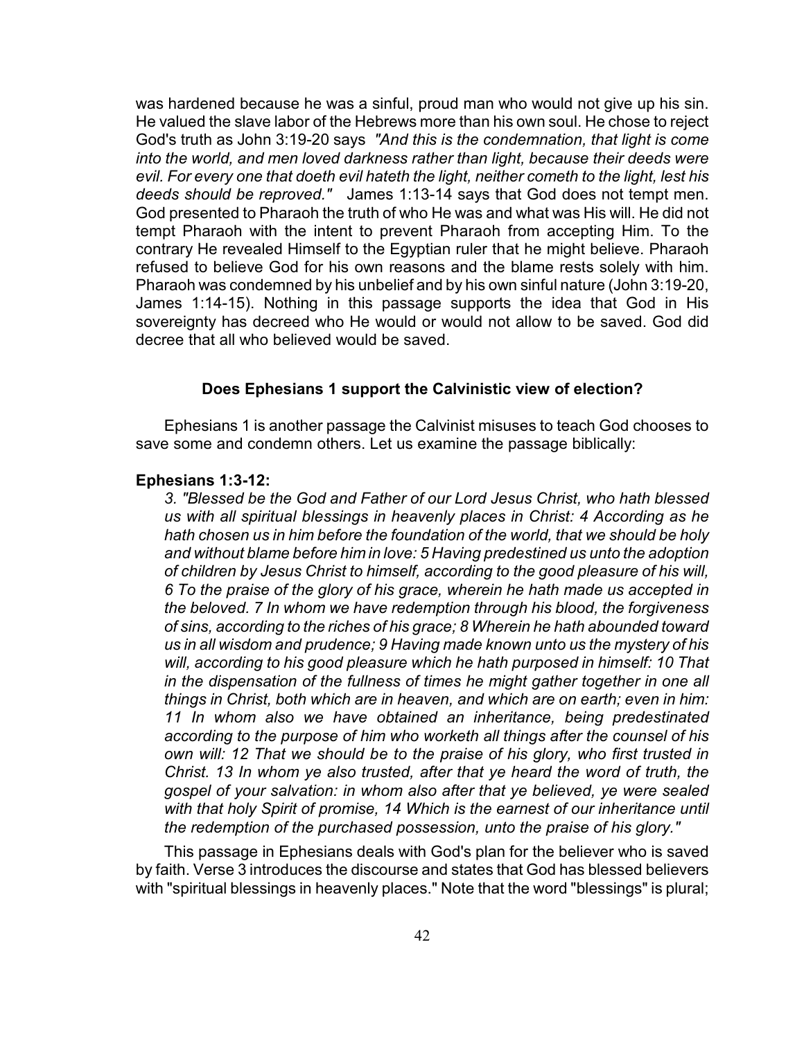was hardened because he was a sinful, proud man who would not give up his sin. He valued the slave labor of the Hebrews more than his own soul. He chose to reject God's truth as John 3:19-20 says *"And this is the condemnation, that light is come into the world, and men loved darkness rather than light, because their deeds were evil. For every one that doeth evil hateth the light, neither cometh to the light, lest his deeds should be reproved."* James 1:13-14 says that God does not tempt men. God presented to Pharaoh the truth of who He was and what was His will. He did not tempt Pharaoh with the intent to prevent Pharaoh from accepting Him. To the contrary He revealed Himself to the Egyptian ruler that he might believe. Pharaoh refused to believe God for his own reasons and the blame rests solely with him. Pharaoh was condemned by his unbelief and by his own sinful nature (John 3:19-20, James 1:14-15). Nothing in this passage supports the idea that God in His sovereignty has decreed who He would or would not allow to be saved. God did decree that all who believed would be saved.

# **Does Ephesians 1 support the Calvinistic view of election?**

Ephesians 1 is another passage the Calvinist misuses to teach God chooses to save some and condemn others. Let us examine the passage biblically:

#### **Ephesians 1:3-12:**

*3. "Blessed be the God and Father of our Lord Jesus Christ, who hath blessed us with all spiritual blessings in heavenly places in Christ: 4 According as he hath chosen us in him before the foundation of the world, that we should be holy and without blame before him in love: 5 Having predestined us unto the adoption of children by Jesus Christ to himself, according to the good pleasure of his will, 6 To the praise of the glory of his grace, wherein he hath made us accepted in the beloved. 7 In whom we have redemption through his blood, the forgiveness of sins, according to the riches of his grace; 8 Wherein he hath abounded toward us in all wisdom and prudence; 9 Having made known unto us the mystery of his will, according to his good pleasure which he hath purposed in himself: 10 That in the dispensation of the fullness of times he might gather together in one all things in Christ, both which are in heaven, and which are on earth; even in him: 11 In whom also we have obtained an inheritance, being predestinated according to the purpose of him who worketh all things after the counsel of his own will: 12 That we should be to the praise of his glory, who first trusted in Christ. 13 In whom ye also trusted, after that ye heard the word of truth, the gospel of your salvation: in whom also after that ye believed, ye were sealed with that holy Spirit of promise, 14 Which is the earnest of our inheritance until the redemption of the purchased possession, unto the praise of his glory."* 

This passage in Ephesians deals with God's plan for the believer who is saved by faith. Verse 3 introduces the discourse and states that God has blessed believers with "spiritual blessings in heavenly places." Note that the word "blessings" is plural;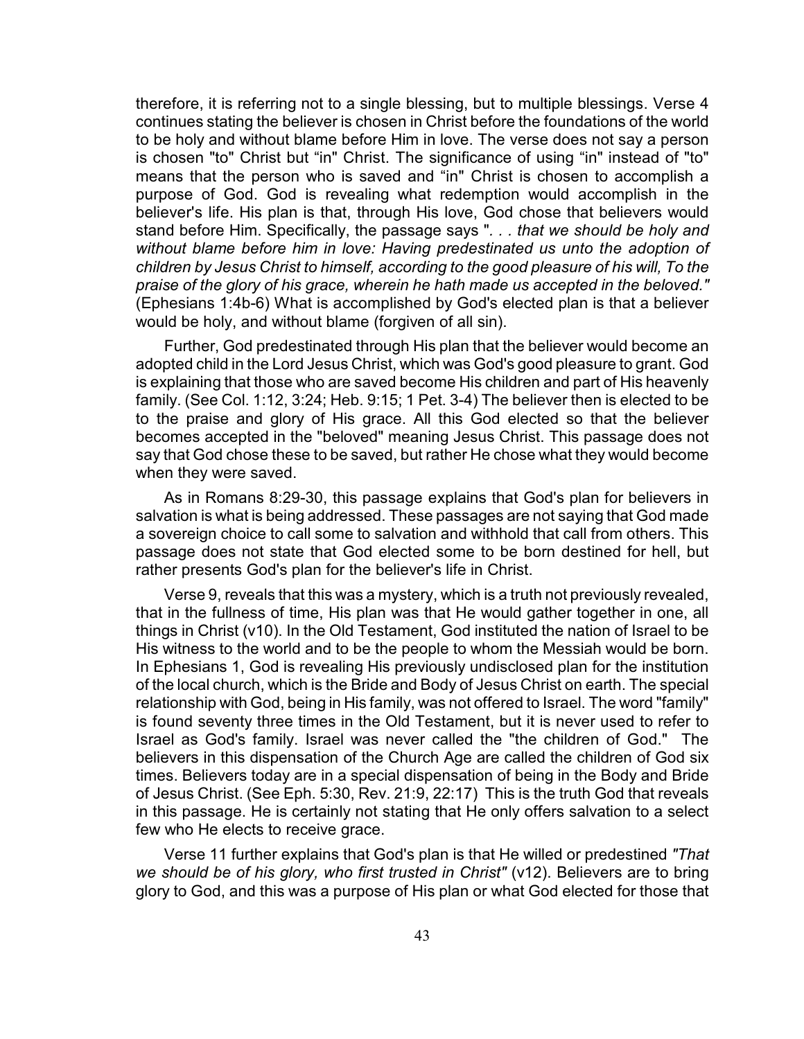therefore, it is referring not to a single blessing, but to multiple blessings. Verse 4 continues stating the believer is chosen in Christ before the foundations of the world to be holy and without blame before Him in love. The verse does not say a person is chosen "to" Christ but "in" Christ. The significance of using "in" instead of "to" means that the person who is saved and "in" Christ is chosen to accomplish a purpose of God. God is revealing what redemption would accomplish in the believer's life. His plan is that, through His love, God chose that believers would stand before Him. Specifically, the passage says "*. . . that we should be holy and without blame before him in love: Having predestinated us unto the adoption of children by Jesus Christ to himself, according to the good pleasure of his will, To the praise of the glory of his grace, wherein he hath made us accepted in the beloved."* (Ephesians 1:4b-6) What is accomplished by God's elected plan is that a believer would be holy, and without blame (forgiven of all sin).

Further, God predestinated through His plan that the believer would become an adopted child in the Lord Jesus Christ, which was God's good pleasure to grant. God is explaining that those who are saved become His children and part of His heavenly family. (See Col. 1:12, 3:24; Heb. 9:15; 1 Pet. 3-4) The believer then is elected to be to the praise and glory of His grace. All this God elected so that the believer becomes accepted in the "beloved" meaning Jesus Christ. This passage does not say that God chose these to be saved, but rather He chose what they would become when they were saved.

As in Romans 8:29-30, this passage explains that God's plan for believers in salvation is what is being addressed. These passages are not saying that God made a sovereign choice to call some to salvation and withhold that call from others. This passage does not state that God elected some to be born destined for hell, but rather presents God's plan for the believer's life in Christ.

Verse 9, reveals that this was a mystery, which is a truth not previously revealed, that in the fullness of time, His plan was that He would gather together in one, all things in Christ (v10). In the Old Testament, God instituted the nation of Israel to be His witness to the world and to be the people to whom the Messiah would be born. In Ephesians 1, God is revealing His previously undisclosed plan for the institution of the local church, which is the Bride and Body of Jesus Christ on earth. The special relationship with God, being in His family, was not offered to Israel. The word "family" is found seventy three times in the Old Testament, but it is never used to refer to Israel as God's family. Israel was never called the "the children of God." The believers in this dispensation of the Church Age are called the children of God six times. Believers today are in a special dispensation of being in the Body and Bride of Jesus Christ. (See Eph. 5:30, Rev. 21:9, 22:17) This is the truth God that reveals in this passage. He is certainly not stating that He only offers salvation to a select few who He elects to receive grace.

Verse 11 further explains that God's plan is that He willed or predestined *"That* we should be of his glory, who first trusted in Christ" (v12). Believers are to bring glory to God, and this was a purpose of His plan or what God elected for those that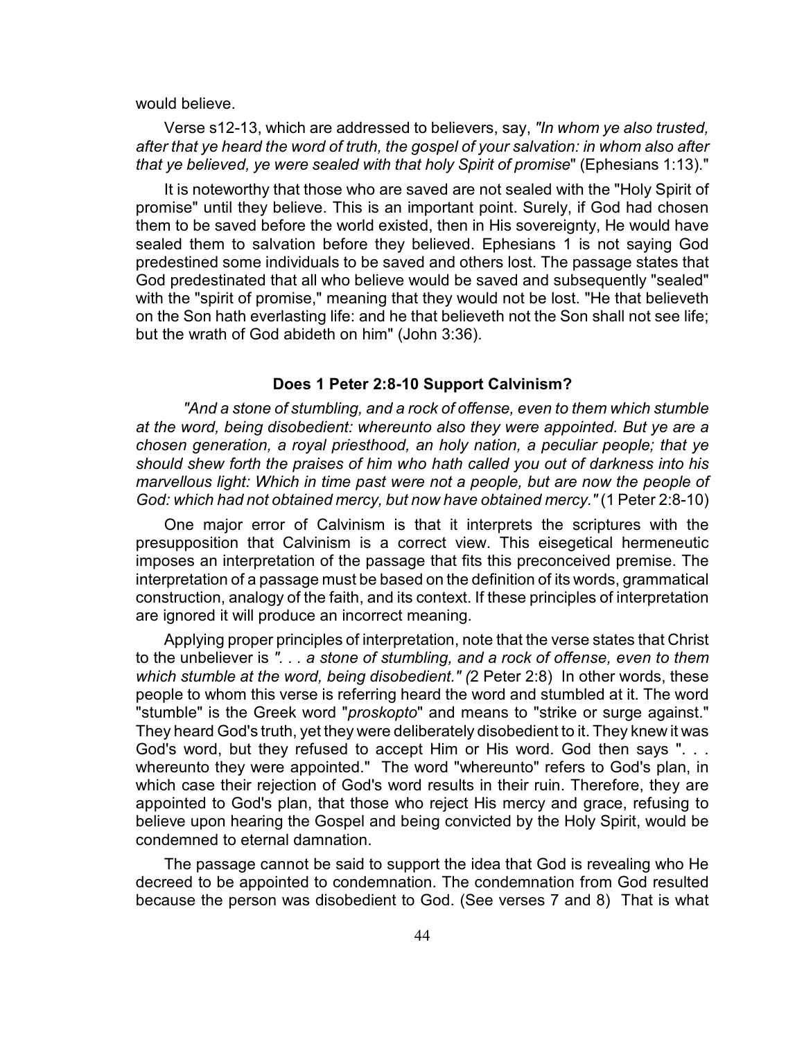would believe.

Verse s12-13, which are addressed to believers, say, *"In whom ye also trusted, after that ye heard the word of truth, the gospel of your salvation: in whom also after that ye believed, ye were sealed with that holy Spirit of promise*" (Ephesians 1:13)."

It is noteworthy that those who are saved are not sealed with the "Holy Spirit of promise" until they believe. This is an important point. Surely, if God had chosen them to be saved before the world existed, then in His sovereignty, He would have sealed them to salvation before they believed. Ephesians 1 is not saying God predestined some individuals to be saved and others lost. The passage states that God predestinated that all who believe would be saved and subsequently "sealed" with the "spirit of promise," meaning that they would not be lost. "He that believeth on the Son hath everlasting life: and he that believeth not the Son shall not see life; but the wrath of God abideth on him" (John 3:36).

#### **Does 1 Peter 2:8-10 Support Calvinism?**

*"And a stone of stumbling, and a rock of offense, even to them which stumble at the word, being disobedient: whereunto also they were appointed. But ye are a chosen generation, a royal priesthood, an holy nation, a peculiar people; that ye should shew forth the praises of him who hath called you out of darkness into his marvellous light: Which in time past were not a people, but are now the people of God: which had not obtained mercy, but now have obtained mercy."* (1 Peter 2:8-10)

One major error of Calvinism is that it interprets the scriptures with the presupposition that Calvinism is a correct view. This eisegetical hermeneutic imposes an interpretation of the passage that fits this preconceived premise. The interpretation of a passage must be based on the definition of its words, grammatical construction, analogy of the faith, and its context. If these principles of interpretation are ignored it will produce an incorrect meaning.

Applying proper principles of interpretation, note that the verse states that Christ to the unbeliever is *". . . a stone of stumbling, and a rock of offense, even to them which stumble at the word, being disobedient." (*2 Peter 2:8) In other words, these people to whom this verse is referring heard the word and stumbled at it. The word "stumble" is the Greek word "*proskopto*" and means to "strike or surge against." They heard God's truth, yet they were deliberately disobedient to it. They knew it was God's word, but they refused to accept Him or His word. God then says ". . . whereunto they were appointed." The word "whereunto" refers to God's plan, in which case their rejection of God's word results in their ruin. Therefore, they are appointed to God's plan, that those who reject His mercy and grace, refusing to believe upon hearing the Gospel and being convicted by the Holy Spirit, would be condemned to eternal damnation.

The passage cannot be said to support the idea that God is revealing who He decreed to be appointed to condemnation. The condemnation from God resulted because the person was disobedient to God. (See verses 7 and 8) That is what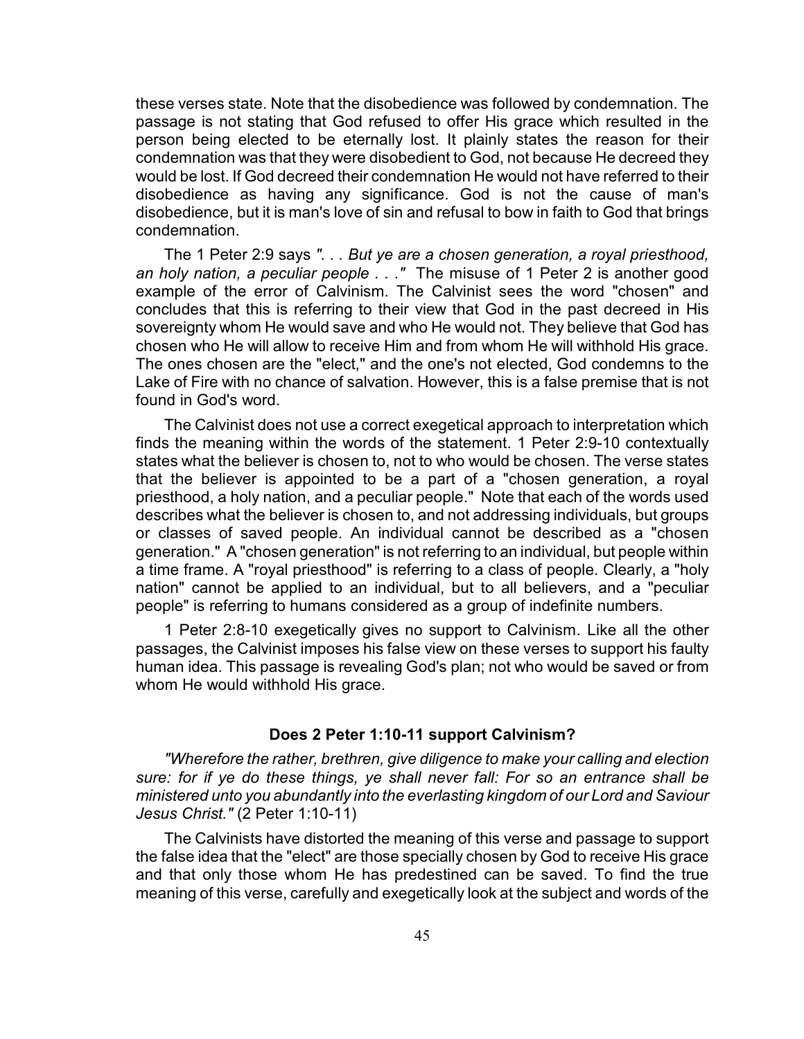these verses state. Note that the disobedience was followed by condemnation. The passage is not stating that God refused to offer His grace which resulted in the person being elected to be eternally lost. It plainly states the reason for their condemnation was that they were disobedient to God, not because He decreed they would be lost. If God decreed their condemnation He would not have referred to their disobedience as having any significance. God is not the cause of man's disobedience, but it is man's love of sin and refusal to bow in faith to God that brings condemnation.

The 1 Peter 2:9 says *". . . But ye are a chosen generation, a royal priesthood, an holy nation, a peculiar people . . ."* The misuse of 1 Peter 2 is another good example of the error of Calvinism. The Calvinist sees the word "chosen" and concludes that this is referring to their view that God in the past decreed in His sovereignty whom He would save and who He would not. They believe that God has chosen who He will allow to receive Him and from whom He will withhold His grace. The ones chosen are the "elect," and the one's not elected, God condemns to the Lake of Fire with no chance of salvation. However, this is a false premise that is not found in God's word.

The Calvinist does not use a correct exegetical approach to interpretation which finds the meaning within the words of the statement. 1 Peter 2:9-10 contextually states what the believer is chosen to, not to who would be chosen. The verse states that the believer is appointed to be a part of a "chosen generation, a royal priesthood, a holy nation, and a peculiar people." Note that each of the words used describes what the believer is chosen to, and not addressing individuals, but groups or classes of saved people. An individual cannot be described as a "chosen generation." A "chosen generation" is not referring to an individual, but people within a time frame. A "royal priesthood" is referring to a class of people. Clearly, a "holy nation" cannot be applied to an individual, but to all believers, and a "peculiar people" is referring to humans considered as a group of indefinite numbers.

1 Peter 2:8-10 exegetically gives no support to Calvinism. Like all the other passages, the Calvinist imposes his false view on these verses to support his faulty human idea. This passage is revealing God's plan; not who would be saved or from whom He would withhold His grace.

### **Does 2 Peter 1:10-11 support Calvinism?**

*"Wherefore the rather, brethren, give diligence to make your calling and election sure: for if ye do these things, ye shall never fall: For so an entrance shall be ministered unto you abundantly into the everlasting kingdom of our Lord and Saviour Jesus Christ."* (2 Peter 1:10-11)

The Calvinists have distorted the meaning of this verse and passage to support the false idea that the "elect" are those specially chosen by God to receive His grace and that only those whom He has predestined can be saved. To find the true meaning of this verse, carefully and exegetically look at the subject and words of the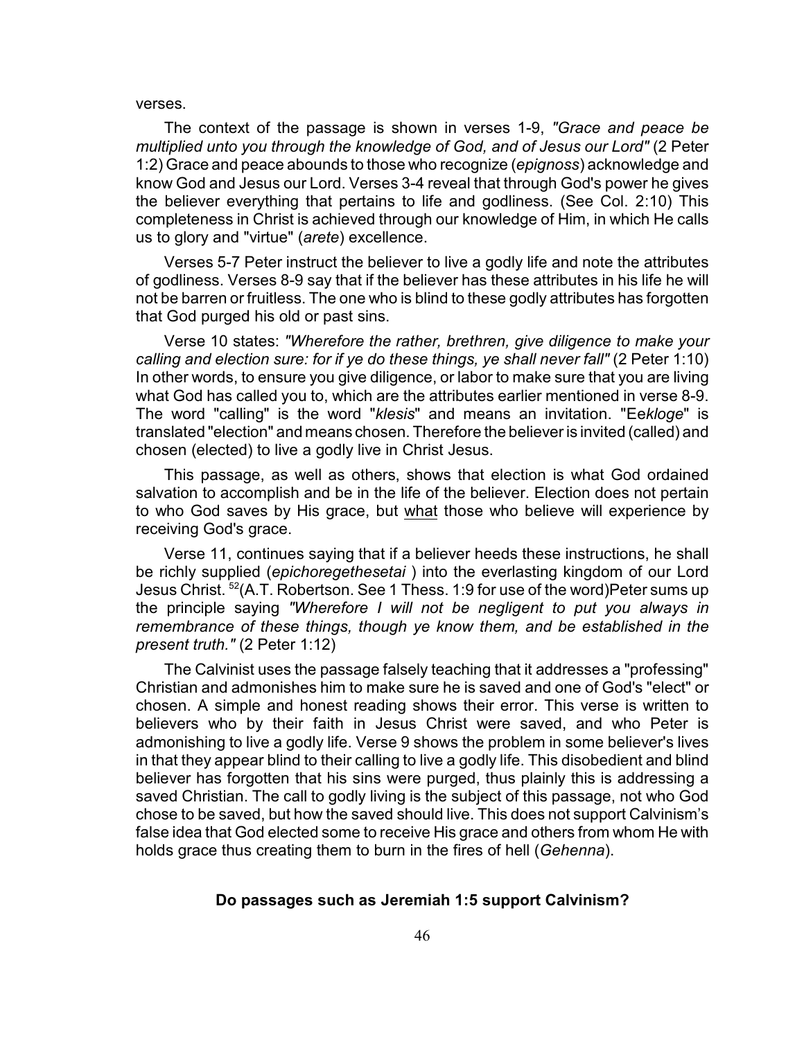#### verses.

The context of the passage is shown in verses 1-9, *"Grace and peace be multiplied unto you through the knowledge of God, and of Jesus our Lord"* (2 Peter 1:2) Grace and peace abounds to those who recognize (*epignoss*) acknowledge and know God and Jesus our Lord. Verses 3-4 reveal that through God's power he gives the believer everything that pertains to life and godliness. (See Col. 2:10) This completeness in Christ is achieved through our knowledge of Him, in which He calls us to glory and "virtue" (*arete*) excellence.

Verses 5-7 Peter instruct the believer to live a godly life and note the attributes of godliness. Verses 8-9 say that if the believer has these attributes in his life he will not be barren or fruitless. The one who is blind to these godly attributes has forgotten that God purged his old or past sins.

Verse 10 states: *"Wherefore the rather, brethren, give diligence to make your calling and election sure: for if ye do these things, ye shall never fall"* (2 Peter 1:10) In other words, to ensure you give diligence, or labor to make sure that you are living what God has called you to, which are the attributes earlier mentioned in verse 8-9. The word "calling" is the word "*klesis*" and means an invitation. "Ee*kloge*" is translated "election" and means chosen. Therefore the believer is invited (called) and chosen (elected) to live a godly live in Christ Jesus.

This passage, as well as others, shows that election is what God ordained salvation to accomplish and be in the life of the believer. Election does not pertain to who God saves by His grace, but what those who believe will experience by receiving God's grace.

Verse 11, continues saying that if a believer heeds these instructions, he shall be richly supplied (*epichoregethesetai* ) into the everlasting kingdom of our Lord Jesus Christ.  $52(A. T.$  Robertson. See 1 Thess. 1:9 for use of the word)Peter sums up the principle saying *"Wherefore I will not be negligent to put you always in remembrance of these things, though ye know them, and be established in the present truth."* (2 Peter 1:12)

The Calvinist uses the passage falsely teaching that it addresses a "professing" Christian and admonishes him to make sure he is saved and one of God's "elect" or chosen. A simple and honest reading shows their error. This verse is written to believers who by their faith in Jesus Christ were saved, and who Peter is admonishing to live a godly life. Verse 9 shows the problem in some believer's lives in that they appear blind to their calling to live a godly life. This disobedient and blind believer has forgotten that his sins were purged, thus plainly this is addressing a saved Christian. The call to godly living is the subject of this passage, not who God chose to be saved, but how the saved should live. This does not support Calvinism's false idea that God elected some to receive His grace and others from whom He with holds grace thus creating them to burn in the fires of hell (*Gehenna*).

### **Do passages such as Jeremiah 1:5 support Calvinism?**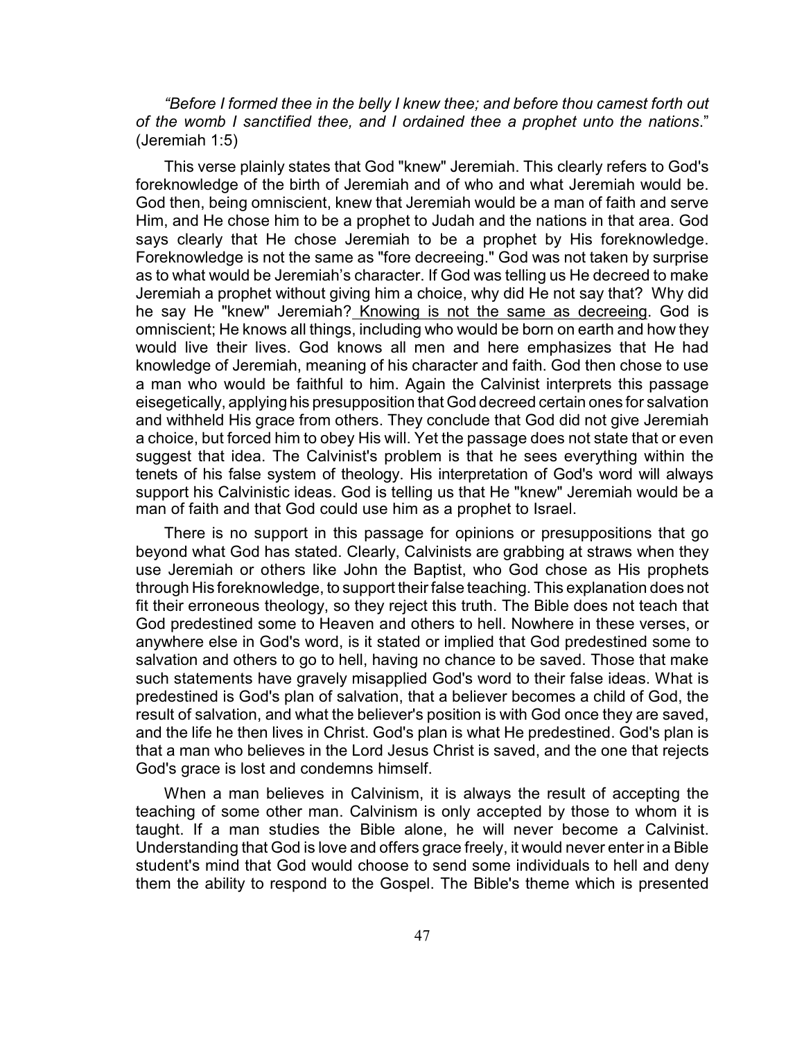*"Before I formed thee in the belly I knew thee; and before thou camest forth out of the womb I sanctified thee, and I ordained thee a prophet unto the nations*." (Jeremiah 1:5)

This verse plainly states that God "knew" Jeremiah. This clearly refers to God's foreknowledge of the birth of Jeremiah and of who and what Jeremiah would be. God then, being omniscient, knew that Jeremiah would be a man of faith and serve Him, and He chose him to be a prophet to Judah and the nations in that area. God says clearly that He chose Jeremiah to be a prophet by His foreknowledge. Foreknowledge is not the same as "fore decreeing." God was not taken by surprise as to what would be Jeremiah's character. If God was telling us He decreed to make Jeremiah a prophet without giving him a choice, why did He not say that? Why did he say He "knew" Jeremiah? Knowing is not the same as decreeing. God is omniscient; He knows all things, including who would be born on earth and how they would live their lives. God knows all men and here emphasizes that He had knowledge of Jeremiah, meaning of his character and faith. God then chose to use a man who would be faithful to him. Again the Calvinist interprets this passage eisegetically, applying his presupposition that God decreed certain ones for salvation and withheld His grace from others. They conclude that God did not give Jeremiah a choice, but forced him to obey His will. Yet the passage does not state that or even suggest that idea. The Calvinist's problem is that he sees everything within the tenets of his false system of theology. His interpretation of God's word will always support his Calvinistic ideas. God is telling us that He "knew" Jeremiah would be a man of faith and that God could use him as a prophet to Israel.

There is no support in this passage for opinions or presuppositions that go beyond what God has stated. Clearly, Calvinists are grabbing at straws when they use Jeremiah or others like John the Baptist, who God chose as His prophets through His foreknowledge, to support their false teaching. This explanation does not fit their erroneous theology, so they reject this truth. The Bible does not teach that God predestined some to Heaven and others to hell. Nowhere in these verses, or anywhere else in God's word, is it stated or implied that God predestined some to salvation and others to go to hell, having no chance to be saved. Those that make such statements have gravely misapplied God's word to their false ideas. What is predestined is God's plan of salvation, that a believer becomes a child of God, the result of salvation, and what the believer's position is with God once they are saved, and the life he then lives in Christ. God's plan is what He predestined. God's plan is that a man who believes in the Lord Jesus Christ is saved, and the one that rejects God's grace is lost and condemns himself.

When a man believes in Calvinism, it is always the result of accepting the teaching of some other man. Calvinism is only accepted by those to whom it is taught. If a man studies the Bible alone, he will never become a Calvinist. Understanding that God is love and offers grace freely, it would never enter in a Bible student's mind that God would choose to send some individuals to hell and deny them the ability to respond to the Gospel. The Bible's theme which is presented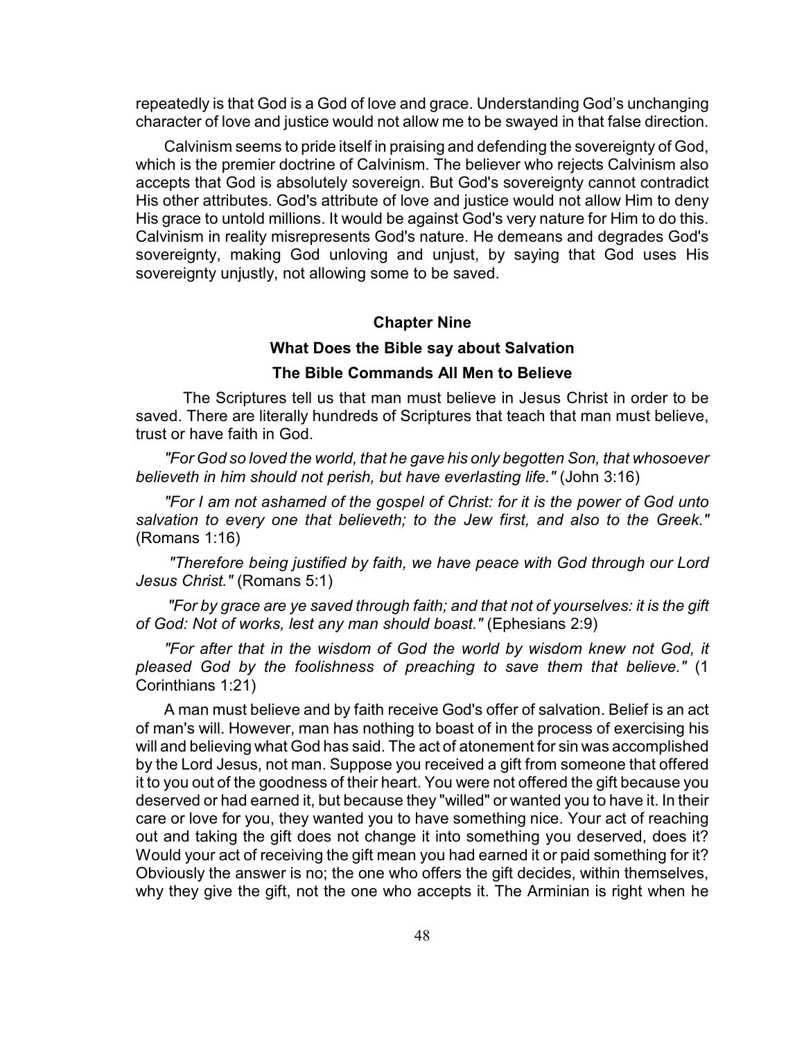repeatedly is that God is a God of love and grace. Understanding God's unchanging character of love and justice would not allow me to be swayed in that false direction.

Calvinism seems to pride itself in praising and defending the sovereignty of God, which is the premier doctrine of Calvinism. The believer who rejects Calvinism also accepts that God is absolutely sovereign. But God's sovereignty cannot contradict His other attributes. God's attribute of love and justice would not allow Him to deny His grace to untold millions. It would be against God's very nature for Him to do this. Calvinism in reality misrepresents God's nature. He demeans and degrades God's sovereignty, making God unloving and unjust, by saying that God uses His sovereignty unjustly, not allowing some to be saved.

#### **Chapter Nine**

## **What Does the Bible say about Salvation**

## **The Bible Commands All Men to Believe**

The Scriptures tell us that man must believe in Jesus Christ in order to be saved. There are literally hundreds of Scriptures that teach that man must believe, trust or have faith in God.

*"For God so loved the world, that he gave his only begotten Son, that whosoever believeth in him should not perish, but have everlasting life."* (John 3:16)

*"For I am not ashamed of the gospel of Christ: for it is the power of God unto salvation to every one that believeth; to the Jew first, and also to the Greek."* (Romans 1:16)

 *"Therefore being justified by faith, we have peace with God through our Lord Jesus Christ."* (Romans 5:1)

 *"For by grace are ye saved through faith; and that not of yourselves: it is the gift of God: Not of works, lest any man should boast."* (Ephesians 2:9)

*"For after that in the wisdom of God the world by wisdom knew not God, it pleased God by the foolishness of preaching to save them that believe."* (1 Corinthians 1:21)

A man must believe and by faith receive God's offer of salvation. Belief is an act of man's will. However, man has nothing to boast of in the process of exercising his will and believing what God has said. The act of atonement for sin was accomplished by the Lord Jesus, not man. Suppose you received a gift from someone that offered it to you out of the goodness of their heart. You were not offered the gift because you deserved or had earned it, but because they "willed" or wanted you to have it. In their care or love for you, they wanted you to have something nice. Your act of reaching out and taking the gift does not change it into something you deserved, does it? Would your act of receiving the gift mean you had earned it or paid something for it? Obviously the answer is no; the one who offers the gift decides, within themselves, why they give the gift, not the one who accepts it. The Arminian is right when he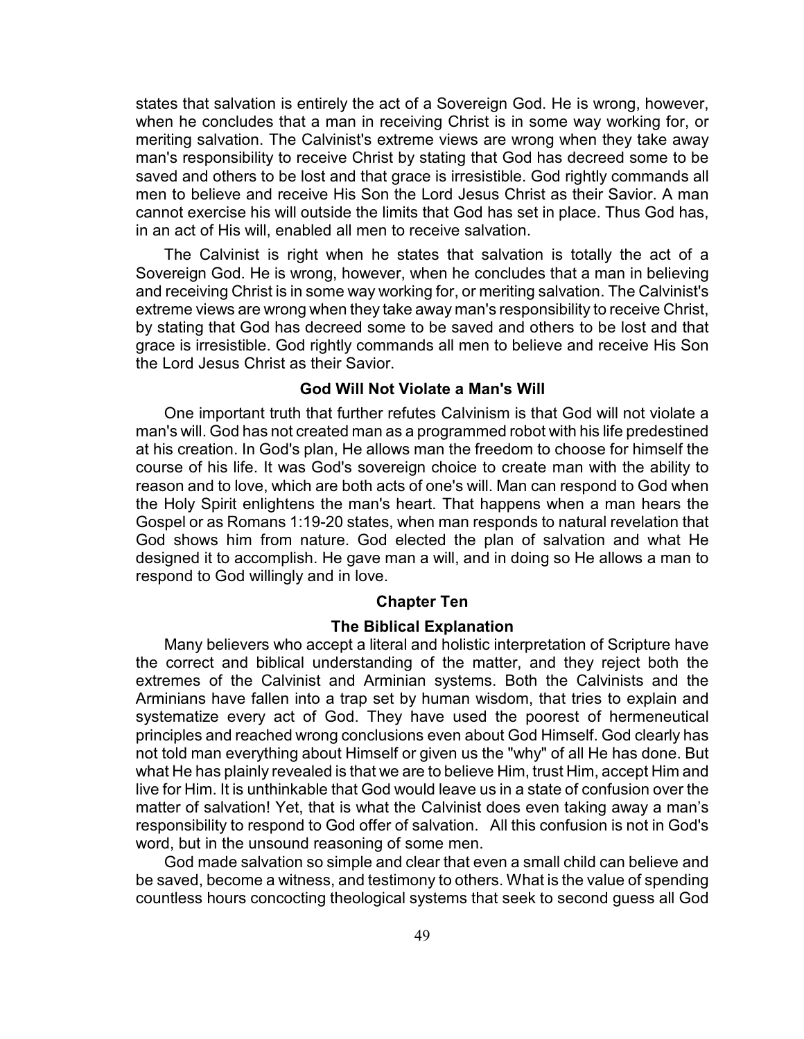states that salvation is entirely the act of a Sovereign God. He is wrong, however, when he concludes that a man in receiving Christ is in some way working for, or meriting salvation. The Calvinist's extreme views are wrong when they take away man's responsibility to receive Christ by stating that God has decreed some to be saved and others to be lost and that grace is irresistible. God rightly commands all men to believe and receive His Son the Lord Jesus Christ as their Savior. A man cannot exercise his will outside the limits that God has set in place. Thus God has, in an act of His will, enabled all men to receive salvation.

The Calvinist is right when he states that salvation is totally the act of a Sovereign God. He is wrong, however, when he concludes that a man in believing and receiving Christ is in some way working for, or meriting salvation. The Calvinist's extreme views are wrong when they take away man's responsibility to receive Christ, by stating that God has decreed some to be saved and others to be lost and that grace is irresistible. God rightly commands all men to believe and receive His Son the Lord Jesus Christ as their Savior.

## **God Will Not Violate a Man's Will**

One important truth that further refutes Calvinism is that God will not violate a man's will. God has not created man as a programmed robot with his life predestined at his creation. In God's plan, He allows man the freedom to choose for himself the course of his life. It was God's sovereign choice to create man with the ability to reason and to love, which are both acts of one's will. Man can respond to God when the Holy Spirit enlightens the man's heart. That happens when a man hears the Gospel or as Romans 1:19-20 states, when man responds to natural revelation that God shows him from nature. God elected the plan of salvation and what He designed it to accomplish. He gave man a will, and in doing so He allows a man to respond to God willingly and in love.

#### **Chapter Ten**

## **The Biblical Explanation**

Many believers who accept a literal and holistic interpretation of Scripture have the correct and biblical understanding of the matter, and they reject both the extremes of the Calvinist and Arminian systems. Both the Calvinists and the Arminians have fallen into a trap set by human wisdom, that tries to explain and systematize every act of God. They have used the poorest of hermeneutical principles and reached wrong conclusions even about God Himself. God clearly has not told man everything about Himself or given us the "why" of all He has done. But what He has plainly revealed is that we are to believe Him, trust Him, accept Him and live for Him. It is unthinkable that God would leave us in a state of confusion over the matter of salvation! Yet, that is what the Calvinist does even taking away a man's responsibility to respond to God offer of salvation. All this confusion is not in God's word, but in the unsound reasoning of some men.

God made salvation so simple and clear that even a small child can believe and be saved, become a witness, and testimony to others. What is the value of spending countless hours concocting theological systems that seek to second guess all God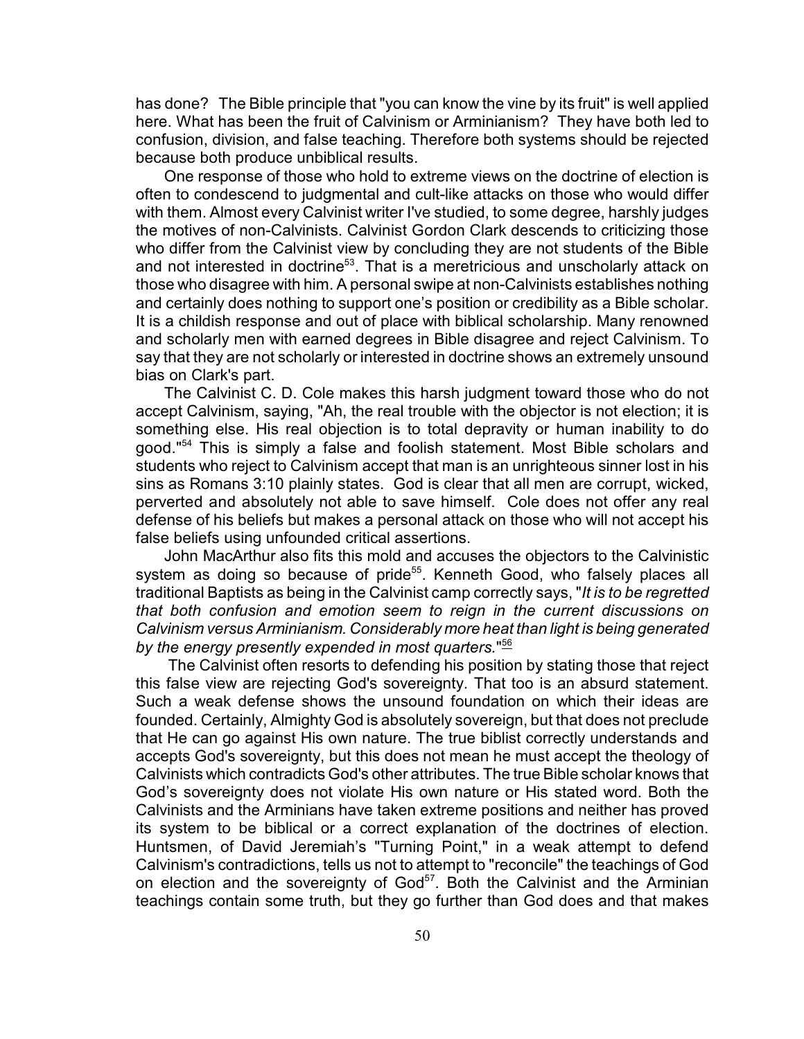has done? The Bible principle that "you can know the vine by its fruit" is well applied here. What has been the fruit of Calvinism or Arminianism? They have both led to confusion, division, and false teaching. Therefore both systems should be rejected because both produce unbiblical results.

One response of those who hold to extreme views on the doctrine of election is often to condescend to judgmental and cult-like attacks on those who would differ with them. Almost every Calvinist writer I've studied, to some degree, harshly judges the motives of non-Calvinists. Calvinist Gordon Clark descends to criticizing those who differ from the Calvinist view by concluding they are not students of the Bible and not interested in doctrine<sup>53</sup>. That is a meretricious and unscholarly attack on those who disagree with him. A personal swipe at non-Calvinists establishes nothing and certainly does nothing to support one's position or credibility as a Bible scholar. It is a childish response and out of place with biblical scholarship. Many renowned and scholarly men with earned degrees in Bible disagree and reject Calvinism. To say that they are not scholarly or interested in doctrine shows an extremely unsound bias on Clark's part.

The Calvinist C. D. Cole makes this harsh judgment toward those who do not accept Calvinism, saying, "Ah, the real trouble with the objector is not election; it is something else. His real objection is to total depravity or human inability to do good."<sup>54</sup> This is simply a false and foolish statement. Most Bible scholars and students who reject to Calvinism accept that man is an unrighteous sinner lost in his sins as Romans 3:10 plainly states. God is clear that all men are corrupt, wicked, perverted and absolutely not able to save himself. Cole does not offer any real defense of his beliefs but makes a personal attack on those who will not accept his false beliefs using unfounded critical assertions.

John MacArthur also fits this mold and accuses the objectors to the Calvinistic system as doing so because of pride<sup>55</sup>. Kenneth Good, who falsely places all traditional Baptists as being in the Calvinist camp correctly says, "*It is to be regretted that both confusion and emotion seem to reign in the current discussions on Calvinism versus Arminianism. Considerably more heat than light is being generated by the energy presently expended in most quarters.*" 56

 The Calvinist often resorts to defending his position by stating those that reject this false view are rejecting God's sovereignty. That too is an absurd statement. Such a weak defense shows the unsound foundation on which their ideas are founded. Certainly, Almighty God is absolutely sovereign, but that does not preclude that He can go against His own nature. The true biblist correctly understands and accepts God's sovereignty, but this does not mean he must accept the theology of Calvinists which contradicts God's other attributes. The true Bible scholar knows that God's sovereignty does not violate His own nature or His stated word. Both the Calvinists and the Arminians have taken extreme positions and neither has proved its system to be biblical or a correct explanation of the doctrines of election. Huntsmen, of David Jeremiah's "Turning Point," in a weak attempt to defend Calvinism's contradictions, tells us not to attempt to "reconcile" the teachings of God on election and the sovereignty of  $God<sup>57</sup>$ . Both the Calvinist and the Arminian teachings contain some truth, but they go further than God does and that makes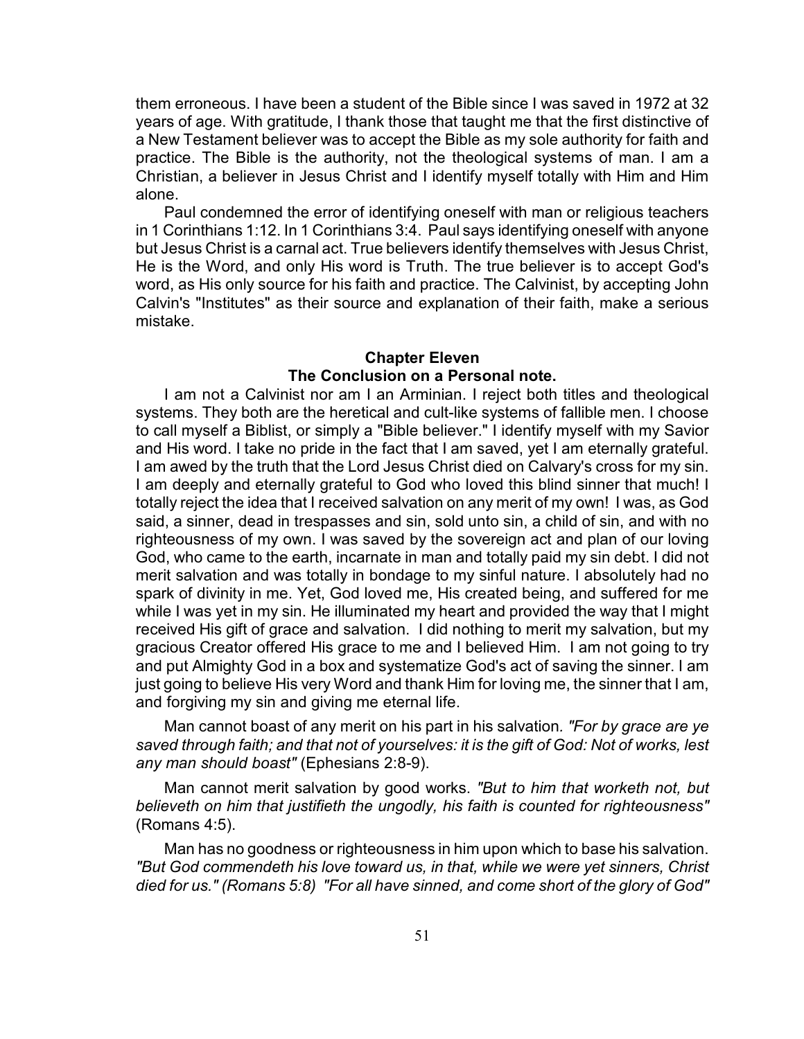them erroneous. I have been a student of the Bible since I was saved in 1972 at 32 years of age. With gratitude, I thank those that taught me that the first distinctive of a New Testament believer was to accept the Bible as my sole authority for faith and practice. The Bible is the authority, not the theological systems of man. I am a Christian, a believer in Jesus Christ and I identify myself totally with Him and Him alone.

Paul condemned the error of identifying oneself with man or religious teachers in 1 Corinthians 1:12. In 1 Corinthians 3:4. Paul says identifying oneself with anyone but Jesus Christ is a carnal act. True believers identify themselves with Jesus Christ, He is the Word, and only His word is Truth. The true believer is to accept God's word, as His only source for his faith and practice. The Calvinist, by accepting John Calvin's "Institutes" as their source and explanation of their faith, make a serious mistake.

#### **Chapter Eleven**

# **The Conclusion on a Personal note.**

I am not a Calvinist nor am I an Arminian. I reject both titles and theological systems. They both are the heretical and cult-like systems of fallible men. I choose to call myself a Biblist, or simply a "Bible believer." I identify myself with my Savior and His word. I take no pride in the fact that I am saved, yet I am eternally grateful. I am awed by the truth that the Lord Jesus Christ died on Calvary's cross for my sin. I am deeply and eternally grateful to God who loved this blind sinner that much! I totally reject the idea that I received salvation on any merit of my own! I was, as God said, a sinner, dead in trespasses and sin, sold unto sin, a child of sin, and with no righteousness of my own. I was saved by the sovereign act and plan of our loving God, who came to the earth, incarnate in man and totally paid my sin debt. I did not merit salvation and was totally in bondage to my sinful nature. I absolutely had no spark of divinity in me. Yet, God loved me, His created being, and suffered for me while I was yet in my sin. He illuminated my heart and provided the way that I might received His gift of grace and salvation. I did nothing to merit my salvation, but my gracious Creator offered His grace to me and I believed Him. I am not going to try and put Almighty God in a box and systematize God's act of saving the sinner. I am just going to believe His very Word and thank Him for loving me, the sinner that I am, and forgiving my sin and giving me eternal life.

Man cannot boast of any merit on his part in his salvation*. "For by grace are ye saved through faith; and that not of yourselves: it is the gift of God: Not of works, lest any man should boast"* (Ephesians 2:8-9).

Man cannot merit salvation by good works. *"But to him that worketh not, but believeth on him that justifieth the ungodly, his faith is counted for righteousness"* (Romans 4:5).

Man has no goodness or righteousness in him upon which to base his salvation. *"But God commendeth his love toward us, in that, while we were yet sinners, Christ died for us." (Romans 5:8) "For all have sinned, and come short of the glory of God"*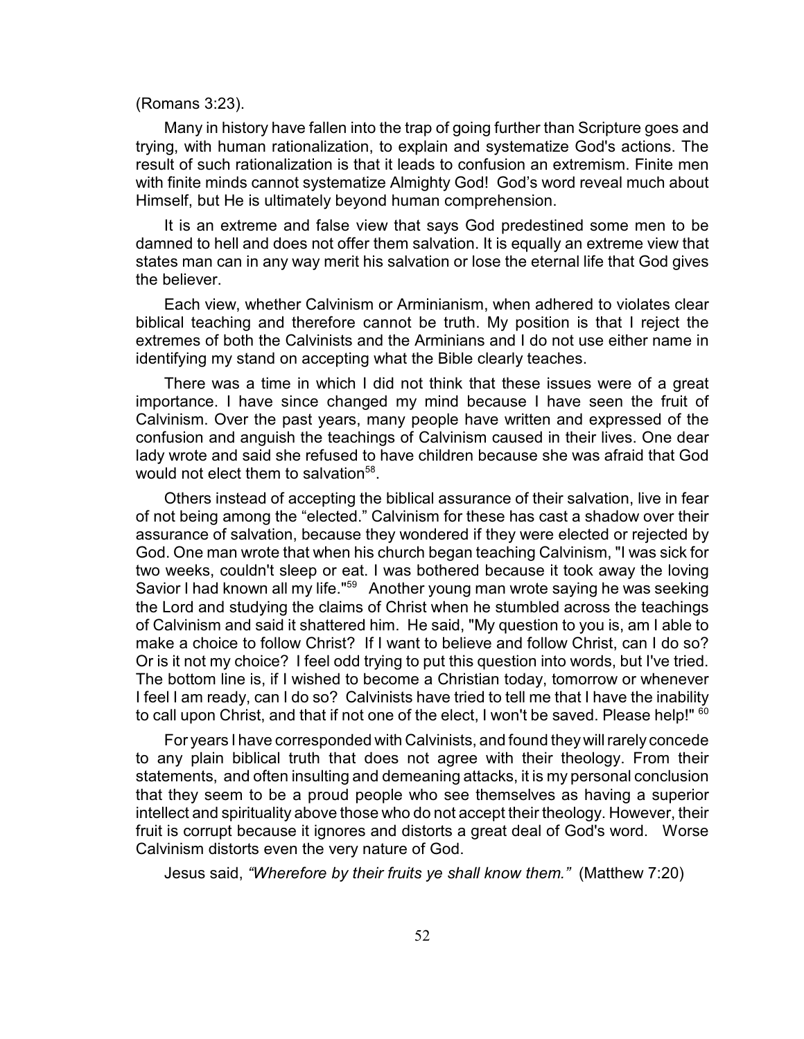#### (Romans 3:23).

Many in history have fallen into the trap of going further than Scripture goes and trying, with human rationalization, to explain and systematize God's actions. The result of such rationalization is that it leads to confusion an extremism. Finite men with finite minds cannot systematize Almighty God! God's word reveal much about Himself, but He is ultimately beyond human comprehension.

It is an extreme and false view that says God predestined some men to be damned to hell and does not offer them salvation. It is equally an extreme view that states man can in any way merit his salvation or lose the eternal life that God gives the believer.

Each view, whether Calvinism or Arminianism, when adhered to violates clear biblical teaching and therefore cannot be truth. My position is that I reject the extremes of both the Calvinists and the Arminians and I do not use either name in identifying my stand on accepting what the Bible clearly teaches.

There was a time in which I did not think that these issues were of a great importance. I have since changed my mind because I have seen the fruit of Calvinism. Over the past years, many people have written and expressed of the confusion and anguish the teachings of Calvinism caused in their lives. One dear lady wrote and said she refused to have children because she was afraid that God would not elect them to salvation<sup>58</sup>.

Others instead of accepting the biblical assurance of their salvation, live in fear of not being among the "elected." Calvinism for these has cast a shadow over their assurance of salvation, because they wondered if they were elected or rejected by God. One man wrote that when his church began teaching Calvinism, "I was sick for two weeks, couldn't sleep or eat. I was bothered because it took away the loving Savior I had known all my life."<sup>59</sup> Another young man wrote saying he was seeking the Lord and studying the claims of Christ when he stumbled across the teachings of Calvinism and said it shattered him. He said, "My question to you is, am I able to make a choice to follow Christ? If I want to believe and follow Christ, can I do so? Or is it not my choice? I feel odd trying to put this question into words, but I've tried. The bottom line is, if I wished to become a Christian today, tomorrow or whenever I feel I am ready, can I do so? Calvinists have tried to tell me that I have the inability to call upon Christ, and that if not one of the elect, I won't be saved. Please help!" <sup>60</sup>

For years I have corresponded with Calvinists, and found they will rarely concede to any plain biblical truth that does not agree with their theology. From their statements, and often insulting and demeaning attacks, it is my personal conclusion that they seem to be a proud people who see themselves as having a superior intellect and spirituality above those who do not accept their theology. However, their fruit is corrupt because it ignores and distorts a great deal of God's word. Worse Calvinism distorts even the very nature of God.

Jesus said, *"Wherefore by their fruits ye shall know them."* (Matthew 7:20)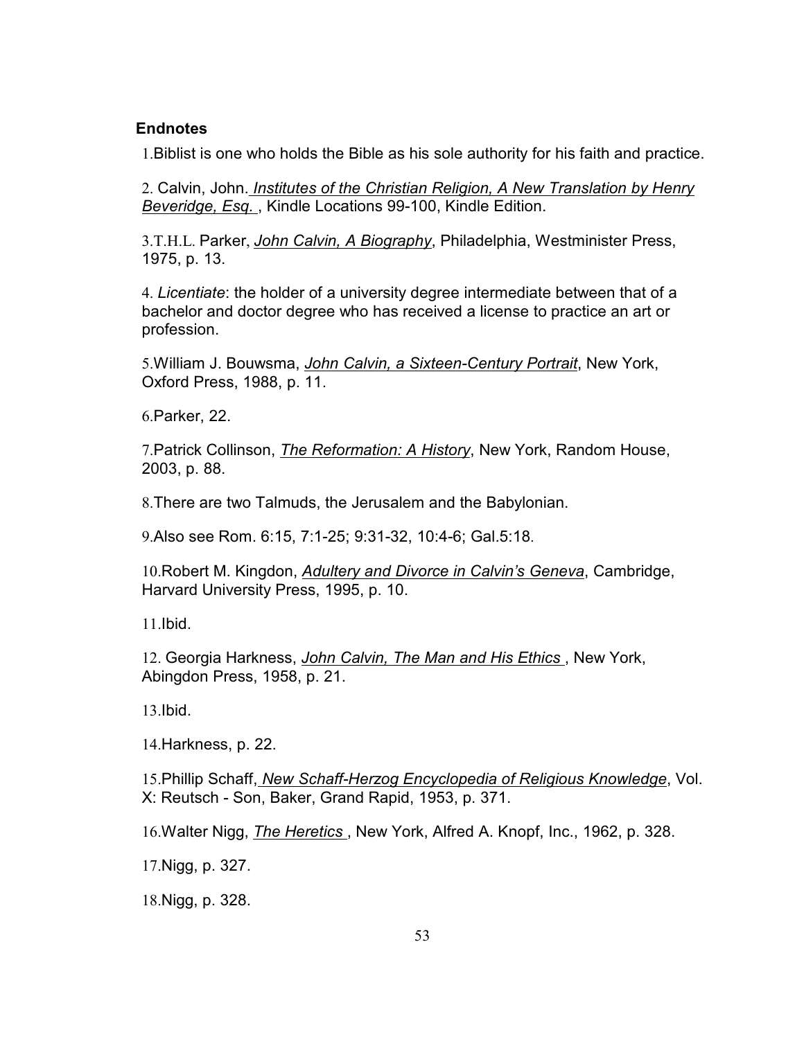# **Endnotes**

1.Biblist is one who holds the Bible as his sole authority for his faith and practice.

2. Calvin, John. *Institutes of the Christian Religion, A New Translation by Henry Beveridge, Esq.* , Kindle Locations 99-100, Kindle Edition.

3.T.H.L. Parker, *John Calvin, A Biography*, Philadelphia, Westminister Press, 1975, p. 13.

4. *Licentiate*: the holder of a university degree intermediate between that of a bachelor and doctor degree who has received a license to practice an art or profession.

5.William J. Bouwsma, *John Calvin, a Sixteen-Century Portrait*, New York, Oxford Press, 1988, p. 11.

6.Parker, 22.

7.Patrick Collinson, *The Reformation: A History*, New York, Random House, 2003, p. 88.

8.There are two Talmuds, the Jerusalem and the Babylonian.

9.Also see Rom. 6:15, 7:1-25; 9:31-32, 10:4-6; Gal.5:18.

10.Robert M. Kingdon, *Adultery and Divorce in Calvin's Geneva*, Cambridge, Harvard University Press, 1995, p. 10.

11.Ibid.

12. Georgia Harkness, *John Calvin, The Man and His Ethics* , New York, Abingdon Press, 1958, p. 21.

13.Ibid.

14.Harkness, p. 22.

15.Phillip Schaff, *New Schaff-Herzog Encyclopedia of Religious Knowledge*, Vol. X: Reutsch - Son, Baker, Grand Rapid, 1953, p. 371.

16.Walter Nigg, *The Heretics* , New York, Alfred A. Knopf, Inc., 1962, p. 328.

17.Nigg, p. 327.

18.Nigg, p. 328.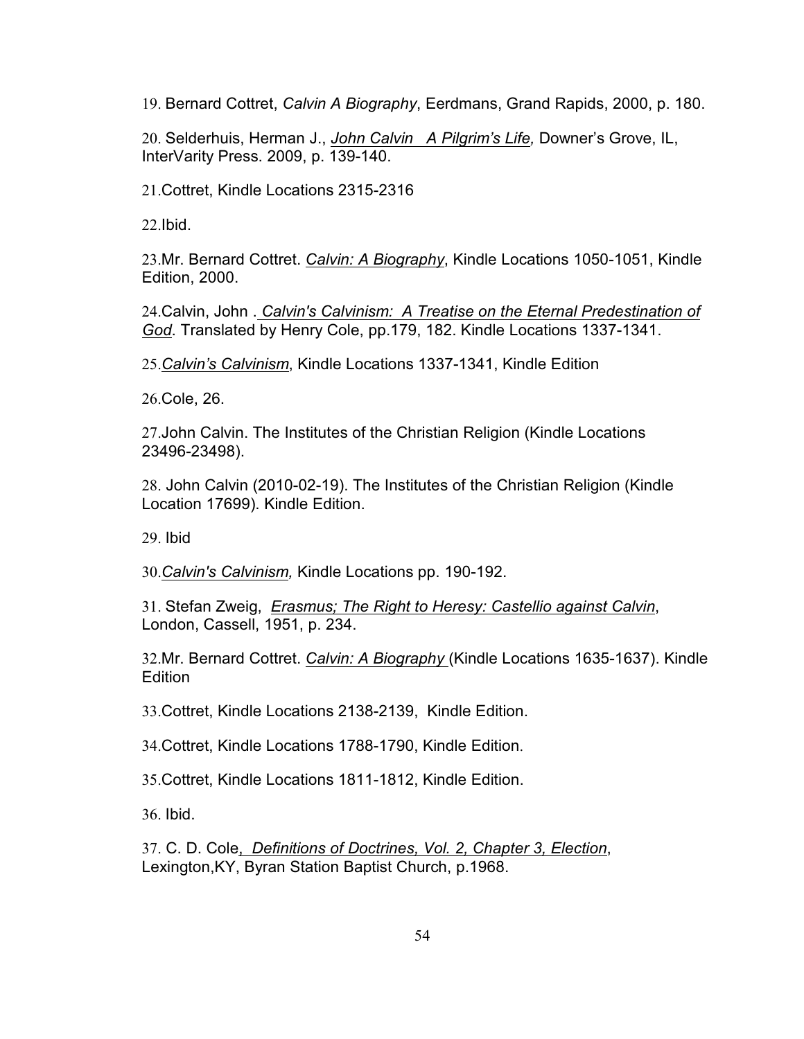19. Bernard Cottret, *Calvin A Biography*, Eerdmans, Grand Rapids, 2000, p. 180.

20. Selderhuis, Herman J., *John Calvin A Pilgrim's Life,* Downer's Grove, IL, InterVarity Press. 2009, p. 139-140.

21.Cottret, Kindle Locations 2315-2316

22.Ibid.

23.Mr. Bernard Cottret. *Calvin: A Biography*, Kindle Locations 1050-1051, Kindle Edition, 2000.

24.Calvin, John . *Calvin's Calvinism: A Treatise on the Eternal Predestination of God*. Translated by Henry Cole, pp.179, 182. Kindle Locations 1337-1341.

25.*Calvin's Calvinism*, Kindle Locations 1337-1341, Kindle Edition

26.Cole, 26.

27.John Calvin. The Institutes of the Christian Religion (Kindle Locations 23496-23498).

28. John Calvin (2010-02-19). The Institutes of the Christian Religion (Kindle Location 17699). Kindle Edition.

29. Ibid

30.*Calvin's Calvinism,* Kindle Locations pp. 190-192.

31. Stefan Zweig, *Erasmus; The Right to Heresy: Castellio against Calvin*, London, Cassell, 1951, p. 234.

32.Mr. Bernard Cottret. *Calvin: A Biography* (Kindle Locations 1635-1637). Kindle Edition

33.Cottret, Kindle Locations 2138-2139, Kindle Edition.

34.Cottret, Kindle Locations 1788-1790, Kindle Edition.

35.Cottret, Kindle Locations 1811-1812, Kindle Edition.

36. Ibid.

37. C. D. Cole, *Definitions of Doctrines, Vol. 2, Chapter 3, Election*, Lexington,KY, Byran Station Baptist Church, p.1968.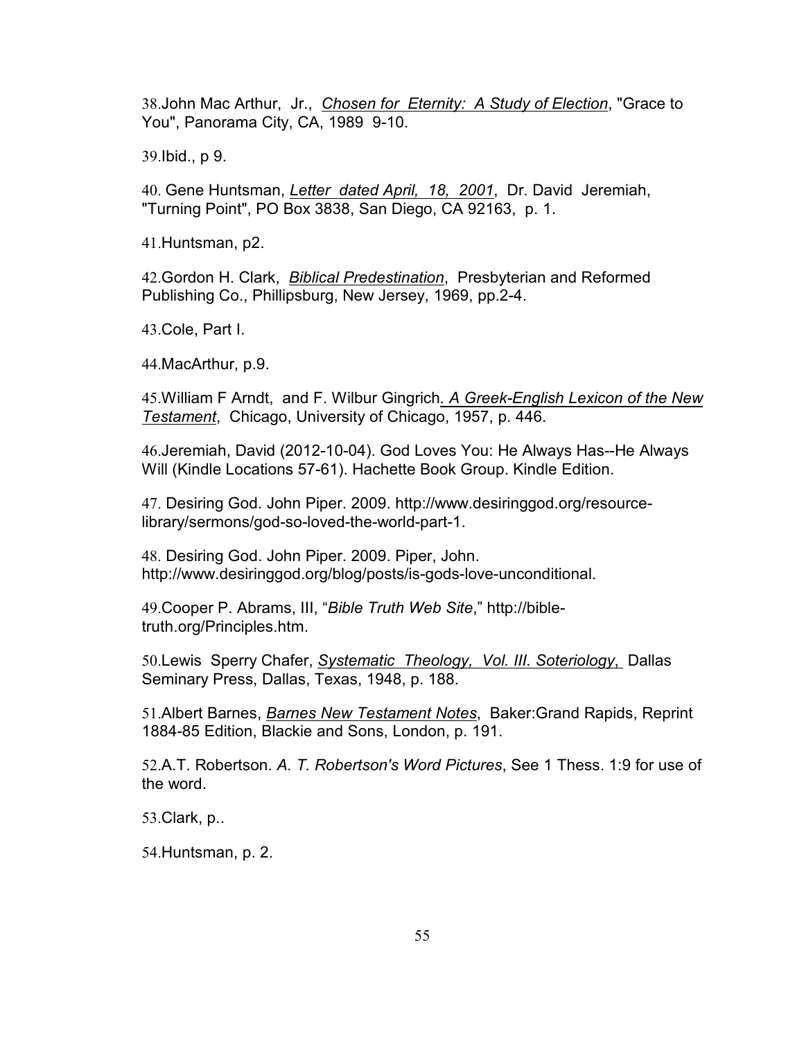38.John Mac Arthur, Jr., *Chosen for Eternity: A Study of Election*, "Grace to You", Panorama City, CA, 1989 9-10.

39.Ibid., p 9.

40. Gene Huntsman, *Letter dated April, 18, 2001*, Dr. David Jeremiah, "Turning Point", PO Box 3838, San Diego, CA 92163, p. 1.

41.Huntsman, p2.

42.Gordon H. Clark, *Biblical Predestination*, Presbyterian and Reformed Publishing Co., Phillipsburg, New Jersey, 1969, pp.2-4.

43.Cole, Part I.

44.MacArthur, p.9.

45.William F Arndt, and F. Wilbur Gingrich*. A Greek-English Lexicon of the New Testament*, Chicago, University of Chicago, 1957, p. 446.

46.Jeremiah, David (2012-10-04). God Loves You: He Always Has--He Always Will (Kindle Locations 57-61). Hachette Book Group. Kindle Edition.

47. Desiring God. John Piper. 2009. http://www.desiringgod.org/resourcelibrary/sermons/god-so-loved-the-world-part-1.

48. Desiring God. John Piper. 2009. Piper, John. http://www.desiringgod.org/blog/posts/is-gods-love-unconditional.

49.Cooper P. Abrams, III, "*Bible Truth Web Site*," http://bibletruth.org/Principles.htm.

50.Lewis Sperry Chafer, *Systematic Theology, Vol. III. Soteriology*, Dallas Seminary Press, Dallas, Texas, 1948, p. 188.

51.Albert Barnes, *Barnes New Testament Notes*, Baker:Grand Rapids, Reprint 1884-85 Edition, Blackie and Sons, London, p. 191.

52.A.T. Robertson. *A. T. Robertson's Word Pictures*, See 1 Thess. 1:9 for use of the word.

53.Clark, p..

54.Huntsman, p. 2.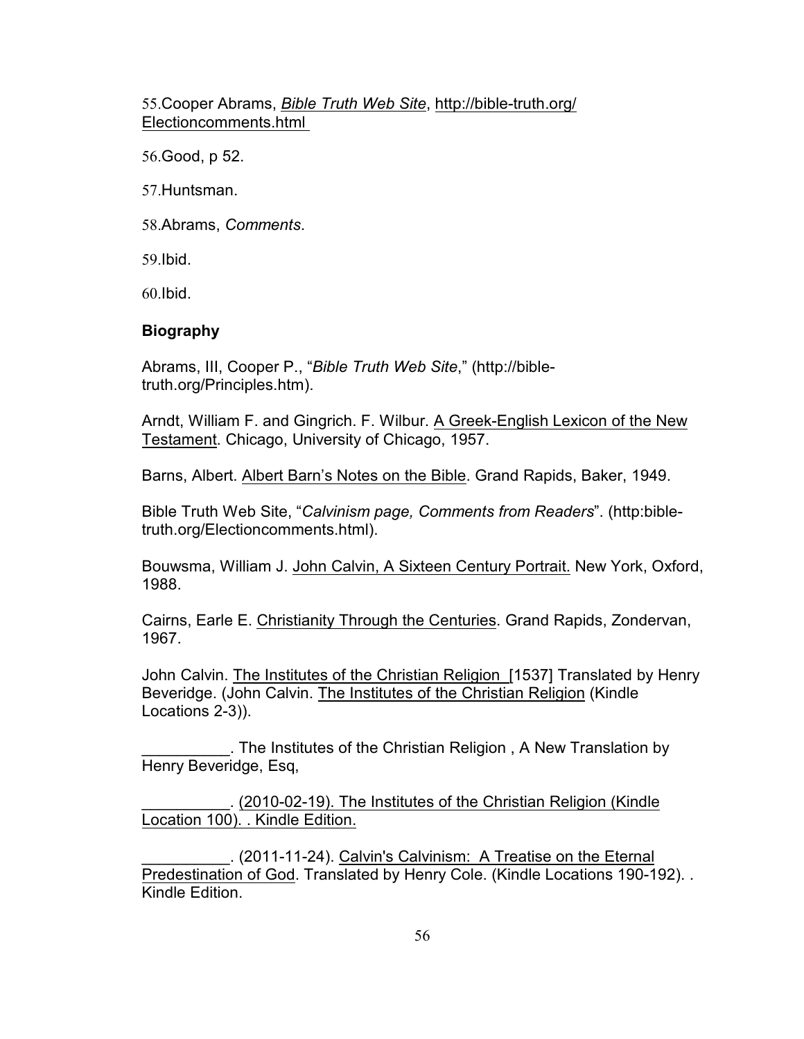55.Cooper Abrams, *Bible Truth Web Site*, http://bible-truth.org/ Electioncomments.html

56.Good, p 52.

57.Huntsman.

58.Abrams, *Comments*.

59.Ibid.

60.Ibid.

# **Biography**

Abrams, III, Cooper P., "*Bible Truth Web Site*," (http://bibletruth.org/Principles.htm).

Arndt, William F. and Gingrich. F. Wilbur. A Greek-English Lexicon of the New Testament. Chicago, University of Chicago, 1957.

Barns, Albert. Albert Barn's Notes on the Bible. Grand Rapids, Baker, 1949.

Bible Truth Web Site, "*Calvinism page, Comments from Readers*". (http:bibletruth.org/Electioncomments.html).

Bouwsma, William J. John Calvin, A Sixteen Century Portrait. New York, Oxford, 1988.

Cairns, Earle E. Christianity Through the Centuries. Grand Rapids, Zondervan, 1967.

John Calvin. The Institutes of the Christian Religion [1537] Translated by Henry Beveridge. (John Calvin. The Institutes of the Christian Religion (Kindle Locations 2-3)).

\_\_\_\_\_\_\_\_\_\_. The Institutes of the Christian Religion , A New Translation by Henry Beveridge, Esq,

\_\_\_\_\_\_\_\_\_\_. (2010-02-19). The Institutes of the Christian Religion (Kindle Location 100). . Kindle Edition.

\_\_\_\_\_\_\_\_\_\_. (2011-11-24). Calvin's Calvinism: A Treatise on the Eternal Predestination of God. Translated by Henry Cole. (Kindle Locations 190-192). . Kindle Edition.